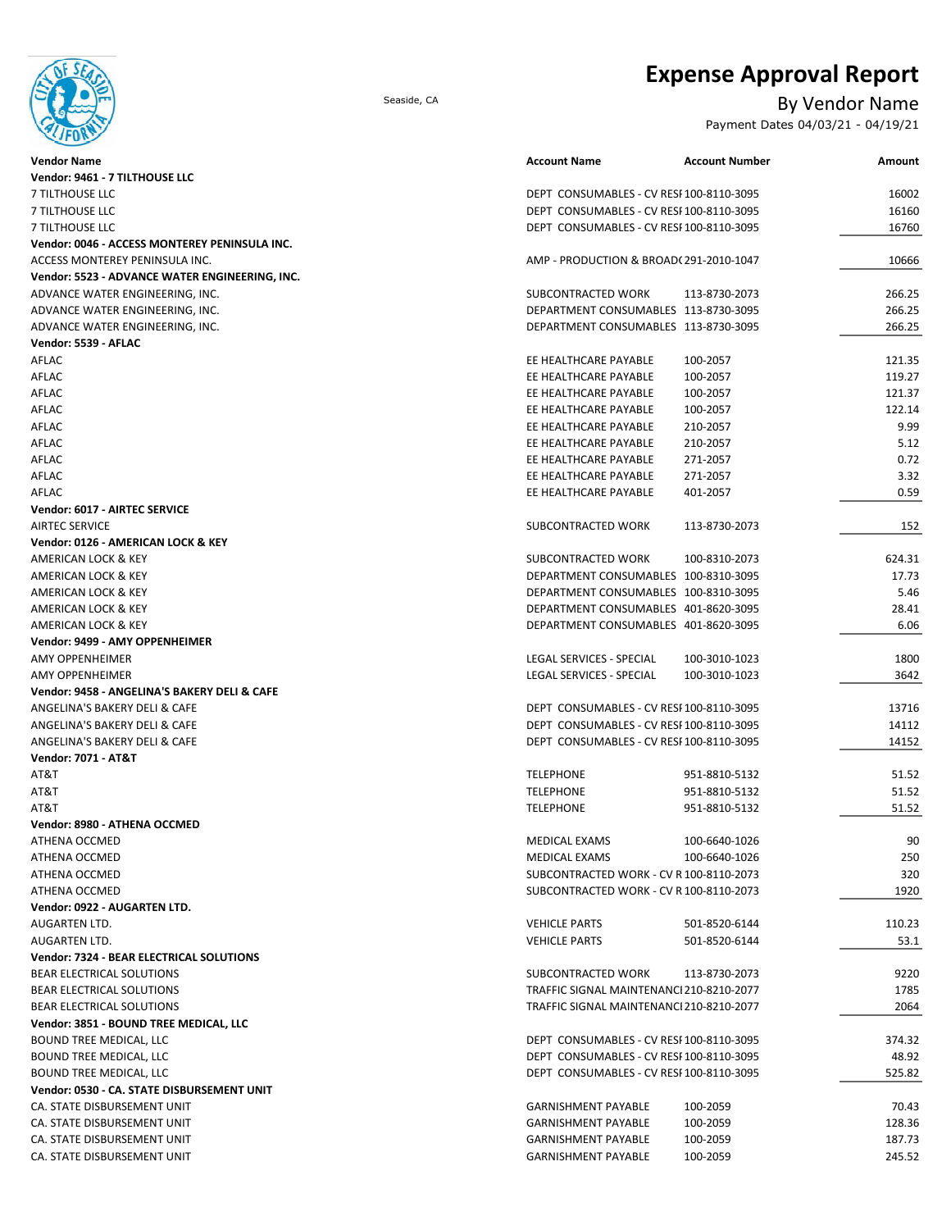# **Expense Approval Report**

## Seaside, CA By Vendor Name

Payment Dates 04/03/21 - 04/19/21

| Vendor Name                                                    | <b>Account Name</b>                                                                  | <b>Account Number</b> | Amount         |
|----------------------------------------------------------------|--------------------------------------------------------------------------------------|-----------------------|----------------|
| Vendor: 9461 - 7 TILTHOUSE LLC                                 |                                                                                      |                       |                |
| 7 TILTHOUSE LLC                                                | DEPT CONSUMABLES - CV RESI 100-8110-3095                                             |                       | 16002          |
| 7 TILTHOUSE LLC                                                | DEPT CONSUMABLES - CV RESI 100-8110-3095                                             |                       | 16160          |
| 7 TILTHOUSE LLC                                                | DEPT CONSUMABLES - CV RESI 100-8110-3095                                             |                       | 16760          |
| Vendor: 0046 - ACCESS MONTEREY PENINSULA INC.                  |                                                                                      |                       |                |
| ACCESS MONTEREY PENINSULA INC.                                 | AMP - PRODUCTION & BROAD(291-2010-1047                                               |                       | 10666          |
| Vendor: 5523 - ADVANCE WATER ENGINEERING, INC.                 |                                                                                      |                       |                |
| ADVANCE WATER ENGINEERING, INC.                                | SUBCONTRACTED WORK                                                                   | 113-8730-2073         | 266.25         |
| ADVANCE WATER ENGINEERING, INC.                                | DEPARTMENT CONSUMABLES 113-8730-3095                                                 |                       | 266.25         |
| ADVANCE WATER ENGINEERING, INC.                                | DEPARTMENT CONSUMABLES 113-8730-3095                                                 |                       | 266.25         |
| Vendor: 5539 - AFLAC                                           |                                                                                      |                       |                |
| AFLAC                                                          | EE HEALTHCARE PAYABLE                                                                | 100-2057              | 121.35         |
| AFLAC                                                          | EE HEALTHCARE PAYABLE                                                                | 100-2057              | 119.27         |
| AFLAC                                                          | EE HEALTHCARE PAYABLE                                                                | 100-2057              | 121.37         |
| AFLAC                                                          | EE HEALTHCARE PAYABLE                                                                | 100-2057              | 122.14         |
| AFLAC                                                          | EE HEALTHCARE PAYABLE                                                                | 210-2057              | 9.99           |
| AFLAC                                                          | EE HEALTHCARE PAYABLE                                                                | 210-2057              | 5.12           |
| AFLAC                                                          | EE HEALTHCARE PAYABLE                                                                | 271-2057              | 0.72           |
| AFLAC                                                          | EE HEALTHCARE PAYABLE                                                                | 271-2057              | 3.32           |
| AFLAC                                                          | EE HEALTHCARE PAYABLE                                                                | 401-2057              | 0.59           |
| Vendor: 6017 - AIRTEC SERVICE                                  |                                                                                      |                       |                |
| <b>AIRTEC SERVICE</b>                                          | SUBCONTRACTED WORK                                                                   | 113-8730-2073         | 152            |
| Vendor: 0126 - AMERICAN LOCK & KEY                             |                                                                                      |                       |                |
| AMERICAN LOCK & KEY                                            | SUBCONTRACTED WORK                                                                   | 100-8310-2073         | 624.31         |
| AMERICAN LOCK & KEY                                            | DEPARTMENT CONSUMABLES 100-8310-3095                                                 |                       | 17.73          |
| AMERICAN LOCK & KEY                                            | DEPARTMENT CONSUMABLES 100-8310-3095                                                 |                       | 5.46           |
| AMERICAN LOCK & KEY                                            | DEPARTMENT CONSUMABLES 401-8620-3095                                                 |                       | 28.41          |
| AMERICAN LOCK & KEY                                            | DEPARTMENT CONSUMABLES 401-8620-3095                                                 |                       | 6.06           |
| Vendor: 9499 - AMY OPPENHEIMER                                 |                                                                                      |                       |                |
| AMY OPPENHEIMER                                                | LEGAL SERVICES - SPECIAL                                                             | 100-3010-1023         | 1800           |
| <b>AMY OPPENHEIMER</b>                                         | LEGAL SERVICES - SPECIAL                                                             | 100-3010-1023         | 3642           |
| Vendor: 9458 - ANGELINA'S BAKERY DELI & CAFE                   |                                                                                      |                       |                |
| ANGELINA'S BAKERY DELI & CAFE                                  | DEPT CONSUMABLES - CV RESI 100-8110-3095                                             |                       | 13716          |
|                                                                |                                                                                      |                       |                |
| ANGELINA'S BAKERY DELI & CAFE<br>ANGELINA'S BAKERY DELI & CAFE | DEPT CONSUMABLES - CV RESI 100-8110-3095<br>DEPT CONSUMABLES - CV RESI 100-8110-3095 |                       | 14112<br>14152 |
| <b>Vendor: 7071 - AT&amp;T</b>                                 |                                                                                      |                       |                |
| AT&T                                                           | <b>TELEPHONE</b>                                                                     | 951-8810-5132         | 51.52          |
| AT&T                                                           |                                                                                      | 951-8810-5132         | 51.52          |
|                                                                | <b>TELEPHONE</b>                                                                     |                       |                |
| AT&T                                                           | <b>TELEPHONE</b>                                                                     | 951-8810-5132         | 51.52          |
| Vendor: 8980 - ATHENA OCCMED                                   |                                                                                      |                       |                |
| ATHENA OCCMED                                                  | MEDICAL EXAMS                                                                        | 100-6640-1026         | 90             |
| ATHENA OCCMED                                                  | MEDICAL EXAMS                                                                        | 100-6640-1026         | 250            |
| ATHENA OCCMED                                                  | SUBCONTRACTED WORK - CV R 100-8110-2073                                              |                       | 320            |
| ATHENA OCCMED                                                  | SUBCONTRACTED WORK - CV R 100-8110-2073                                              |                       | 1920           |
| Vendor: 0922 - AUGARTEN LTD.                                   |                                                                                      |                       |                |
| AUGARTEN LTD.                                                  | <b>VEHICLE PARTS</b>                                                                 | 501-8520-6144         | 110.23         |
| AUGARTEN LTD.                                                  | <b>VEHICLE PARTS</b>                                                                 | 501-8520-6144         | 53.1           |
| Vendor: 7324 - BEAR ELECTRICAL SOLUTIONS                       |                                                                                      |                       |                |
| BEAR ELECTRICAL SOLUTIONS                                      | SUBCONTRACTED WORK                                                                   | 113-8730-2073         | 9220           |
| <b>BEAR ELECTRICAL SOLUTIONS</b>                               | TRAFFIC SIGNAL MAINTENANCI 210-8210-2077                                             |                       | 1785           |
| BEAR ELECTRICAL SOLUTIONS                                      | TRAFFIC SIGNAL MAINTENANCI 210-8210-2077                                             |                       | 2064           |
| Vendor: 3851 - BOUND TREE MEDICAL, LLC                         |                                                                                      |                       |                |
| <b>BOUND TREE MEDICAL, LLC</b>                                 | DEPT CONSUMABLES - CV RESI 100-8110-3095                                             |                       | 374.32         |
| <b>BOUND TREE MEDICAL, LLC</b>                                 | DEPT CONSUMABLES - CV RESI 100-8110-3095                                             |                       | 48.92          |
| <b>BOUND TREE MEDICAL, LLC</b>                                 | DEPT CONSUMABLES - CV RESI 100-8110-3095                                             |                       | 525.82         |
| Vendor: 0530 - CA. STATE DISBURSEMENT UNIT                     |                                                                                      |                       |                |
| CA. STATE DISBURSEMENT UNIT                                    | <b>GARNISHMENT PAYABLE</b>                                                           | 100-2059              | 70.43          |
| CA. STATE DISBURSEMENT UNIT                                    | <b>GARNISHMENT PAYABLE</b>                                                           | 100-2059              | 128.36         |
| CA. STATE DISBURSEMENT UNIT                                    | <b>GARNISHMENT PAYABLE</b>                                                           | 100-2059              | 187.73         |
| CA. STATE DISBURSEMENT UNIT                                    | <b>GARNISHMENT PAYABLE</b>                                                           | 100-2059              | 245.52         |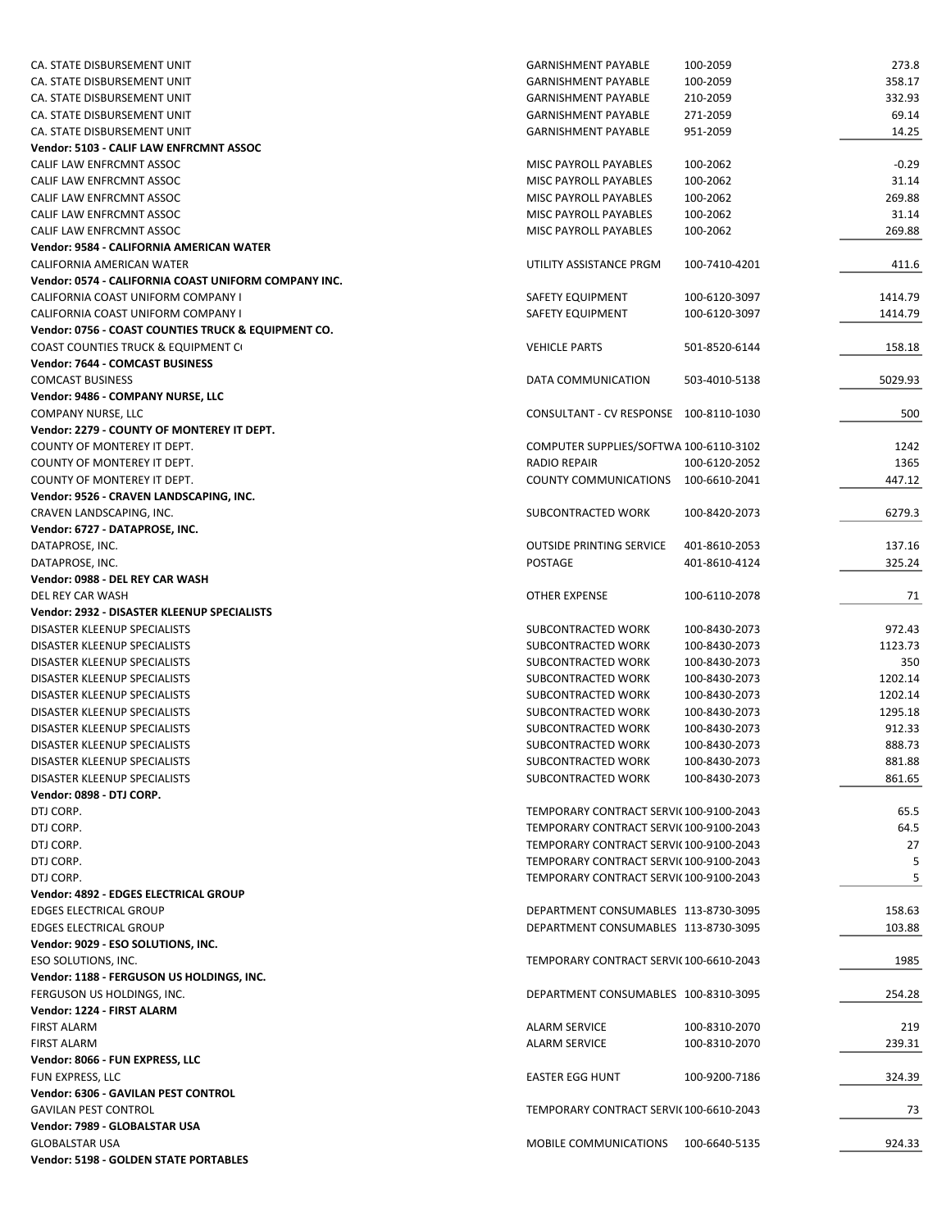| CA. STATE DISBURSEMENT UNIT                          | <b>GARNISHMENT PAYABLE</b>             | 100-2059      | 273.8   |
|------------------------------------------------------|----------------------------------------|---------------|---------|
| CA. STATE DISBURSEMENT UNIT                          | <b>GARNISHMENT PAYABLE</b>             | 100-2059      | 358.17  |
| CA. STATE DISBURSEMENT UNIT                          | <b>GARNISHMENT PAYABLE</b>             | 210-2059      | 332.93  |
| CA. STATE DISBURSEMENT UNIT                          | <b>GARNISHMENT PAYABLE</b>             | 271-2059      | 69.14   |
| CA. STATE DISBURSEMENT UNIT                          | <b>GARNISHMENT PAYABLE</b>             | 951-2059      | 14.25   |
| Vendor: 5103 - CALIF LAW ENFRCMNT ASSOC              |                                        |               |         |
| CALIF LAW ENFRCMNT ASSOC                             | MISC PAYROLL PAYABLES                  | 100-2062      | $-0.29$ |
| CALIF LAW ENFRCMNT ASSOC                             | MISC PAYROLL PAYABLES                  | 100-2062      | 31.14   |
| CALIF LAW ENFRCMNT ASSOC                             | MISC PAYROLL PAYABLES                  | 100-2062      | 269.88  |
| CALIF LAW ENFRCMNT ASSOC                             |                                        |               | 31.14   |
| CALIF LAW ENFRCMNT ASSOC                             | MISC PAYROLL PAYABLES                  | 100-2062      |         |
|                                                      | MISC PAYROLL PAYABLES                  | 100-2062      | 269.88  |
| Vendor: 9584 - CALIFORNIA AMERICAN WATER             |                                        |               |         |
| CALIFORNIA AMERICAN WATER                            | UTILITY ASSISTANCE PRGM                | 100-7410-4201 | 411.6   |
| Vendor: 0574 - CALIFORNIA COAST UNIFORM COMPANY INC. |                                        |               |         |
| CALIFORNIA COAST UNIFORM COMPANY I                   | SAFETY EQUIPMENT                       | 100-6120-3097 | 1414.79 |
| CALIFORNIA COAST UNIFORM COMPANY I                   | SAFETY EQUIPMENT                       | 100-6120-3097 | 1414.79 |
| Vendor: 0756 - COAST COUNTIES TRUCK & EQUIPMENT CO.  |                                        |               |         |
| COAST COUNTIES TRUCK & EQUIPMENT C                   | <b>VEHICLE PARTS</b>                   | 501-8520-6144 | 158.18  |
| Vendor: 7644 - COMCAST BUSINESS                      |                                        |               |         |
| <b>COMCAST BUSINESS</b>                              | DATA COMMUNICATION                     | 503-4010-5138 | 5029.93 |
| Vendor: 9486 - COMPANY NURSE, LLC                    |                                        |               |         |
| COMPANY NURSE, LLC                                   | CONSULTANT - CV RESPONSE 100-8110-1030 |               | 500     |
| Vendor: 2279 - COUNTY OF MONTEREY IT DEPT.           |                                        |               |         |
| COUNTY OF MONTEREY IT DEPT.                          | COMPUTER SUPPLIES/SOFTWA 100-6110-3102 |               | 1242    |
| COUNTY OF MONTEREY IT DEPT.                          | RADIO REPAIR                           | 100-6120-2052 | 1365    |
| COUNTY OF MONTEREY IT DEPT.                          | COUNTY COMMUNICATIONS                  | 100-6610-2041 | 447.12  |
|                                                      |                                        |               |         |
| Vendor: 9526 - CRAVEN LANDSCAPING, INC.              |                                        |               |         |
| CRAVEN LANDSCAPING, INC.                             | SUBCONTRACTED WORK                     | 100-8420-2073 | 6279.3  |
| Vendor: 6727 - DATAPROSE, INC.                       |                                        |               |         |
| DATAPROSE, INC.                                      | <b>OUTSIDE PRINTING SERVICE</b>        | 401-8610-2053 | 137.16  |
| DATAPROSE, INC.                                      | <b>POSTAGE</b>                         | 401-8610-4124 | 325.24  |
| Vendor: 0988 - DEL REY CAR WASH                      |                                        |               |         |
| DEL REY CAR WASH                                     | OTHER EXPENSE                          | 100-6110-2078 | 71      |
| Vendor: 2932 - DISASTER KLEENUP SPECIALISTS          |                                        |               |         |
| DISASTER KLEENUP SPECIALISTS                         | SUBCONTRACTED WORK                     | 100-8430-2073 | 972.43  |
| DISASTER KLEENUP SPECIALISTS                         | SUBCONTRACTED WORK                     | 100-8430-2073 | 1123.73 |
| DISASTER KLEENUP SPECIALISTS                         | SUBCONTRACTED WORK                     | 100-8430-2073 | 350     |
| DISASTER KLEENUP SPECIALISTS                         | <b>SUBCONTRACTED WORK</b>              | 100-8430-2073 | 1202.14 |
| DISASTER KLEENUP SPECIALISTS                         | SUBCONTRACTED WORK                     | 100-8430-2073 | 1202.14 |
| DISASTER KLEENUP SPECIALISTS                         | SUBCONTRACTED WORK                     | 100-8430-2073 | 1295.18 |
| DISASTER KLEENUP SPECIALISTS                         | SUBCONTRACTED WORK                     | 100-8430-2073 | 912.33  |
| DISASTER KLEENUP SPECIALISTS                         | <b>SUBCONTRACTED WORK</b>              | 100-8430-2073 | 888.73  |
| <b>DISASTER KLEENUP SPECIALISTS</b>                  | SUBCONTRACTED WORK                     | 100-8430-2073 | 881.88  |
| DISASTER KLEENUP SPECIALISTS                         | <b>SUBCONTRACTED WORK</b>              | 100-8430-2073 | 861.65  |
| Vendor: 0898 - DTJ CORP.                             |                                        |               |         |
|                                                      |                                        |               |         |
| DTJ CORP.                                            | TEMPORARY CONTRACT SERVI(100-9100-2043 |               | 65.5    |
| DTJ CORP.                                            | TEMPORARY CONTRACT SERVI(100-9100-2043 |               | 64.5    |
| DTJ CORP.                                            | TEMPORARY CONTRACT SERVI(100-9100-2043 |               | 27      |
| DTJ CORP.                                            | TEMPORARY CONTRACT SERVI(100-9100-2043 |               | 5       |
| DTJ CORP.                                            | TEMPORARY CONTRACT SERVI(100-9100-2043 |               | 5       |
| Vendor: 4892 - EDGES ELECTRICAL GROUP                |                                        |               |         |
| <b>EDGES ELECTRICAL GROUP</b>                        | DEPARTMENT CONSUMABLES 113-8730-3095   |               | 158.63  |
| <b>EDGES ELECTRICAL GROUP</b>                        | DEPARTMENT CONSUMABLES 113-8730-3095   |               | 103.88  |
| Vendor: 9029 - ESO SOLUTIONS, INC.                   |                                        |               |         |
| ESO SOLUTIONS, INC.                                  | TEMPORARY CONTRACT SERVI(100-6610-2043 |               | 1985    |
| Vendor: 1188 - FERGUSON US HOLDINGS, INC.            |                                        |               |         |
| FERGUSON US HOLDINGS, INC.                           | DEPARTMENT CONSUMABLES 100-8310-3095   |               | 254.28  |
| Vendor: 1224 - FIRST ALARM                           |                                        |               |         |
| <b>FIRST ALARM</b>                                   | <b>ALARM SERVICE</b>                   | 100-8310-2070 | 219     |
| <b>FIRST ALARM</b>                                   | <b>ALARM SERVICE</b>                   | 100-8310-2070 | 239.31  |
|                                                      |                                        |               |         |
| Vendor: 8066 - FUN EXPRESS, LLC                      |                                        |               |         |
| FUN EXPRESS, LLC                                     | <b>EASTER EGG HUNT</b>                 | 100-9200-7186 | 324.39  |
| Vendor: 6306 - GAVILAN PEST CONTROL                  |                                        |               |         |
| <b>GAVILAN PEST CONTROL</b>                          | TEMPORARY CONTRACT SERVI(100-6610-2043 |               | 73      |
| Vendor: 7989 - GLOBALSTAR USA                        |                                        |               |         |
| <b>GLOBALSTAR USA</b>                                | MOBILE COMMUNICATIONS                  | 100-6640-5135 | 924.33  |
| Vendor: 5198 - GOLDEN STATE PORTABLES                |                                        |               |         |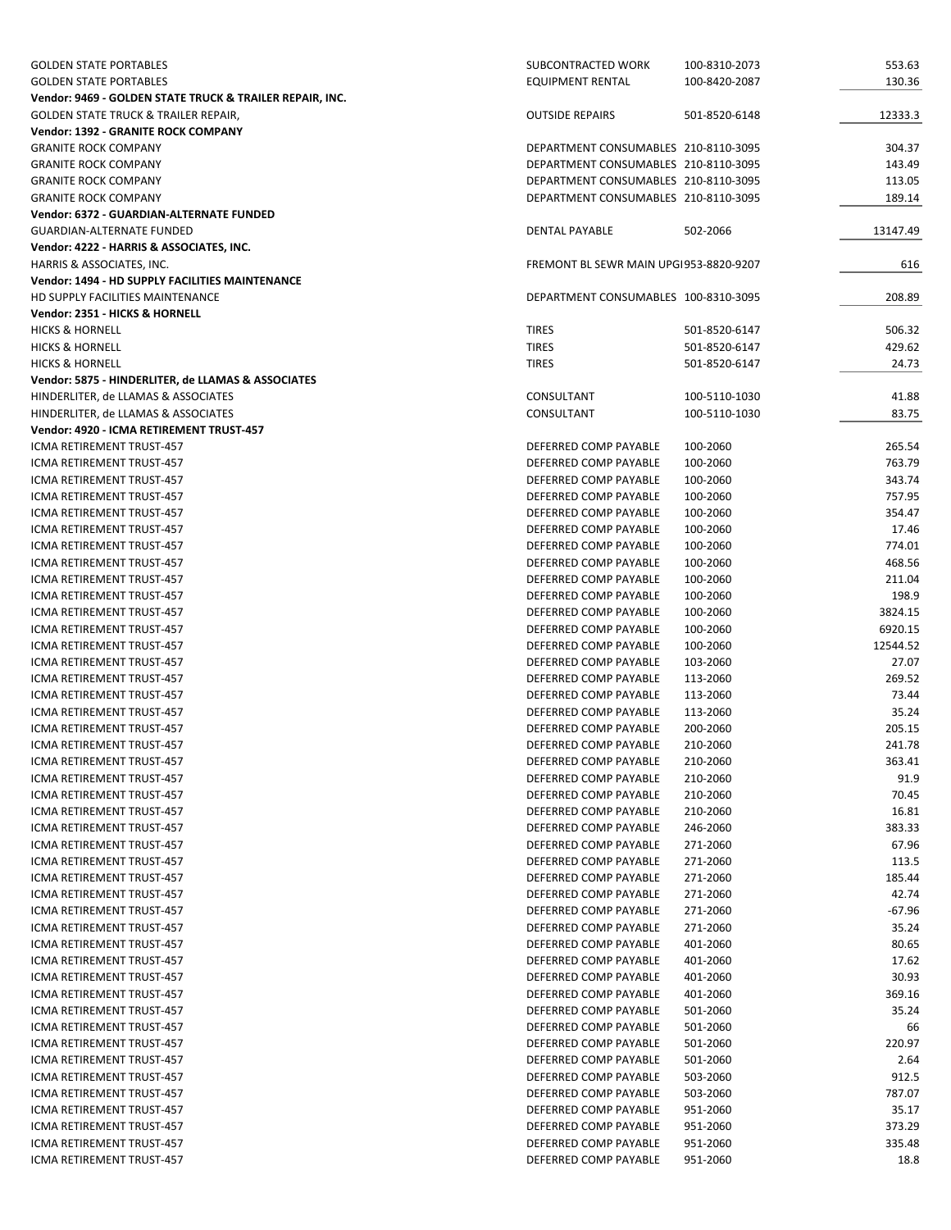| <b>GOLDEN STATE PORTABLES</b>                                         | SUBCONTRACTED WORK                             | 100-8310-2073        | 553.63              |
|-----------------------------------------------------------------------|------------------------------------------------|----------------------|---------------------|
| <b>GOLDEN STATE PORTABLES</b>                                         | <b>EQUIPMENT RENTAL</b>                        | 100-8420-2087        | 130.36              |
| Vendor: 9469 - GOLDEN STATE TRUCK & TRAILER REPAIR, INC.              |                                                |                      |                     |
| <b>GOLDEN STATE TRUCK &amp; TRAILER REPAIR,</b>                       | <b>OUTSIDE REPAIRS</b>                         | 501-8520-6148        | 12333.3             |
| <b>Vendor: 1392 - GRANITE ROCK COMPANY</b>                            |                                                |                      |                     |
| <b>GRANITE ROCK COMPANY</b>                                           | DEPARTMENT CONSUMABLES 210-8110-3095           |                      | 304.37              |
| <b>GRANITE ROCK COMPANY</b>                                           | DEPARTMENT CONSUMABLES 210-8110-3095           |                      | 143.49              |
| <b>GRANITE ROCK COMPANY</b>                                           | DEPARTMENT CONSUMABLES 210-8110-3095           |                      | 113.05              |
| <b>GRANITE ROCK COMPANY</b>                                           | DEPARTMENT CONSUMABLES 210-8110-3095           |                      | 189.14              |
| Vendor: 6372 - GUARDIAN-ALTERNATE FUNDED                              |                                                |                      |                     |
| <b>GUARDIAN-ALTERNATE FUNDED</b>                                      | <b>DENTAL PAYABLE</b>                          | 502-2066             | 13147.49            |
| Vendor: 4222 - HARRIS & ASSOCIATES, INC.<br>HARRIS & ASSOCIATES, INC. | FREMONT BL SEWR MAIN UPG1953-8820-9207         |                      | 616                 |
| Vendor: 1494 - HD SUPPLY FACILITIES MAINTENANCE                       |                                                |                      |                     |
| HD SUPPLY FACILITIES MAINTENANCE                                      | DEPARTMENT CONSUMABLES 100-8310-3095           |                      | 208.89              |
| Vendor: 2351 - HICKS & HORNELL                                        |                                                |                      |                     |
| <b>HICKS &amp; HORNELL</b>                                            | <b>TIRES</b>                                   | 501-8520-6147        | 506.32              |
| <b>HICKS &amp; HORNELL</b>                                            | <b>TIRES</b>                                   | 501-8520-6147        | 429.62              |
| <b>HICKS &amp; HORNELL</b>                                            | <b>TIRES</b>                                   | 501-8520-6147        | 24.73               |
| Vendor: 5875 - HINDERLITER, de LLAMAS & ASSOCIATES                    |                                                |                      |                     |
| HINDERLITER, de LLAMAS & ASSOCIATES                                   | CONSULTANT                                     | 100-5110-1030        | 41.88               |
| HINDERLITER, de LLAMAS & ASSOCIATES                                   | CONSULTANT                                     | 100-5110-1030        | 83.75               |
| Vendor: 4920 - ICMA RETIREMENT TRUST-457                              |                                                |                      |                     |
| ICMA RETIREMENT TRUST-457                                             | DEFERRED COMP PAYABLE                          | 100-2060             | 265.54              |
| ICMA RETIREMENT TRUST-457                                             | DEFERRED COMP PAYABLE                          | 100-2060             | 763.79              |
| ICMA RETIREMENT TRUST-457                                             | DEFERRED COMP PAYABLE                          | 100-2060             | 343.74              |
| ICMA RETIREMENT TRUST-457                                             | DEFERRED COMP PAYABLE                          | 100-2060             | 757.95              |
| ICMA RETIREMENT TRUST-457                                             | DEFERRED COMP PAYABLE                          | 100-2060             | 354.47              |
| ICMA RETIREMENT TRUST-457                                             | DEFERRED COMP PAYABLE                          | 100-2060             | 17.46               |
| ICMA RETIREMENT TRUST-457                                             | DEFERRED COMP PAYABLE                          | 100-2060             | 774.01              |
| ICMA RETIREMENT TRUST-457                                             | DEFERRED COMP PAYABLE                          | 100-2060             | 468.56              |
| ICMA RETIREMENT TRUST-457                                             | DEFERRED COMP PAYABLE                          | 100-2060             | 211.04              |
| ICMA RETIREMENT TRUST-457                                             | DEFERRED COMP PAYABLE                          | 100-2060             | 198.9               |
| ICMA RETIREMENT TRUST-457<br>ICMA RETIREMENT TRUST-457                | DEFERRED COMP PAYABLE<br>DEFERRED COMP PAYABLE | 100-2060<br>100-2060 | 3824.15             |
| ICMA RETIREMENT TRUST-457                                             | DEFERRED COMP PAYABLE                          | 100-2060             | 6920.15<br>12544.52 |
| ICMA RETIREMENT TRUST-457                                             | DEFERRED COMP PAYABLE                          | 103-2060             | 27.07               |
| ICMA RETIREMENT TRUST-457                                             | DEFERRED COMP PAYABLE                          | 113-2060             | 269.52              |
| ICMA RETIREMENT TRUST-457                                             | DEFERRED COMP PAYABLE                          | 113-2060             | 73.44               |
| ICMA RETIREMENT TRUST-457                                             | DEFERRED COMP PAYABLE                          | 113-2060             | 35.24               |
| ICMA RETIREMENT TRUST-457                                             | DEFERRED COMP PAYABLE                          | 200-2060             | 205.15              |
| ICMA RETIREMENT TRUST-457                                             | DEFERRED COMP PAYABLE                          | 210-2060             | 241.78              |
| ICMA RETIREMENT TRUST-457                                             | DEFERRED COMP PAYABLE                          | 210-2060             | 363.41              |
| ICMA RETIREMENT TRUST-457                                             | DEFERRED COMP PAYABLE                          | 210-2060             | 91.9                |
| ICMA RETIREMENT TRUST-457                                             | DEFERRED COMP PAYABLE                          | 210-2060             | 70.45               |
| ICMA RETIREMENT TRUST-457                                             | DEFERRED COMP PAYABLE                          | 210-2060             | 16.81               |
| ICMA RETIREMENT TRUST-457                                             | DEFERRED COMP PAYABLE                          | 246-2060             | 383.33              |
| ICMA RETIREMENT TRUST-457                                             | DEFERRED COMP PAYABLE                          | 271-2060             | 67.96               |
| ICMA RETIREMENT TRUST-457                                             | DEFERRED COMP PAYABLE                          | 271-2060             | 113.5               |
| ICMA RETIREMENT TRUST-457                                             | DEFERRED COMP PAYABLE                          | 271-2060             | 185.44              |
| ICMA RETIREMENT TRUST-457                                             | DEFERRED COMP PAYABLE                          | 271-2060             | 42.74               |
| ICMA RETIREMENT TRUST-457                                             | DEFERRED COMP PAYABLE                          | 271-2060             | $-67.96$            |
| ICMA RETIREMENT TRUST-457                                             | DEFERRED COMP PAYABLE<br>DEFERRED COMP PAYABLE | 271-2060             | 35.24               |
| ICMA RETIREMENT TRUST-457<br>ICMA RETIREMENT TRUST-457                | DEFERRED COMP PAYABLE                          | 401-2060             | 80.65<br>17.62      |
| ICMA RETIREMENT TRUST-457                                             | DEFERRED COMP PAYABLE                          | 401-2060<br>401-2060 | 30.93               |
| ICMA RETIREMENT TRUST-457                                             | DEFERRED COMP PAYABLE                          | 401-2060             | 369.16              |
| ICMA RETIREMENT TRUST-457                                             | DEFERRED COMP PAYABLE                          | 501-2060             | 35.24               |
| ICMA RETIREMENT TRUST-457                                             | DEFERRED COMP PAYABLE                          | 501-2060             | 66                  |
| ICMA RETIREMENT TRUST-457                                             | DEFERRED COMP PAYABLE                          | 501-2060             | 220.97              |
| ICMA RETIREMENT TRUST-457                                             | DEFERRED COMP PAYABLE                          | 501-2060             | 2.64                |
| ICMA RETIREMENT TRUST-457                                             | DEFERRED COMP PAYABLE                          | 503-2060             | 912.5               |
| ICMA RETIREMENT TRUST-457                                             | DEFERRED COMP PAYABLE                          | 503-2060             | 787.07              |
| ICMA RETIREMENT TRUST-457                                             | DEFERRED COMP PAYABLE                          | 951-2060             | 35.17               |
| ICMA RETIREMENT TRUST-457                                             | DEFERRED COMP PAYABLE                          | 951-2060             | 373.29              |
| ICMA RETIREMENT TRUST-457                                             | DEFERRED COMP PAYABLE                          | 951-2060             | 335.48              |
| ICMA RETIREMENT TRUST-457                                             | DEFERRED COMP PAYABLE                          | 951-2060             | 18.8                |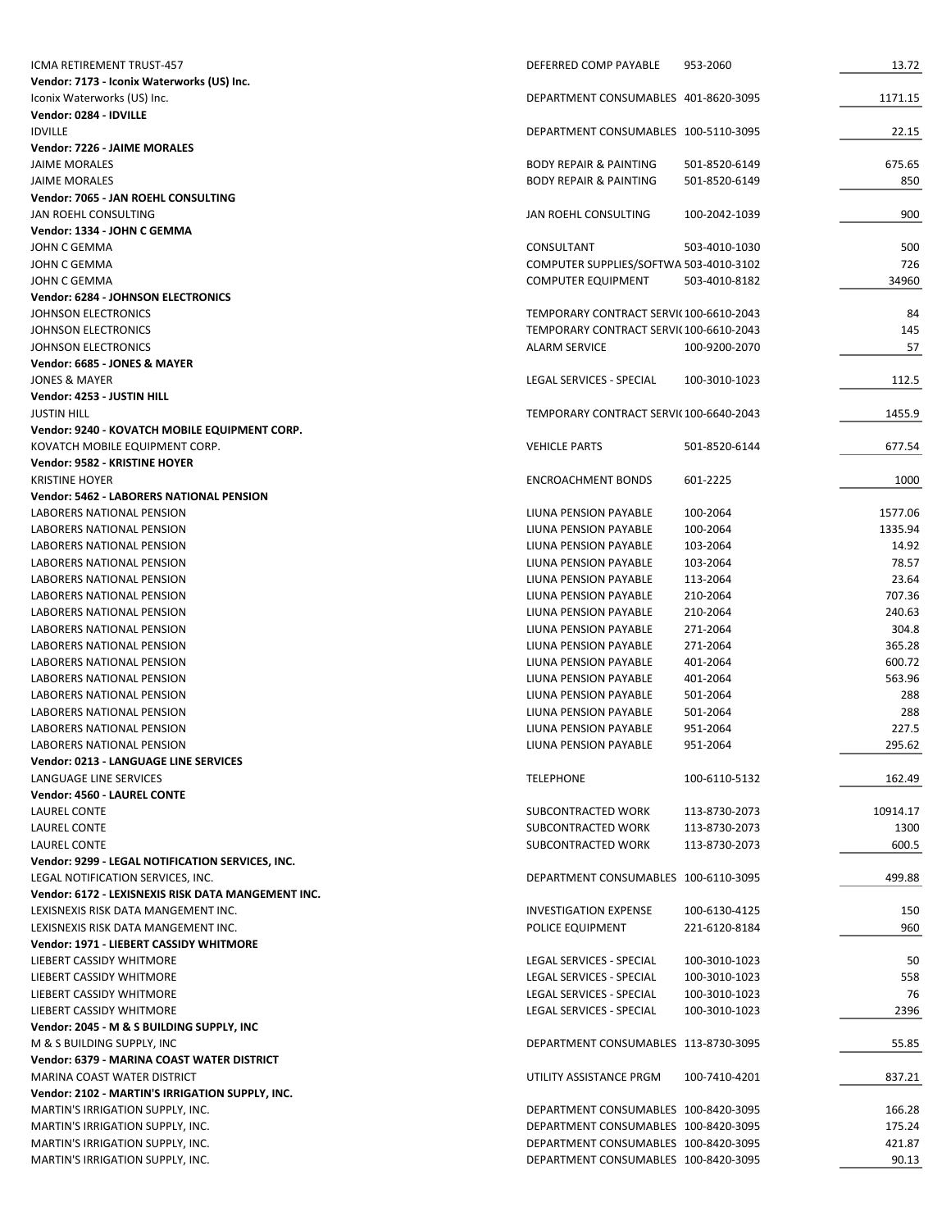| <b>ICMA RETIREMENT TRUST-457</b>                                       | DEFERRED COMP PAYABLE                                               | 953-2060      | 13.72      |
|------------------------------------------------------------------------|---------------------------------------------------------------------|---------------|------------|
| Vendor: 7173 - Iconix Waterworks (US) Inc.                             |                                                                     |               |            |
| Iconix Waterworks (US) Inc.                                            | DEPARTMENT CONSUMABLES 401-8620-3095                                |               | 1171.15    |
| Vendor: 0284 - IDVILLE                                                 |                                                                     |               |            |
| <b>IDVILLE</b>                                                         | DEPARTMENT CONSUMABLES 100-5110-3095                                |               | 22.15      |
| Vendor: 7226 - JAIME MORALES                                           |                                                                     |               |            |
| <b>JAIME MORALES</b>                                                   | <b>BODY REPAIR &amp; PAINTING</b>                                   | 501-8520-6149 | 675.65     |
| <b>JAIME MORALES</b>                                                   | <b>BODY REPAIR &amp; PAINTING</b>                                   | 501-8520-6149 | 850        |
| Vendor: 7065 - JAN ROEHL CONSULTING                                    |                                                                     |               |            |
| JAN ROEHL CONSULTING                                                   | JAN ROEHL CONSULTING                                                | 100-2042-1039 | 900        |
| Vendor: 1334 - JOHN C GEMMA                                            |                                                                     |               |            |
| JOHN C GEMMA                                                           | CONSULTANT                                                          | 503-4010-1030 | 500<br>726 |
| JOHN C GEMMA<br>JOHN C GEMMA                                           | COMPUTER SUPPLIES/SOFTWA 503-4010-3102<br><b>COMPUTER EQUIPMENT</b> | 503-4010-8182 | 34960      |
| Vendor: 6284 - JOHNSON ELECTRONICS                                     |                                                                     |               |            |
| JOHNSON ELECTRONICS                                                    | TEMPORARY CONTRACT SERVI(100-6610-2043                              |               | 84         |
| JOHNSON ELECTRONICS                                                    | TEMPORARY CONTRACT SERVI(100-6610-2043                              |               | 145        |
| JOHNSON ELECTRONICS                                                    | <b>ALARM SERVICE</b>                                                | 100-9200-2070 | 57         |
| Vendor: 6685 - JONES & MAYER                                           |                                                                     |               |            |
| <b>JONES &amp; MAYER</b>                                               | <b>LEGAL SERVICES - SPECIAL</b>                                     | 100-3010-1023 | 112.5      |
| Vendor: 4253 - JUSTIN HILL                                             |                                                                     |               |            |
| <b>JUSTIN HILL</b>                                                     | TEMPORARY CONTRACT SERVI(100-6640-2043                              |               | 1455.9     |
| Vendor: 9240 - KOVATCH MOBILE EQUIPMENT CORP.                          |                                                                     |               |            |
| KOVATCH MOBILE EQUIPMENT CORP.                                         | <b>VEHICLE PARTS</b>                                                | 501-8520-6144 | 677.54     |
| Vendor: 9582 - KRISTINE HOYER                                          |                                                                     |               |            |
| <b>KRISTINE HOYER</b>                                                  | <b>ENCROACHMENT BONDS</b>                                           | 601-2225      | 1000       |
| Vendor: 5462 - LABORERS NATIONAL PENSION                               |                                                                     |               |            |
| LABORERS NATIONAL PENSION                                              | LIUNA PENSION PAYABLE                                               | 100-2064      | 1577.06    |
| LABORERS NATIONAL PENSION                                              | LIUNA PENSION PAYABLE                                               | 100-2064      | 1335.94    |
| LABORERS NATIONAL PENSION                                              | LIUNA PENSION PAYABLE                                               | 103-2064      | 14.92      |
| LABORERS NATIONAL PENSION                                              | LIUNA PENSION PAYABLE                                               | 103-2064      | 78.57      |
| LABORERS NATIONAL PENSION                                              | LIUNA PENSION PAYABLE                                               | 113-2064      | 23.64      |
| LABORERS NATIONAL PENSION                                              | LIUNA PENSION PAYABLE                                               | 210-2064      | 707.36     |
| LABORERS NATIONAL PENSION                                              | LIUNA PENSION PAYABLE                                               | 210-2064      | 240.63     |
| LABORERS NATIONAL PENSION                                              | LIUNA PENSION PAYABLE                                               | 271-2064      | 304.8      |
| LABORERS NATIONAL PENSION                                              | LIUNA PENSION PAYABLE                                               | 271-2064      | 365.28     |
| LABORERS NATIONAL PENSION                                              | LIUNA PENSION PAYABLE                                               | 401-2064      | 600.72     |
| LABORERS NATIONAL PENSION                                              | LIUNA PENSION PAYABLE                                               | 401-2064      | 563.96     |
| <b>LABORERS NATIONAL PENSION</b>                                       | LIUNA PENSION PAYABLE                                               | 501-2064      | 288        |
| LABORERS NATIONAL PENSION                                              | LIUNA PENSION PAYABLE                                               | 501-2064      | 288        |
| <b>LABORERS NATIONAL PENSION</b>                                       | LIUNA PENSION PAYABLE                                               | 951-2064      | 227.5      |
| LABORERS NATIONAL PENSION                                              | LIUNA PENSION PAYABLE                                               | 951-2064      | 295.62     |
| <b>Vendor: 0213 - LANGUAGE LINE SERVICES</b><br>LANGUAGE LINE SERVICES | <b>TELEPHONE</b>                                                    | 100-6110-5132 | 162.49     |
| Vendor: 4560 - LAUREL CONTE                                            |                                                                     |               |            |
| LAUREL CONTE                                                           | SUBCONTRACTED WORK                                                  | 113-8730-2073 | 10914.17   |
| LAUREL CONTE                                                           | SUBCONTRACTED WORK                                                  | 113-8730-2073 | 1300       |
| LAUREL CONTE                                                           | SUBCONTRACTED WORK                                                  | 113-8730-2073 | 600.5      |
| Vendor: 9299 - LEGAL NOTIFICATION SERVICES, INC.                       |                                                                     |               |            |
| LEGAL NOTIFICATION SERVICES, INC.                                      | DEPARTMENT CONSUMABLES 100-6110-3095                                |               | 499.88     |
| Vendor: 6172 - LEXISNEXIS RISK DATA MANGEMENT INC.                     |                                                                     |               |            |
| LEXISNEXIS RISK DATA MANGEMENT INC.                                    | <b>INVESTIGATION EXPENSE</b>                                        | 100-6130-4125 | 150        |
| LEXISNEXIS RISK DATA MANGEMENT INC.                                    | POLICE EQUIPMENT                                                    | 221-6120-8184 | 960        |
| Vendor: 1971 - LIEBERT CASSIDY WHITMORE                                |                                                                     |               |            |
| LIEBERT CASSIDY WHITMORE                                               | LEGAL SERVICES - SPECIAL                                            | 100-3010-1023 | 50         |
| LIEBERT CASSIDY WHITMORE                                               | LEGAL SERVICES - SPECIAL                                            | 100-3010-1023 | 558        |
| LIEBERT CASSIDY WHITMORE                                               | LEGAL SERVICES - SPECIAL                                            | 100-3010-1023 | 76         |
| LIEBERT CASSIDY WHITMORE                                               | LEGAL SERVICES - SPECIAL                                            | 100-3010-1023 | 2396       |
| Vendor: 2045 - M & S BUILDING SUPPLY, INC                              |                                                                     |               |            |
| M & S BUILDING SUPPLY, INC                                             | DEPARTMENT CONSUMABLES 113-8730-3095                                |               | 55.85      |
| Vendor: 6379 - MARINA COAST WATER DISTRICT                             |                                                                     |               |            |
| MARINA COAST WATER DISTRICT                                            | UTILITY ASSISTANCE PRGM                                             | 100-7410-4201 | 837.21     |
| Vendor: 2102 - MARTIN'S IRRIGATION SUPPLY, INC.                        |                                                                     |               |            |
| MARTIN'S IRRIGATION SUPPLY, INC.                                       | DEPARTMENT CONSUMABLES 100-8420-3095                                |               | 166.28     |
| MARTIN'S IRRIGATION SUPPLY, INC.                                       | DEPARTMENT CONSUMABLES 100-8420-3095                                |               | 175.24     |
| MARTIN'S IRRIGATION SUPPLY, INC.                                       | DEPARTMENT CONSUMABLES 100-8420-3095                                |               | 421.87     |
| MARTIN'S IRRIGATION SUPPLY, INC.                                       | DEPARTMENT CONSUMABLES 100-8420-3095                                |               | 90.13      |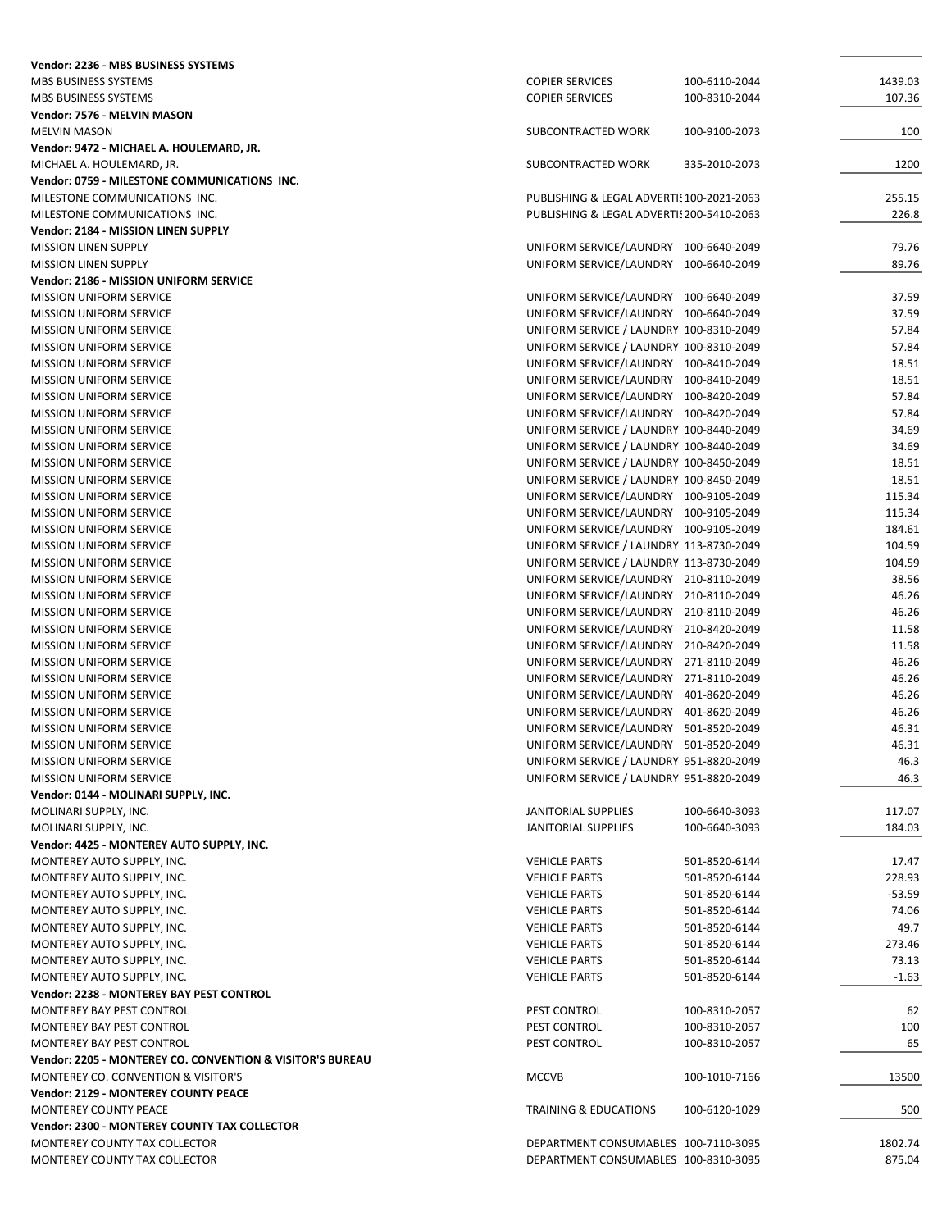| Vendor: 2236 - MBS BUSINESS SYSTEMS                                       |                                                                                  |                                |                  |
|---------------------------------------------------------------------------|----------------------------------------------------------------------------------|--------------------------------|------------------|
| MBS BUSINESS SYSTEMS                                                      | <b>COPIER SERVICES</b>                                                           | 100-6110-2044                  | 1439.03          |
| MBS BUSINESS SYSTEMS                                                      | <b>COPIER SERVICES</b>                                                           | 100-8310-2044                  | 107.36           |
| Vendor: 7576 - MELVIN MASON                                               |                                                                                  |                                |                  |
| <b>MELVIN MASON</b>                                                       | SUBCONTRACTED WORK                                                               | 100-9100-2073                  | 100              |
| Vendor: 9472 - MICHAEL A. HOULEMARD, JR.                                  |                                                                                  |                                |                  |
| MICHAEL A. HOULEMARD, JR.<br>Vendor: 0759 - MILESTONE COMMUNICATIONS INC. | <b>SUBCONTRACTED WORK</b>                                                        | 335-2010-2073                  | 1200             |
| MILESTONE COMMUNICATIONS INC.                                             | PUBLISHING & LEGAL ADVERTIS 100-2021-2063                                        |                                | 255.15           |
| MILESTONE COMMUNICATIONS INC.                                             | PUBLISHING & LEGAL ADVERTIS 200-5410-2063                                        |                                | 226.8            |
| Vendor: 2184 - MISSION LINEN SUPPLY                                       |                                                                                  |                                |                  |
| <b>MISSION LINEN SUPPLY</b>                                               | UNIFORM SERVICE/LAUNDRY 100-6640-2049                                            |                                | 79.76            |
| <b>MISSION LINEN SUPPLY</b>                                               | UNIFORM SERVICE/LAUNDRY 100-6640-2049                                            |                                | 89.76            |
| Vendor: 2186 - MISSION UNIFORM SERVICE                                    |                                                                                  |                                |                  |
| <b>MISSION UNIFORM SERVICE</b>                                            | UNIFORM SERVICE/LAUNDRY 100-6640-2049                                            |                                | 37.59            |
| <b>MISSION UNIFORM SERVICE</b>                                            | UNIFORM SERVICE/LAUNDRY 100-6640-2049                                            |                                | 37.59            |
| <b>MISSION UNIFORM SERVICE</b>                                            | UNIFORM SERVICE / LAUNDRY 100-8310-2049                                          |                                | 57.84            |
| <b>MISSION UNIFORM SERVICE</b>                                            | UNIFORM SERVICE / LAUNDRY 100-8310-2049                                          |                                | 57.84            |
| <b>MISSION UNIFORM SERVICE</b>                                            | UNIFORM SERVICE/LAUNDRY 100-8410-2049                                            |                                | 18.51            |
| <b>MISSION UNIFORM SERVICE</b>                                            | UNIFORM SERVICE/LAUNDRY 100-8410-2049                                            |                                | 18.51            |
| <b>MISSION UNIFORM SERVICE</b>                                            | UNIFORM SERVICE/LAUNDRY 100-8420-2049                                            |                                | 57.84            |
| <b>MISSION UNIFORM SERVICE</b><br><b>MISSION UNIFORM SERVICE</b>          | UNIFORM SERVICE/LAUNDRY 100-8420-2049<br>UNIFORM SERVICE / LAUNDRY 100-8440-2049 |                                | 57.84<br>34.69   |
| <b>MISSION UNIFORM SERVICE</b>                                            | UNIFORM SERVICE / LAUNDRY 100-8440-2049                                          |                                | 34.69            |
| <b>MISSION UNIFORM SERVICE</b>                                            | UNIFORM SERVICE / LAUNDRY 100-8450-2049                                          |                                | 18.51            |
| <b>MISSION UNIFORM SERVICE</b>                                            | UNIFORM SERVICE / LAUNDRY 100-8450-2049                                          |                                | 18.51            |
| <b>MISSION UNIFORM SERVICE</b>                                            | UNIFORM SERVICE/LAUNDRY 100-9105-2049                                            |                                | 115.34           |
| <b>MISSION UNIFORM SERVICE</b>                                            | UNIFORM SERVICE/LAUNDRY 100-9105-2049                                            |                                | 115.34           |
| <b>MISSION UNIFORM SERVICE</b>                                            | UNIFORM SERVICE/LAUNDRY 100-9105-2049                                            |                                | 184.61           |
| <b>MISSION UNIFORM SERVICE</b>                                            | UNIFORM SERVICE / LAUNDRY 113-8730-2049                                          |                                | 104.59           |
| <b>MISSION UNIFORM SERVICE</b>                                            | UNIFORM SERVICE / LAUNDRY 113-8730-2049                                          |                                | 104.59           |
| <b>MISSION UNIFORM SERVICE</b>                                            | UNIFORM SERVICE/LAUNDRY 210-8110-2049                                            |                                | 38.56            |
| <b>MISSION UNIFORM SERVICE</b>                                            | UNIFORM SERVICE/LAUNDRY 210-8110-2049                                            |                                | 46.26            |
| <b>MISSION UNIFORM SERVICE</b>                                            | UNIFORM SERVICE/LAUNDRY 210-8110-2049                                            |                                | 46.26            |
| <b>MISSION UNIFORM SERVICE</b>                                            | UNIFORM SERVICE/LAUNDRY 210-8420-2049                                            |                                | 11.58            |
| <b>MISSION UNIFORM SERVICE</b>                                            | UNIFORM SERVICE/LAUNDRY 210-8420-2049                                            |                                | 11.58            |
| <b>MISSION UNIFORM SERVICE</b>                                            | UNIFORM SERVICE/LAUNDRY 271-8110-2049                                            |                                | 46.26            |
| <b>MISSION UNIFORM SERVICE</b>                                            | UNIFORM SERVICE/LAUNDRY 271-8110-2049                                            |                                | 46.26            |
| <b>MISSION UNIFORM SERVICE</b><br><b>MISSION UNIFORM SERVICE</b>          | UNIFORM SERVICE/LAUNDRY 401-8620-2049<br>UNIFORM SERVICE/LAUNDRY 401-8620-2049   |                                | 46.26<br>46.26   |
| <b>MISSION UNIFORM SERVICE</b>                                            | UNIFORM SERVICE/LAUNDRY 501-8520-2049                                            |                                | 46.31            |
| <b>MISSION UNIFORM SERVICE</b>                                            | UNIFORM SERVICE/LAUNDRY                                                          | 501-8520-2049                  | 46.31            |
| <b>MISSION UNIFORM SERVICE</b>                                            | UNIFORM SERVICE / LAUNDRY 951-8820-2049                                          |                                | 46.3             |
| <b>MISSION UNIFORM SERVICE</b>                                            | UNIFORM SERVICE / LAUNDRY 951-8820-2049                                          |                                | 46.3             |
| Vendor: 0144 - MOLINARI SUPPLY, INC.                                      |                                                                                  |                                |                  |
| MOLINARI SUPPLY, INC.                                                     | <b>JANITORIAL SUPPLIES</b>                                                       | 100-6640-3093                  | 117.07           |
| MOLINARI SUPPLY, INC.                                                     | <b>JANITORIAL SUPPLIES</b>                                                       | 100-6640-3093                  | 184.03           |
| Vendor: 4425 - MONTEREY AUTO SUPPLY, INC.                                 |                                                                                  |                                |                  |
| MONTEREY AUTO SUPPLY, INC.                                                | <b>VEHICLE PARTS</b>                                                             | 501-8520-6144                  | 17.47            |
| MONTEREY AUTO SUPPLY, INC.                                                | <b>VEHICLE PARTS</b>                                                             | 501-8520-6144                  | 228.93           |
| MONTEREY AUTO SUPPLY, INC.                                                | <b>VEHICLE PARTS</b>                                                             | 501-8520-6144                  | $-53.59$         |
| MONTEREY AUTO SUPPLY, INC.                                                | <b>VEHICLE PARTS</b>                                                             | 501-8520-6144                  | 74.06            |
| MONTEREY AUTO SUPPLY, INC.                                                | <b>VEHICLE PARTS</b>                                                             | 501-8520-6144                  | 49.7             |
| MONTEREY AUTO SUPPLY, INC.                                                | <b>VEHICLE PARTS</b><br><b>VEHICLE PARTS</b>                                     | 501-8520-6144                  | 273.46           |
| MONTEREY AUTO SUPPLY, INC.<br>MONTEREY AUTO SUPPLY, INC.                  | <b>VEHICLE PARTS</b>                                                             | 501-8520-6144<br>501-8520-6144 | 73.13<br>$-1.63$ |
| Vendor: 2238 - MONTEREY BAY PEST CONTROL                                  |                                                                                  |                                |                  |
| MONTEREY BAY PEST CONTROL                                                 | PEST CONTROL                                                                     | 100-8310-2057                  | 62               |
| MONTEREY BAY PEST CONTROL                                                 | PEST CONTROL                                                                     | 100-8310-2057                  | 100              |
| MONTEREY BAY PEST CONTROL                                                 | PEST CONTROL                                                                     | 100-8310-2057                  | 65               |
| Vendor: 2205 - MONTEREY CO. CONVENTION & VISITOR'S BUREAU                 |                                                                                  |                                |                  |
| MONTEREY CO. CONVENTION & VISITOR'S                                       | <b>MCCVB</b>                                                                     | 100-1010-7166                  | 13500            |
| <b>Vendor: 2129 - MONTEREY COUNTY PEACE</b>                               |                                                                                  |                                |                  |
| MONTEREY COUNTY PEACE                                                     | <b>TRAINING &amp; EDUCATIONS</b>                                                 | 100-6120-1029                  | 500              |
| Vendor: 2300 - MONTEREY COUNTY TAX COLLECTOR                              |                                                                                  |                                |                  |
| MONTEREY COUNTY TAX COLLECTOR                                             | DEPARTMENT CONSUMABLES 100-7110-3095                                             |                                | 1802.74          |
| MONTEREY COUNTY TAX COLLECTOR                                             | DEPARTMENT CONSUMABLES 100-8310-3095                                             |                                | 875.04           |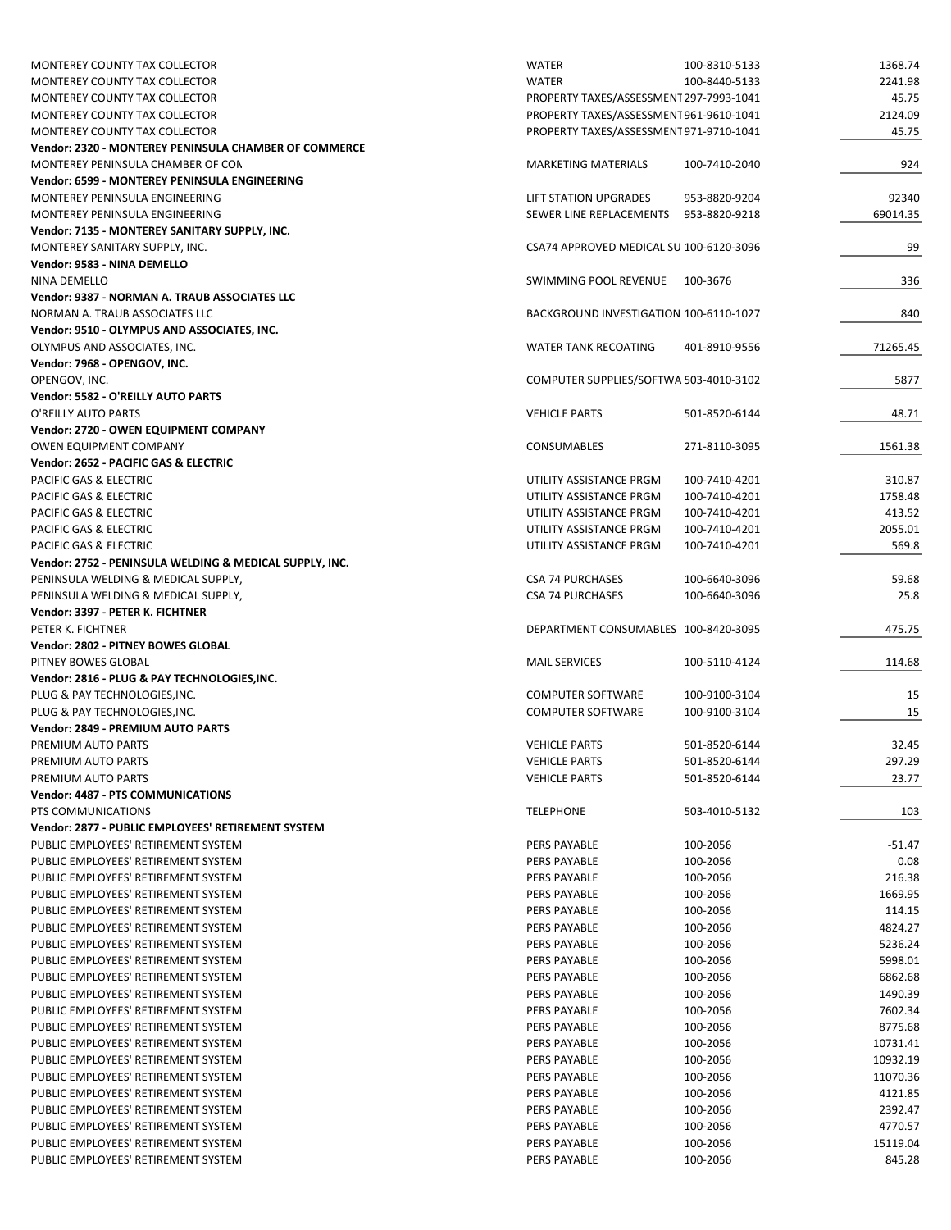| MONTEREY COUNTY TAX COLLECTOR                           | <b>WATER</b>                            | 100-8310-5133 | 1368.74  |
|---------------------------------------------------------|-----------------------------------------|---------------|----------|
| <b>MONTEREY COUNTY TAX COLLECTOR</b>                    | <b>WATER</b>                            | 100-8440-5133 | 2241.98  |
| MONTEREY COUNTY TAX COLLECTOR                           | PROPERTY TAXES/ASSESSMENT 297-7993-1041 |               | 45.75    |
| MONTEREY COUNTY TAX COLLECTOR                           | PROPERTY TAXES/ASSESSMENT 961-9610-1041 |               | 2124.09  |
| MONTEREY COUNTY TAX COLLECTOR                           | PROPERTY TAXES/ASSESSMENT 971-9710-1041 |               | 45.75    |
| Vendor: 2320 - MONTEREY PENINSULA CHAMBER OF COMMERCE   |                                         |               |          |
| MONTEREY PENINSULA CHAMBER OF CON                       | <b>MARKETING MATERIALS</b>              | 100-7410-2040 | 924      |
| Vendor: 6599 - MONTEREY PENINSULA ENGINEERING           |                                         |               |          |
| MONTEREY PENINSULA ENGINEERING                          | LIFT STATION UPGRADES                   | 953-8820-9204 | 92340    |
|                                                         |                                         |               |          |
| MONTEREY PENINSULA ENGINEERING                          | SEWER LINE REPLACEMENTS                 | 953-8820-9218 | 69014.35 |
| Vendor: 7135 - MONTEREY SANITARY SUPPLY, INC.           |                                         |               |          |
| MONTEREY SANITARY SUPPLY, INC.                          | CSA74 APPROVED MEDICAL SU 100-6120-3096 |               | 99       |
| Vendor: 9583 - NINA DEMELLO                             |                                         |               |          |
| NINA DEMELLO                                            | SWIMMING POOL REVENUE                   | 100-3676      | 336      |
| Vendor: 9387 - NORMAN A. TRAUB ASSOCIATES LLC           |                                         |               |          |
| NORMAN A. TRAUB ASSOCIATES LLC                          | BACKGROUND INVESTIGATION 100-6110-1027  |               | 840      |
| Vendor: 9510 - OLYMPUS AND ASSOCIATES, INC.             |                                         |               |          |
| OLYMPUS AND ASSOCIATES, INC.                            | <b>WATER TANK RECOATING</b>             | 401-8910-9556 | 71265.45 |
| Vendor: 7968 - OPENGOV, INC.                            |                                         |               |          |
| OPENGOV, INC.                                           | COMPUTER SUPPLIES/SOFTWA 503-4010-3102  |               | 5877     |
| Vendor: 5582 - O'REILLY AUTO PARTS                      |                                         |               |          |
| O'REILLY AUTO PARTS                                     | <b>VEHICLE PARTS</b>                    | 501-8520-6144 | 48.71    |
|                                                         |                                         |               |          |
| Vendor: 2720 - OWEN EQUIPMENT COMPANY                   |                                         |               |          |
| <b>OWEN EQUIPMENT COMPANY</b>                           | <b>CONSUMABLES</b>                      | 271-8110-3095 | 1561.38  |
| Vendor: 2652 - PACIFIC GAS & ELECTRIC                   |                                         |               |          |
| <b>PACIFIC GAS &amp; ELECTRIC</b>                       | UTILITY ASSISTANCE PRGM                 | 100-7410-4201 | 310.87   |
| PACIFIC GAS & ELECTRIC                                  | UTILITY ASSISTANCE PRGM                 | 100-7410-4201 | 1758.48  |
| PACIFIC GAS & ELECTRIC                                  | UTILITY ASSISTANCE PRGM                 | 100-7410-4201 | 413.52   |
| PACIFIC GAS & ELECTRIC                                  | UTILITY ASSISTANCE PRGM                 | 100-7410-4201 | 2055.01  |
| PACIFIC GAS & ELECTRIC                                  | UTILITY ASSISTANCE PRGM                 | 100-7410-4201 | 569.8    |
| Vendor: 2752 - PENINSULA WELDING & MEDICAL SUPPLY, INC. |                                         |               |          |
| PENINSULA WELDING & MEDICAL SUPPLY,                     | <b>CSA 74 PURCHASES</b>                 | 100-6640-3096 | 59.68    |
| PENINSULA WELDING & MEDICAL SUPPLY,                     | <b>CSA 74 PURCHASES</b>                 | 100-6640-3096 | 25.8     |
| Vendor: 3397 - PETER K. FICHTNER                        |                                         |               |          |
| PETER K. FICHTNER                                       | DEPARTMENT CONSUMABLES 100-8420-3095    |               | 475.75   |
|                                                         |                                         |               |          |
| Vendor: 2802 - PITNEY BOWES GLOBAL                      |                                         |               |          |
| PITNEY BOWES GLOBAL                                     | <b>MAIL SERVICES</b>                    | 100-5110-4124 | 114.68   |
| Vendor: 2816 - PLUG & PAY TECHNOLOGIES, INC.            |                                         |               |          |
| PLUG & PAY TECHNOLOGIES, INC.                           | <b>COMPUTER SOFTWARE</b>                | 100-9100-3104 | 15       |
| PLUG & PAY TECHNOLOGIES, INC.                           | <b>COMPUTER SOFTWARE</b>                | 100-9100-3104 | 15       |
| Vendor: 2849 - PREMIUM AUTO PARTS                       |                                         |               |          |
| PREMIUM AUTO PARTS                                      | <b>VEHICLE PARTS</b>                    | 501-8520-6144 | 32.45    |
| PREMIUM AUTO PARTS                                      | <b>VEHICLE PARTS</b>                    | 501-8520-6144 | 297.29   |
| PREMIUM AUTO PARTS                                      | <b>VEHICLE PARTS</b>                    | 501-8520-6144 | 23.77    |
| Vendor: 4487 - PTS COMMUNICATIONS                       |                                         |               |          |
| PTS COMMUNICATIONS                                      | <b>TELEPHONE</b>                        | 503-4010-5132 | 103      |
| Vendor: 2877 - PUBLIC EMPLOYEES' RETIREMENT SYSTEM      |                                         |               |          |
| PUBLIC EMPLOYEES' RETIREMENT SYSTEM                     | PERS PAYABLE                            | 100-2056      | $-51.47$ |
| PUBLIC EMPLOYEES' RETIREMENT SYSTEM                     |                                         | 100-2056      |          |
|                                                         | PERS PAYABLE                            |               | 0.08     |
| PUBLIC EMPLOYEES' RETIREMENT SYSTEM                     | <b>PERS PAYABLE</b>                     | 100-2056      | 216.38   |
| PUBLIC EMPLOYEES' RETIREMENT SYSTEM                     | PERS PAYABLE                            | 100-2056      | 1669.95  |
| PUBLIC EMPLOYEES' RETIREMENT SYSTEM                     | PERS PAYABLE                            | 100-2056      | 114.15   |
| PUBLIC EMPLOYEES' RETIREMENT SYSTEM                     | PERS PAYABLE                            | 100-2056      | 4824.27  |
| PUBLIC EMPLOYEES' RETIREMENT SYSTEM                     | PERS PAYABLE                            | 100-2056      | 5236.24  |
| PUBLIC EMPLOYEES' RETIREMENT SYSTEM                     | PERS PAYABLE                            | 100-2056      | 5998.01  |
| PUBLIC EMPLOYEES' RETIREMENT SYSTEM                     | PERS PAYABLE                            | 100-2056      | 6862.68  |
| PUBLIC EMPLOYEES' RETIREMENT SYSTEM                     | PERS PAYABLE                            | 100-2056      | 1490.39  |
| PUBLIC EMPLOYEES' RETIREMENT SYSTEM                     | PERS PAYABLE                            | 100-2056      | 7602.34  |
| PUBLIC EMPLOYEES' RETIREMENT SYSTEM                     | PERS PAYABLE                            | 100-2056      | 8775.68  |
|                                                         |                                         |               |          |
| PUBLIC EMPLOYEES' RETIREMENT SYSTEM                     | PERS PAYABLE                            | 100-2056      | 10731.41 |
| PUBLIC EMPLOYEES' RETIREMENT SYSTEM                     | PERS PAYABLE                            | 100-2056      | 10932.19 |
| PUBLIC EMPLOYEES' RETIREMENT SYSTEM                     | PERS PAYABLE                            | 100-2056      | 11070.36 |
| PUBLIC EMPLOYEES' RETIREMENT SYSTEM                     | PERS PAYABLE                            | 100-2056      | 4121.85  |
| PUBLIC EMPLOYEES' RETIREMENT SYSTEM                     | PERS PAYABLE                            | 100-2056      | 2392.47  |
| PUBLIC EMPLOYEES' RETIREMENT SYSTEM                     | PERS PAYABLE                            | 100-2056      | 4770.57  |
| PUBLIC EMPLOYEES' RETIREMENT SYSTEM                     | PERS PAYABLE                            | 100-2056      | 15119.04 |
| PUBLIC EMPLOYEES' RETIREMENT SYSTEM                     | PERS PAYABLE                            | 100-2056      | 845.28   |
|                                                         |                                         |               |          |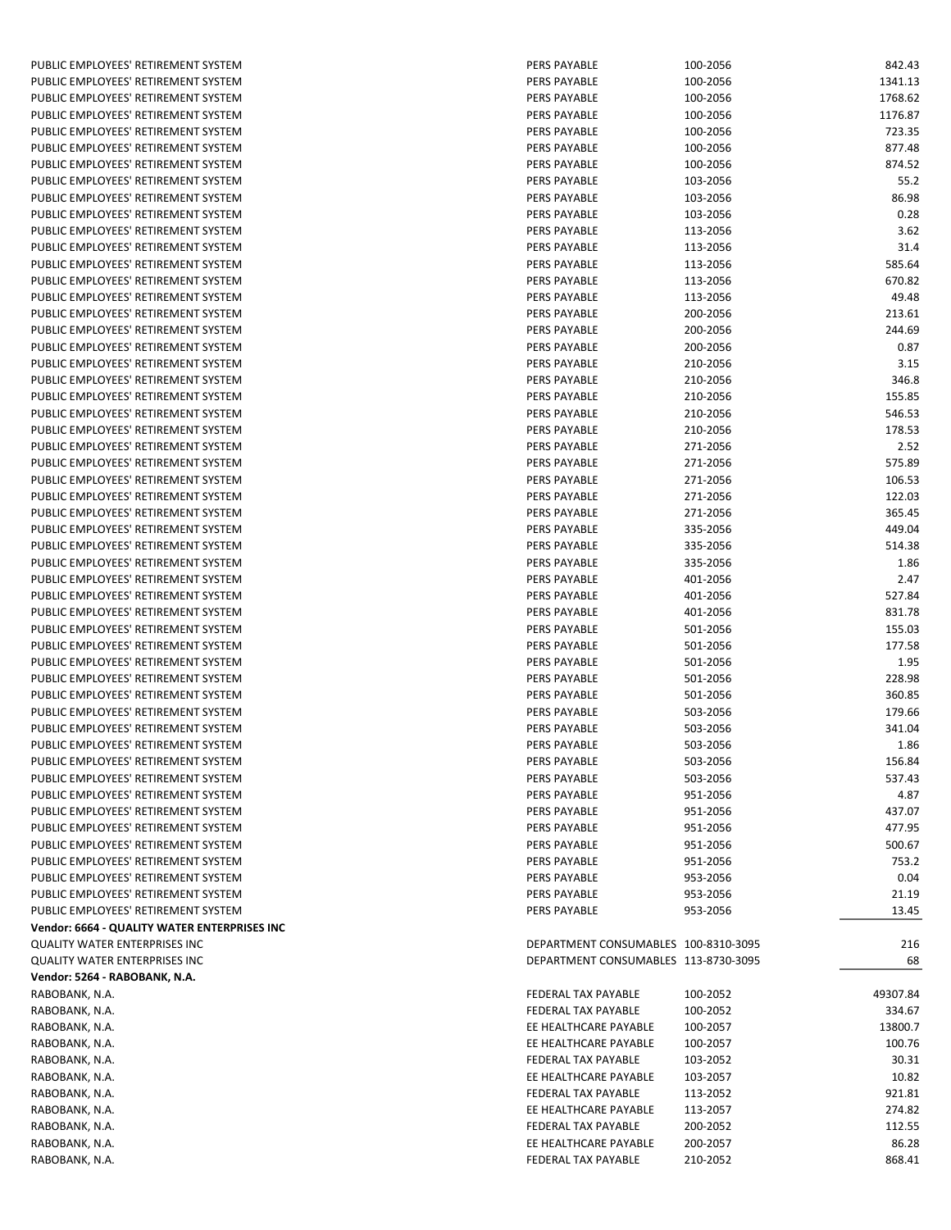| PUBLIC EMPLOYEES' RETIREMENT SYSTEM          | PERS PAYABLE                         | 100-2056 | 842.43   |
|----------------------------------------------|--------------------------------------|----------|----------|
| PUBLIC EMPLOYEES' RETIREMENT SYSTEM          | PERS PAYABLE                         | 100-2056 | 1341.13  |
| PUBLIC EMPLOYEES' RETIREMENT SYSTEM          | PERS PAYABLE                         | 100-2056 | 1768.62  |
| PUBLIC EMPLOYEES' RETIREMENT SYSTEM          | <b>PERS PAYABLE</b>                  |          | 1176.87  |
|                                              |                                      | 100-2056 |          |
| PUBLIC EMPLOYEES' RETIREMENT SYSTEM          | PERS PAYABLE                         | 100-2056 | 723.35   |
| PUBLIC EMPLOYEES' RETIREMENT SYSTEM          | PERS PAYABLE                         | 100-2056 | 877.48   |
| PUBLIC EMPLOYEES' RETIREMENT SYSTEM          | PERS PAYABLE                         | 100-2056 | 874.52   |
| PUBLIC EMPLOYEES' RETIREMENT SYSTEM          | PERS PAYABLE                         | 103-2056 | 55.2     |
| PUBLIC EMPLOYEES' RETIREMENT SYSTEM          | PERS PAYABLE                         | 103-2056 | 86.98    |
| PUBLIC EMPLOYEES' RETIREMENT SYSTEM          | PERS PAYABLE                         | 103-2056 | 0.28     |
| PUBLIC EMPLOYEES' RETIREMENT SYSTEM          | <b>PERS PAYABLE</b>                  | 113-2056 | 3.62     |
| PUBLIC EMPLOYEES' RETIREMENT SYSTEM          | PERS PAYABLE                         | 113-2056 | 31.4     |
| PUBLIC EMPLOYEES' RETIREMENT SYSTEM          | PERS PAYABLE                         | 113-2056 | 585.64   |
| PUBLIC EMPLOYEES' RETIREMENT SYSTEM          | PERS PAYABLE                         | 113-2056 | 670.82   |
| PUBLIC EMPLOYEES' RETIREMENT SYSTEM          | PERS PAYABLE                         | 113-2056 | 49.48    |
| PUBLIC EMPLOYEES' RETIREMENT SYSTEM          | PERS PAYABLE                         | 200-2056 | 213.61   |
| PUBLIC EMPLOYEES' RETIREMENT SYSTEM          | PERS PAYABLE                         | 200-2056 | 244.69   |
| PUBLIC EMPLOYEES' RETIREMENT SYSTEM          | PERS PAYABLE                         | 200-2056 | 0.87     |
| PUBLIC EMPLOYEES' RETIREMENT SYSTEM          | <b>PERS PAYABLE</b>                  | 210-2056 | 3.15     |
|                                              |                                      |          |          |
| PUBLIC EMPLOYEES' RETIREMENT SYSTEM          | PERS PAYABLE                         | 210-2056 | 346.8    |
| PUBLIC EMPLOYEES' RETIREMENT SYSTEM          | PERS PAYABLE                         | 210-2056 | 155.85   |
| PUBLIC EMPLOYEES' RETIREMENT SYSTEM          | PERS PAYABLE                         | 210-2056 | 546.53   |
| PUBLIC EMPLOYEES' RETIREMENT SYSTEM          | PERS PAYABLE                         | 210-2056 | 178.53   |
| PUBLIC EMPLOYEES' RETIREMENT SYSTEM          | PERS PAYABLE                         | 271-2056 | 2.52     |
| PUBLIC EMPLOYEES' RETIREMENT SYSTEM          | PERS PAYABLE                         | 271-2056 | 575.89   |
| PUBLIC EMPLOYEES' RETIREMENT SYSTEM          | <b>PERS PAYABLE</b>                  | 271-2056 | 106.53   |
| PUBLIC EMPLOYEES' RETIREMENT SYSTEM          | PERS PAYABLE                         | 271-2056 | 122.03   |
| PUBLIC EMPLOYEES' RETIREMENT SYSTEM          | PERS PAYABLE                         | 271-2056 | 365.45   |
| PUBLIC EMPLOYEES' RETIREMENT SYSTEM          | PERS PAYABLE                         | 335-2056 | 449.04   |
| PUBLIC EMPLOYEES' RETIREMENT SYSTEM          | PERS PAYABLE                         | 335-2056 | 514.38   |
| PUBLIC EMPLOYEES' RETIREMENT SYSTEM          | PERS PAYABLE                         | 335-2056 | 1.86     |
| PUBLIC EMPLOYEES' RETIREMENT SYSTEM          | PERS PAYABLE                         | 401-2056 | 2.47     |
| PUBLIC EMPLOYEES' RETIREMENT SYSTEM          | PERS PAYABLE                         | 401-2056 | 527.84   |
| PUBLIC EMPLOYEES' RETIREMENT SYSTEM          | PERS PAYABLE                         | 401-2056 | 831.78   |
| PUBLIC EMPLOYEES' RETIREMENT SYSTEM          | PERS PAYABLE                         | 501-2056 | 155.03   |
| PUBLIC EMPLOYEES' RETIREMENT SYSTEM          | PERS PAYABLE                         |          | 177.58   |
|                                              | <b>PERS PAYABLE</b>                  | 501-2056 |          |
| PUBLIC EMPLOYEES' RETIREMENT SYSTEM          |                                      | 501-2056 | 1.95     |
| PUBLIC EMPLOYEES' RETIREMENT SYSTEM          | PERS PAYABLE                         | 501-2056 | 228.98   |
| PUBLIC EMPLOYEES' RETIREMENT SYSTEM          | PERS PAYABLE                         | 501-2056 | 360.85   |
| PUBLIC EMPLOYEES' RETIREMENT SYSTEM          | PERS PAYABLE                         | 503-2056 | 179.66   |
| PUBLIC EMPLOYEES' RETIREMENT SYSTEM          | PERS PAYABLE                         | 503-2056 | 341.04   |
| PUBLIC EMPLOYEES' RETIREMENT SYSTEM          | <b>PERS PAYABLE</b>                  | 503-2056 | 1.86     |
| PUBLIC EMPLOYEES' RETIREMENT SYSTEM          | PERS PAYABLE                         | 503-2056 | 156.84   |
| PUBLIC EMPLOYEES' RETIREMENT SYSTEM          | PERS PAYABLE                         | 503-2056 | 537.43   |
| PUBLIC EMPLOYEES' RETIREMENT SYSTEM          | PERS PAYABLE                         | 951-2056 | 4.87     |
| PUBLIC EMPLOYEES' RETIREMENT SYSTEM          | PERS PAYABLE                         | 951-2056 | 437.07   |
| PUBLIC EMPLOYEES' RETIREMENT SYSTEM          | <b>PERS PAYABLE</b>                  | 951-2056 | 477.95   |
| PUBLIC EMPLOYEES' RETIREMENT SYSTEM          | PERS PAYABLE                         | 951-2056 | 500.67   |
| PUBLIC EMPLOYEES' RETIREMENT SYSTEM          | PERS PAYABLE                         | 951-2056 | 753.2    |
| PUBLIC EMPLOYEES' RETIREMENT SYSTEM          | PERS PAYABLE                         | 953-2056 | 0.04     |
| PUBLIC EMPLOYEES' RETIREMENT SYSTEM          | PERS PAYABLE                         | 953-2056 | 21.19    |
| PUBLIC EMPLOYEES' RETIREMENT SYSTEM          | PERS PAYABLE                         | 953-2056 | 13.45    |
| Vendor: 6664 - QUALITY WATER ENTERPRISES INC |                                      |          |          |
| QUALITY WATER ENTERPRISES INC                | DEPARTMENT CONSUMABLES 100-8310-3095 |          | 216      |
|                                              |                                      |          |          |
| <b>QUALITY WATER ENTERPRISES INC</b>         | DEPARTMENT CONSUMABLES 113-8730-3095 |          | 68       |
| Vendor: 5264 - RABOBANK, N.A.                |                                      |          |          |
| RABOBANK, N.A.                               | FEDERAL TAX PAYABLE                  | 100-2052 | 49307.84 |
| RABOBANK, N.A.                               | FEDERAL TAX PAYABLE                  | 100-2052 | 334.67   |
| RABOBANK, N.A.                               | EE HEALTHCARE PAYABLE                | 100-2057 | 13800.7  |
| RABOBANK, N.A.                               | EE HEALTHCARE PAYABLE                | 100-2057 | 100.76   |
| RABOBANK, N.A.                               | FEDERAL TAX PAYABLE                  | 103-2052 | 30.31    |
| RABOBANK, N.A.                               | EE HEALTHCARE PAYABLE                | 103-2057 | 10.82    |
| RABOBANK, N.A.                               | FEDERAL TAX PAYABLE                  | 113-2052 | 921.81   |
| RABOBANK, N.A.                               | EE HEALTHCARE PAYABLE                | 113-2057 | 274.82   |
| RABOBANK, N.A.                               | FEDERAL TAX PAYABLE                  | 200-2052 | 112.55   |
| RABOBANK, N.A.                               | EE HEALTHCARE PAYABLE                | 200-2057 | 86.28    |
| RABOBANK, N.A.                               | FEDERAL TAX PAYABLE                  | 210-2052 | 868.41   |
|                                              |                                      |          |          |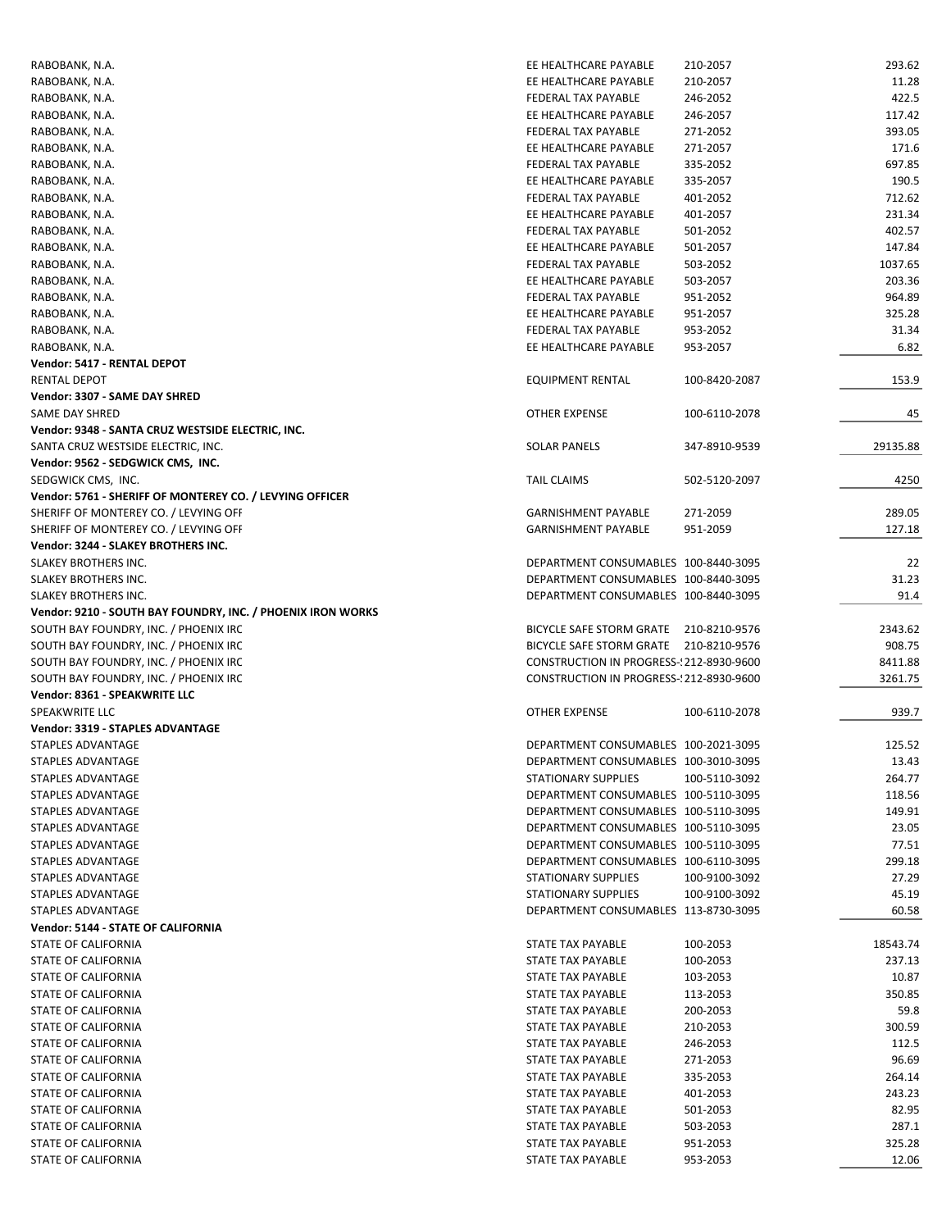| RABOBANK, N.A.                                              | EE HEALTHCARE PAYABLE                    | 210-2057      | 293.62   |
|-------------------------------------------------------------|------------------------------------------|---------------|----------|
| RABOBANK, N.A.                                              | EE HEALTHCARE PAYABLE                    | 210-2057      | 11.28    |
| RABOBANK, N.A.                                              | FEDERAL TAX PAYABLE                      | 246-2052      | 422.5    |
| RABOBANK, N.A.                                              | EE HEALTHCARE PAYABLE                    | 246-2057      | 117.42   |
| RABOBANK, N.A.                                              | FEDERAL TAX PAYABLE                      | 271-2052      | 393.05   |
| RABOBANK, N.A.                                              | EE HEALTHCARE PAYABLE                    | 271-2057      | 171.6    |
| RABOBANK, N.A.                                              | <b>FEDERAL TAX PAYABLE</b>               | 335-2052      | 697.85   |
|                                                             | EE HEALTHCARE PAYABLE                    | 335-2057      | 190.5    |
| RABOBANK, N.A.                                              |                                          |               |          |
| RABOBANK, N.A.                                              | FEDERAL TAX PAYABLE                      | 401-2052      | 712.62   |
| RABOBANK, N.A.                                              | EE HEALTHCARE PAYABLE                    | 401-2057      | 231.34   |
| RABOBANK, N.A.                                              | FEDERAL TAX PAYABLE                      | 501-2052      | 402.57   |
| RABOBANK, N.A.                                              | EE HEALTHCARE PAYABLE                    | 501-2057      | 147.84   |
| RABOBANK, N.A.                                              | FEDERAL TAX PAYABLE                      | 503-2052      | 1037.65  |
| RABOBANK, N.A.                                              | EE HEALTHCARE PAYABLE                    | 503-2057      | 203.36   |
| RABOBANK, N.A.                                              | FEDERAL TAX PAYABLE                      | 951-2052      | 964.89   |
| RABOBANK, N.A.                                              | EE HEALTHCARE PAYABLE                    | 951-2057      | 325.28   |
| RABOBANK, N.A.                                              | FEDERAL TAX PAYABLE                      | 953-2052      | 31.34    |
| RABOBANK, N.A.                                              | EE HEALTHCARE PAYABLE                    | 953-2057      | 6.82     |
| Vendor: 5417 - RENTAL DEPOT                                 |                                          |               |          |
| <b>RENTAL DEPOT</b>                                         | <b>EQUIPMENT RENTAL</b>                  | 100-8420-2087 | 153.9    |
| Vendor: 3307 - SAME DAY SHRED                               |                                          |               |          |
| SAME DAY SHRED                                              | <b>OTHER EXPENSE</b>                     | 100-6110-2078 | 45       |
|                                                             |                                          |               |          |
| Vendor: 9348 - SANTA CRUZ WESTSIDE ELECTRIC, INC.           |                                          |               |          |
| SANTA CRUZ WESTSIDE ELECTRIC, INC.                          | <b>SOLAR PANELS</b>                      | 347-8910-9539 | 29135.88 |
| Vendor: 9562 - SEDGWICK CMS, INC.                           |                                          |               |          |
| SEDGWICK CMS, INC.                                          | <b>TAIL CLAIMS</b>                       | 502-5120-2097 | 4250     |
| Vendor: 5761 - SHERIFF OF MONTEREY CO. / LEVYING OFFICER    |                                          |               |          |
| SHERIFF OF MONTEREY CO. / LEVYING OFF                       | <b>GARNISHMENT PAYABLE</b>               | 271-2059      | 289.05   |
| SHERIFF OF MONTEREY CO. / LEVYING OFF                       | <b>GARNISHMENT PAYABLE</b>               | 951-2059      | 127.18   |
| Vendor: 3244 - SLAKEY BROTHERS INC.                         |                                          |               |          |
| SLAKEY BROTHERS INC.                                        | DEPARTMENT CONSUMABLES 100-8440-3095     |               | 22       |
| SLAKEY BROTHERS INC.                                        | DEPARTMENT CONSUMABLES 100-8440-3095     |               | 31.23    |
| SLAKEY BROTHERS INC.                                        | DEPARTMENT CONSUMABLES 100-8440-3095     |               | 91.4     |
| Vendor: 9210 - SOUTH BAY FOUNDRY, INC. / PHOENIX IRON WORKS |                                          |               |          |
| SOUTH BAY FOUNDRY, INC. / PHOENIX IRC                       | BICYCLE SAFE STORM GRATE 210-8210-9576   |               | 2343.62  |
| SOUTH BAY FOUNDRY, INC. / PHOENIX IRC                       | BICYCLE SAFE STORM GRATE 210-8210-9576   |               | 908.75   |
| SOUTH BAY FOUNDRY, INC. / PHOENIX IRC                       | CONSTRUCTION IN PROGRESS-1212-8930-9600  |               | 8411.88  |
|                                                             |                                          |               | 3261.75  |
| SOUTH BAY FOUNDRY, INC. / PHOENIX IRC                       | CONSTRUCTION IN PROGRESS-! 212-8930-9600 |               |          |
| Vendor: 8361 - SPEAKWRITE LLC                               |                                          |               |          |
| SPEAKWRITE LLC                                              | OTHER EXPENSE                            | 100-6110-2078 | 939.7    |
| Vendor: 3319 - STAPLES ADVANTAGE                            |                                          |               |          |
| <b>STAPLES ADVANTAGE</b>                                    | DEPARTMENT CONSUMABLES 100-2021-3095     |               | 125.52   |
| STAPLES ADVANTAGE                                           | DEPARTMENT CONSUMABLES 100-3010-3095     |               | 13.43    |
| STAPLES ADVANTAGE                                           | STATIONARY SUPPLIES                      | 100-5110-3092 | 264.77   |
| STAPLES ADVANTAGE                                           | DEPARTMENT CONSUMABLES 100-5110-3095     |               | 118.56   |
| STAPLES ADVANTAGE                                           | DEPARTMENT CONSUMABLES 100-5110-3095     |               | 149.91   |
| STAPLES ADVANTAGE                                           | DEPARTMENT CONSUMABLES 100-5110-3095     |               | 23.05    |
| STAPLES ADVANTAGE                                           | DEPARTMENT CONSUMABLES 100-5110-3095     |               | 77.51    |
| STAPLES ADVANTAGE                                           | DEPARTMENT CONSUMABLES 100-6110-3095     |               | 299.18   |
| STAPLES ADVANTAGE                                           | STATIONARY SUPPLIES                      | 100-9100-3092 | 27.29    |
|                                                             |                                          |               |          |
| STAPLES ADVANTAGE                                           | <b>STATIONARY SUPPLIES</b>               | 100-9100-3092 | 45.19    |
| STAPLES ADVANTAGE                                           | DEPARTMENT CONSUMABLES 113-8730-3095     |               | 60.58    |
| Vendor: 5144 - STATE OF CALIFORNIA                          |                                          |               |          |
| STATE OF CALIFORNIA                                         | STATE TAX PAYABLE                        | 100-2053      | 18543.74 |
| STATE OF CALIFORNIA                                         | STATE TAX PAYABLE                        | 100-2053      | 237.13   |
| STATE OF CALIFORNIA                                         | STATE TAX PAYABLE                        | 103-2053      | 10.87    |
| STATE OF CALIFORNIA                                         | STATE TAX PAYABLE                        | 113-2053      | 350.85   |
| STATE OF CALIFORNIA                                         | STATE TAX PAYABLE                        | 200-2053      | 59.8     |
| STATE OF CALIFORNIA                                         | STATE TAX PAYABLE                        | 210-2053      | 300.59   |
| STATE OF CALIFORNIA                                         | STATE TAX PAYABLE                        | 246-2053      | 112.5    |
| STATE OF CALIFORNIA                                         | STATE TAX PAYABLE                        | 271-2053      | 96.69    |
| STATE OF CALIFORNIA                                         | STATE TAX PAYABLE                        | 335-2053      | 264.14   |
| STATE OF CALIFORNIA                                         | STATE TAX PAYABLE                        | 401-2053      | 243.23   |
| STATE OF CALIFORNIA                                         |                                          |               | 82.95    |
|                                                             | STATE TAX PAYABLE                        | 501-2053      |          |
| STATE OF CALIFORNIA                                         | STATE TAX PAYABLE                        | 503-2053      | 287.1    |
| STATE OF CALIFORNIA                                         | STATE TAX PAYABLE                        | 951-2053      | 325.28   |
| STATE OF CALIFORNIA                                         | STATE TAX PAYABLE                        | 953-2053      | 12.06    |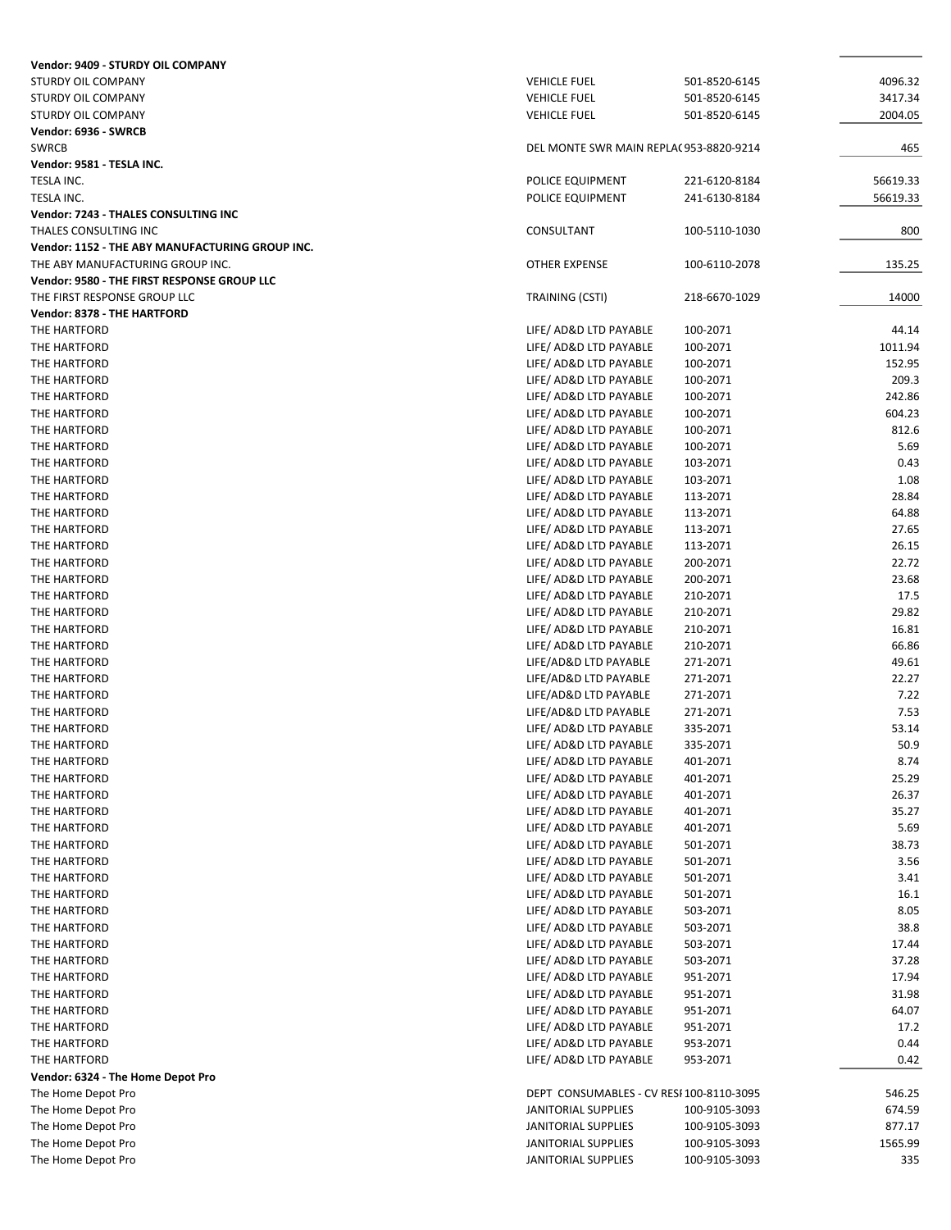| Vendor: 9409 - STURDY OIL COMPANY               |                                                  |                      |               |
|-------------------------------------------------|--------------------------------------------------|----------------------|---------------|
| STURDY OIL COMPANY                              | <b>VEHICLE FUEL</b>                              | 501-8520-6145        | 4096.32       |
| STURDY OIL COMPANY                              | <b>VEHICLE FUEL</b>                              | 501-8520-6145        | 3417.34       |
| STURDY OIL COMPANY                              | <b>VEHICLE FUEL</b>                              | 501-8520-6145        | 2004.05       |
| Vendor: 6936 - SWRCB                            |                                                  |                      |               |
| <b>SWRCB</b>                                    | DEL MONTE SWR MAIN REPLAC 953-8820-9214          |                      | 465           |
| Vendor: 9581 - TESLA INC.                       |                                                  |                      |               |
| TESLA INC.                                      | POLICE EQUIPMENT                                 | 221-6120-8184        | 56619.33      |
| TESLA INC.                                      | POLICE EQUIPMENT                                 | 241-6130-8184        | 56619.33      |
| Vendor: 7243 - THALES CONSULTING INC            |                                                  |                      |               |
| THALES CONSULTING INC                           | CONSULTANT                                       | 100-5110-1030        | 800           |
| Vendor: 1152 - THE ABY MANUFACTURING GROUP INC. |                                                  |                      |               |
| THE ABY MANUFACTURING GROUP INC.                | OTHER EXPENSE                                    | 100-6110-2078        | 135.25        |
| Vendor: 9580 - THE FIRST RESPONSE GROUP LLC     |                                                  |                      |               |
| THE FIRST RESPONSE GROUP LLC                    | TRAINING (CSTI)                                  | 218-6670-1029        | 14000         |
| Vendor: 8378 - THE HARTFORD                     |                                                  |                      |               |
| THE HARTFORD                                    | LIFE/ AD&D LTD PAYABLE                           | 100-2071             | 44.14         |
| THE HARTFORD                                    | LIFE/ AD&D LTD PAYABLE                           | 100-2071             | 1011.94       |
| THE HARTFORD                                    | LIFE/ AD&D LTD PAYABLE                           | 100-2071             | 152.95        |
| THE HARTFORD                                    | LIFE/ AD&D LTD PAYABLE                           | 100-2071             | 209.3         |
| THE HARTFORD                                    | LIFE/ AD&D LTD PAYABLE                           | 100-2071             | 242.86        |
| THE HARTFORD                                    | LIFE/ AD&D LTD PAYABLE                           | 100-2071             | 604.23        |
| THE HARTFORD                                    | LIFE/ AD&D LTD PAYABLE                           | 100-2071             | 812.6         |
| THE HARTFORD                                    | LIFE/ AD&D LTD PAYABLE                           | 100-2071             | 5.69          |
| THE HARTFORD                                    | LIFE/ AD&D LTD PAYABLE                           | 103-2071             | 0.43          |
| THE HARTFORD                                    | LIFE/ AD&D LTD PAYABLE                           | 103-2071             | 1.08          |
| THE HARTFORD                                    | LIFE/ AD&D LTD PAYABLE                           | 113-2071             | 28.84         |
| THE HARTFORD                                    | LIFE/ AD&D LTD PAYABLE                           | 113-2071             | 64.88         |
| THE HARTFORD                                    | LIFE/ AD&D LTD PAYABLE                           | 113-2071             | 27.65         |
| THE HARTFORD                                    | LIFE/ AD&D LTD PAYABLE                           | 113-2071             | 26.15         |
| THE HARTFORD                                    | LIFE/ AD&D LTD PAYABLE                           | 200-2071             | 22.72         |
| THE HARTFORD                                    | LIFE/ AD&D LTD PAYABLE                           | 200-2071             | 23.68         |
| THE HARTFORD                                    | LIFE/ AD&D LTD PAYABLE                           | 210-2071             | 17.5          |
| THE HARTFORD                                    | LIFE/ AD&D LTD PAYABLE                           | 210-2071             | 29.82         |
| THE HARTFORD                                    | LIFE/ AD&D LTD PAYABLE                           | 210-2071             | 16.81         |
| THE HARTFORD                                    | LIFE/ AD&D LTD PAYABLE                           | 210-2071             | 66.86         |
| THE HARTFORD                                    | LIFE/AD&D LTD PAYABLE                            | 271-2071             | 49.61         |
| THE HARTFORD                                    | LIFE/AD&D LTD PAYABLE                            | 271-2071             | 22.27         |
| THE HARTFORD                                    | LIFE/AD&D LTD PAYABLE                            | 271-2071             | 7.22          |
| THE HARTFORD                                    | LIFE/AD&D LTD PAYABLE<br>LIFE/ AD&D LTD PAYABLE  | 271-2071             | 7.53<br>53.14 |
| THE HARTFORD<br>THE HARTFORD                    | LIFE/ AD&D LTD PAYABLE                           | 335-2071<br>335-2071 | 50.9          |
|                                                 |                                                  |                      |               |
| THE HARTFORD<br>THE HARTFORD                    | LIFE/ AD&D LTD PAYABLE<br>LIFE/ AD&D LTD PAYABLE | 401-2071<br>401-2071 | 8.74<br>25.29 |
| THE HARTFORD                                    | LIFE/ AD&D LTD PAYABLE                           | 401-2071             | 26.37         |
| THE HARTFORD                                    | LIFE/ AD&D LTD PAYABLE                           | 401-2071             | 35.27         |
| THE HARTFORD                                    | LIFE/ AD&D LTD PAYABLE                           | 401-2071             | 5.69          |
| THE HARTFORD                                    | LIFE/ AD&D LTD PAYABLE                           | 501-2071             | 38.73         |
| THE HARTFORD                                    | LIFE/ AD&D LTD PAYABLE                           | 501-2071             | 3.56          |
| THE HARTFORD                                    | LIFE/ AD&D LTD PAYABLE                           | 501-2071             | 3.41          |
| THE HARTFORD                                    | LIFE/ AD&D LTD PAYABLE                           | 501-2071             | 16.1          |
| THE HARTFORD                                    | LIFE/ AD&D LTD PAYABLE                           | 503-2071             | 8.05          |
| THE HARTFORD                                    | LIFE/ AD&D LTD PAYABLE                           | 503-2071             | 38.8          |
| THE HARTFORD                                    | LIFE/ AD&D LTD PAYABLE                           | 503-2071             | 17.44         |
| THE HARTFORD                                    | LIFE/ AD&D LTD PAYABLE                           | 503-2071             | 37.28         |
| THE HARTFORD                                    | LIFE/ AD&D LTD PAYABLE                           | 951-2071             | 17.94         |
| THE HARTFORD                                    | LIFE/ AD&D LTD PAYABLE                           | 951-2071             | 31.98         |
| THE HARTFORD                                    | LIFE/ AD&D LTD PAYABLE                           | 951-2071             | 64.07         |
| THE HARTFORD                                    | LIFE/ AD&D LTD PAYABLE                           | 951-2071             | 17.2          |
| THE HARTFORD                                    | LIFE/ AD&D LTD PAYABLE                           | 953-2071             | 0.44          |
| THE HARTFORD                                    | LIFE/ AD&D LTD PAYABLE                           | 953-2071             | 0.42          |
| Vendor: 6324 - The Home Depot Pro               |                                                  |                      |               |
| The Home Depot Pro                              | DEPT CONSUMABLES - CV RESI 100-8110-3095         |                      | 546.25        |
| The Home Depot Pro                              | JANITORIAL SUPPLIES                              | 100-9105-3093        | 674.59        |
| The Home Depot Pro                              | JANITORIAL SUPPLIES                              | 100-9105-3093        | 877.17        |
| The Home Depot Pro                              | JANITORIAL SUPPLIES                              | 100-9105-3093        | 1565.99       |
| The Home Depot Pro                              | JANITORIAL SUPPLIES                              | 100-9105-3093        | 335           |
|                                                 |                                                  |                      |               |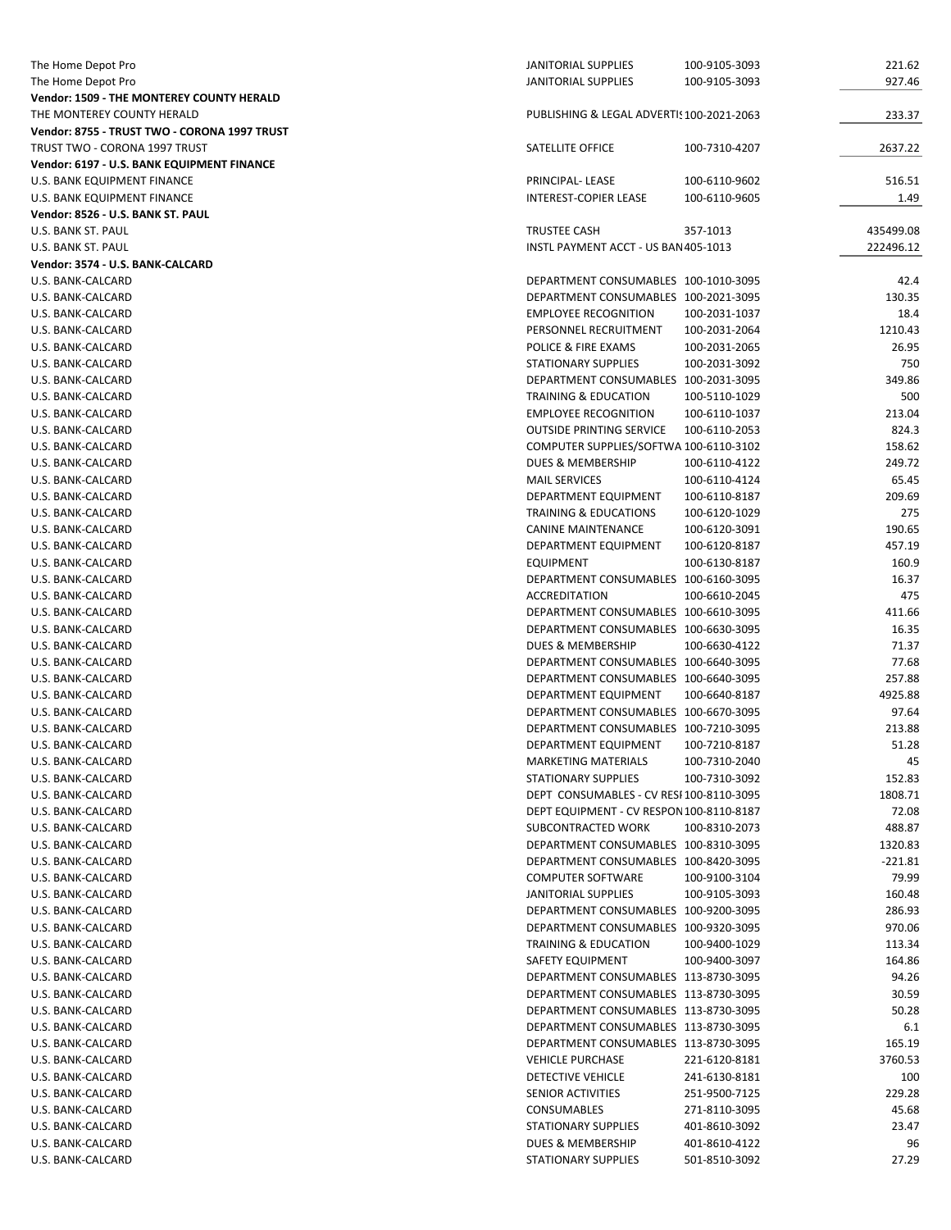| The Home Depot Pro                           | <b>JANITORIAL SUPPLIES</b>                | 100-9105-3093 | 221.62    |
|----------------------------------------------|-------------------------------------------|---------------|-----------|
| The Home Depot Pro                           | JANITORIAL SUPPLIES                       | 100-9105-3093 | 927.46    |
| Vendor: 1509 - THE MONTEREY COUNTY HERALD    |                                           |               |           |
| THE MONTEREY COUNTY HERALD                   | PUBLISHING & LEGAL ADVERTIS 100-2021-2063 |               | 233.37    |
| Vendor: 8755 - TRUST TWO - CORONA 1997 TRUST |                                           |               |           |
|                                              |                                           |               |           |
| TRUST TWO - CORONA 1997 TRUST                | SATELLITE OFFICE                          | 100-7310-4207 | 2637.22   |
| Vendor: 6197 - U.S. BANK EQUIPMENT FINANCE   |                                           |               |           |
| U.S. BANK EQUIPMENT FINANCE                  | PRINCIPAL-LEASE                           | 100-6110-9602 | 516.51    |
| U.S. BANK EQUIPMENT FINANCE                  | INTEREST-COPIER LEASE                     | 100-6110-9605 | 1.49      |
| Vendor: 8526 - U.S. BANK ST. PAUL            |                                           |               |           |
| U.S. BANK ST. PAUL                           | <b>TRUSTEE CASH</b>                       | 357-1013      | 435499.08 |
| U.S. BANK ST. PAUL                           | INSTL PAYMENT ACCT - US BAN 405-1013      |               | 222496.12 |
|                                              |                                           |               |           |
| Vendor: 3574 - U.S. BANK-CALCARD             |                                           |               |           |
| U.S. BANK-CALCARD                            | DEPARTMENT CONSUMABLES 100-1010-3095      |               | 42.4      |
| U.S. BANK-CALCARD                            | DEPARTMENT CONSUMABLES 100-2021-3095      |               | 130.35    |
| U.S. BANK-CALCARD                            | <b>EMPLOYEE RECOGNITION</b>               | 100-2031-1037 | 18.4      |
| U.S. BANK-CALCARD                            | PERSONNEL RECRUITMENT                     | 100-2031-2064 | 1210.43   |
| U.S. BANK-CALCARD                            | POLICE & FIRE EXAMS                       | 100-2031-2065 | 26.95     |
| U.S. BANK-CALCARD                            | <b>STATIONARY SUPPLIES</b>                | 100-2031-3092 | 750       |
| U.S. BANK-CALCARD                            | DEPARTMENT CONSUMABLES 100-2031-3095      |               | 349.86    |
|                                              |                                           |               |           |
| U.S. BANK-CALCARD                            | <b>TRAINING &amp; EDUCATION</b>           | 100-5110-1029 | 500       |
| U.S. BANK-CALCARD                            | <b>EMPLOYEE RECOGNITION</b>               | 100-6110-1037 | 213.04    |
| U.S. BANK-CALCARD                            | <b>OUTSIDE PRINTING SERVICE</b>           | 100-6110-2053 | 824.3     |
| U.S. BANK-CALCARD                            | COMPUTER SUPPLIES/SOFTWA 100-6110-3102    |               | 158.62    |
| U.S. BANK-CALCARD                            | <b>DUES &amp; MEMBERSHIP</b>              | 100-6110-4122 | 249.72    |
| U.S. BANK-CALCARD                            | <b>MAIL SERVICES</b>                      | 100-6110-4124 | 65.45     |
| U.S. BANK-CALCARD                            | DEPARTMENT EQUIPMENT                      | 100-6110-8187 | 209.69    |
|                                              |                                           |               |           |
| U.S. BANK-CALCARD                            | <b>TRAINING &amp; EDUCATIONS</b>          | 100-6120-1029 | 275       |
| U.S. BANK-CALCARD                            | <b>CANINE MAINTENANCE</b>                 | 100-6120-3091 | 190.65    |
| U.S. BANK-CALCARD                            | DEPARTMENT EQUIPMENT                      | 100-6120-8187 | 457.19    |
| U.S. BANK-CALCARD                            | <b>EQUIPMENT</b>                          | 100-6130-8187 | 160.9     |
| U.S. BANK-CALCARD                            | DEPARTMENT CONSUMABLES 100-6160-3095      |               | 16.37     |
| U.S. BANK-CALCARD                            | <b>ACCREDITATION</b>                      | 100-6610-2045 | 475       |
| U.S. BANK-CALCARD                            | DEPARTMENT CONSUMABLES 100-6610-3095      |               | 411.66    |
| U.S. BANK-CALCARD                            | DEPARTMENT CONSUMABLES 100-6630-3095      |               | 16.35     |
|                                              |                                           |               |           |
| U.S. BANK-CALCARD                            | DUES & MEMBERSHIP                         | 100-6630-4122 | 71.37     |
| U.S. BANK-CALCARD                            | DEPARTMENT CONSUMABLES 100-6640-3095      |               | 77.68     |
| U.S. BANK-CALCARD                            | DEPARTMENT CONSUMABLES 100-6640-3095      |               | 257.88    |
| U.S. BANK-CALCARD                            | <b>DEPARTMENT EQUIPMENT</b>               | 100-6640-8187 | 4925.88   |
| U.S. BANK-CALCARD                            | DEPARTMENT CONSUMABLES 100-6670-3095      |               | 97.64     |
| U.S. BANK-CALCARD                            | DEPARTMENT CONSUMABLES 100-7210-3095      |               | 213.88    |
| U.S. BANK-CALCARD                            | DEPARTMENT EQUIPMENT                      | 100-7210-8187 | 51.28     |
|                                              | <b>MARKETING MATERIALS</b>                | 100-7310-2040 |           |
| U.S. BANK-CALCARD                            |                                           |               | 45        |
| U.S. BANK-CALCARD                            | <b>STATIONARY SUPPLIES</b>                | 100-7310-3092 | 152.83    |
| U.S. BANK-CALCARD                            | DEPT CONSUMABLES - CV RESI 100-8110-3095  |               | 1808.71   |
| U.S. BANK-CALCARD                            | DEPT EQUIPMENT - CV RESPON 100-8110-8187  |               | 72.08     |
| U.S. BANK-CALCARD                            | SUBCONTRACTED WORK                        | 100-8310-2073 | 488.87    |
| U.S. BANK-CALCARD                            | DEPARTMENT CONSUMABLES 100-8310-3095      |               | 1320.83   |
| U.S. BANK-CALCARD                            | DEPARTMENT CONSUMABLES 100-8420-3095      |               | $-221.81$ |
| U.S. BANK-CALCARD                            | <b>COMPUTER SOFTWARE</b>                  | 100-9100-3104 | 79.99     |
| U.S. BANK-CALCARD                            | <b>JANITORIAL SUPPLIES</b>                |               |           |
|                                              |                                           | 100-9105-3093 | 160.48    |
| U.S. BANK-CALCARD                            | DEPARTMENT CONSUMABLES 100-9200-3095      |               | 286.93    |
| U.S. BANK-CALCARD                            | DEPARTMENT CONSUMABLES 100-9320-3095      |               | 970.06    |
| U.S. BANK-CALCARD                            | <b>TRAINING &amp; EDUCATION</b>           | 100-9400-1029 | 113.34    |
| U.S. BANK-CALCARD                            | SAFETY EQUIPMENT                          | 100-9400-3097 | 164.86    |
| U.S. BANK-CALCARD                            | DEPARTMENT CONSUMABLES 113-8730-3095      |               | 94.26     |
| U.S. BANK-CALCARD                            | DEPARTMENT CONSUMABLES 113-8730-3095      |               | 30.59     |
|                                              | DEPARTMENT CONSUMABLES 113-8730-3095      |               |           |
| U.S. BANK-CALCARD                            |                                           |               | 50.28     |
| U.S. BANK-CALCARD                            | DEPARTMENT CONSUMABLES 113-8730-3095      |               | 6.1       |
| U.S. BANK-CALCARD                            | DEPARTMENT CONSUMABLES 113-8730-3095      |               | 165.19    |
| U.S. BANK-CALCARD                            | <b>VEHICLE PURCHASE</b>                   | 221-6120-8181 | 3760.53   |
| U.S. BANK-CALCARD                            | DETECTIVE VEHICLE                         | 241-6130-8181 | 100       |
| U.S. BANK-CALCARD                            | SENIOR ACTIVITIES                         | 251-9500-7125 | 229.28    |
| U.S. BANK-CALCARD                            | CONSUMABLES                               | 271-8110-3095 | 45.68     |
| U.S. BANK-CALCARD                            | <b>STATIONARY SUPPLIES</b>                | 401-8610-3092 | 23.47     |
|                                              |                                           |               |           |
| U.S. BANK-CALCARD                            | DUES & MEMBERSHIP                         | 401-8610-4122 | 96        |
| U.S. BANK-CALCARD                            | STATIONARY SUPPLIES                       | 501-8510-3092 | 27.29     |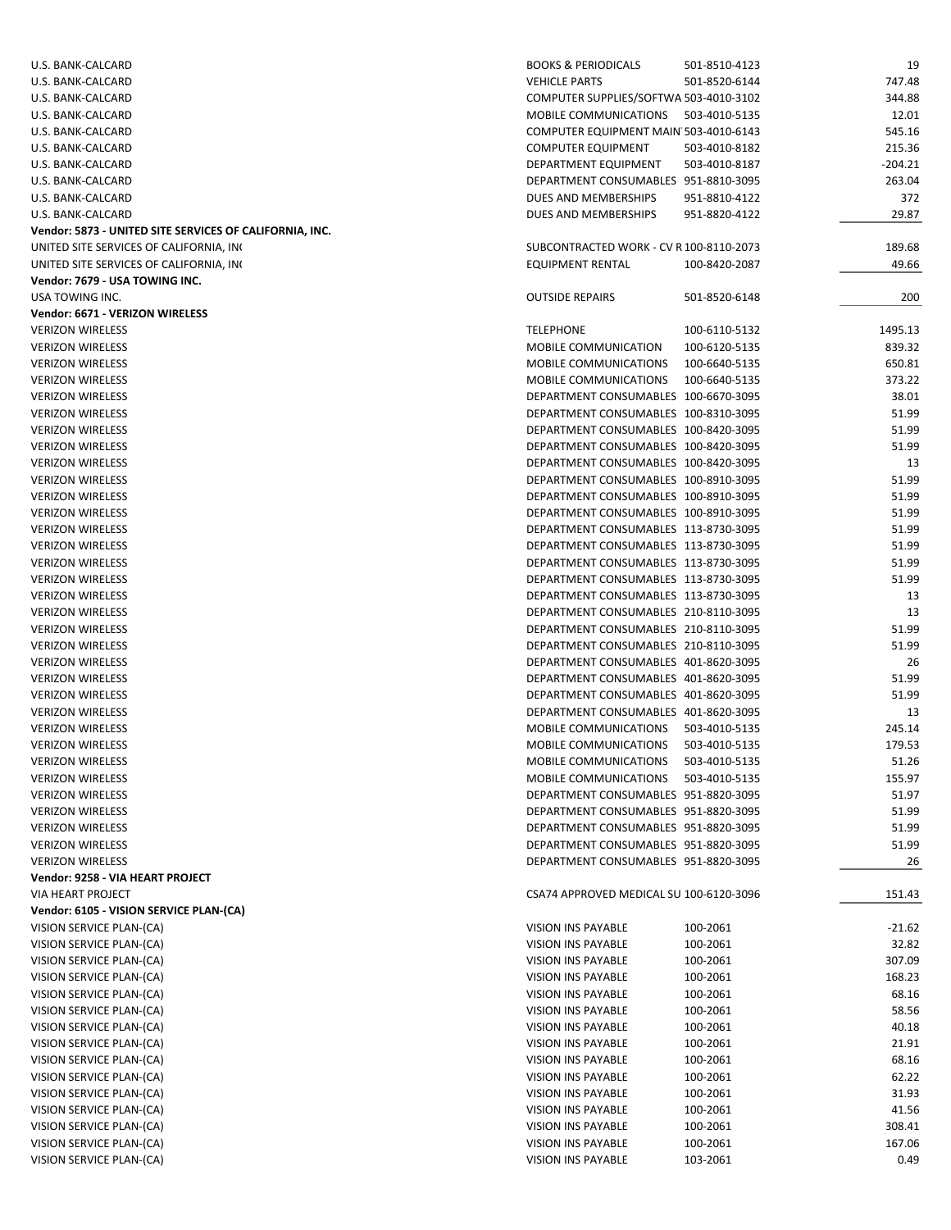| U.S. BANK-CALCARD                                       | <b>BOOKS &amp; PERIODICALS</b><br>501-8510-4123 | 19        |
|---------------------------------------------------------|-------------------------------------------------|-----------|
| U.S. BANK-CALCARD                                       | <b>VEHICLE PARTS</b><br>501-8520-6144           | 747.48    |
| U.S. BANK-CALCARD                                       | COMPUTER SUPPLIES/SOFTWA 503-4010-3102          | 344.88    |
|                                                         | <b>MOBILE COMMUNICATIONS</b><br>503-4010-5135   |           |
| U.S. BANK-CALCARD                                       |                                                 | 12.01     |
| U.S. BANK-CALCARD                                       | COMPUTER EQUIPMENT MAIN 503-4010-6143           | 545.16    |
| U.S. BANK-CALCARD                                       | <b>COMPUTER EQUIPMENT</b><br>503-4010-8182      | 215.36    |
| U.S. BANK-CALCARD                                       | DEPARTMENT EQUIPMENT<br>503-4010-8187           | $-204.21$ |
| U.S. BANK-CALCARD                                       | DEPARTMENT CONSUMABLES 951-8810-3095            | 263.04    |
| U.S. BANK-CALCARD                                       | DUES AND MEMBERSHIPS<br>951-8810-4122           | 372       |
| U.S. BANK-CALCARD                                       | DUES AND MEMBERSHIPS<br>951-8820-4122           | 29.87     |
| Vendor: 5873 - UNITED SITE SERVICES OF CALIFORNIA, INC. |                                                 |           |
| UNITED SITE SERVICES OF CALIFORNIA, INC                 | SUBCONTRACTED WORK - CV R 100-8110-2073         | 189.68    |
|                                                         |                                                 |           |
| UNITED SITE SERVICES OF CALIFORNIA, INC                 | <b>EQUIPMENT RENTAL</b><br>100-8420-2087        | 49.66     |
| Vendor: 7679 - USA TOWING INC.                          |                                                 |           |
| USA TOWING INC.                                         | <b>OUTSIDE REPAIRS</b><br>501-8520-6148         | 200       |
| Vendor: 6671 - VERIZON WIRELESS                         |                                                 |           |
| <b>VERIZON WIRELESS</b>                                 | <b>TELEPHONE</b><br>100-6110-5132               | 1495.13   |
| <b>VERIZON WIRELESS</b>                                 | MOBILE COMMUNICATION<br>100-6120-5135           | 839.32    |
| <b>VERIZON WIRELESS</b>                                 | MOBILE COMMUNICATIONS<br>100-6640-5135          | 650.81    |
| <b>VERIZON WIRELESS</b>                                 | <b>MOBILE COMMUNICATIONS</b><br>100-6640-5135   | 373.22    |
| <b>VERIZON WIRELESS</b>                                 | DEPARTMENT CONSUMABLES 100-6670-3095            | 38.01     |
|                                                         |                                                 |           |
| <b>VERIZON WIRELESS</b>                                 | DEPARTMENT CONSUMABLES 100-8310-3095            | 51.99     |
| <b>VERIZON WIRELESS</b>                                 | DEPARTMENT CONSUMABLES 100-8420-3095            | 51.99     |
| <b>VERIZON WIRELESS</b>                                 | DEPARTMENT CONSUMABLES 100-8420-3095            | 51.99     |
| <b>VERIZON WIRELESS</b>                                 | DEPARTMENT CONSUMABLES 100-8420-3095            | 13        |
| <b>VERIZON WIRELESS</b>                                 | DEPARTMENT CONSUMABLES 100-8910-3095            | 51.99     |
| <b>VERIZON WIRELESS</b>                                 | DEPARTMENT CONSUMABLES 100-8910-3095            | 51.99     |
| <b>VERIZON WIRELESS</b>                                 | DEPARTMENT CONSUMABLES 100-8910-3095            | 51.99     |
| <b>VERIZON WIRELESS</b>                                 | DEPARTMENT CONSUMABLES 113-8730-3095            | 51.99     |
| <b>VERIZON WIRELESS</b>                                 | DEPARTMENT CONSUMABLES 113-8730-3095            | 51.99     |
|                                                         |                                                 |           |
| <b>VERIZON WIRELESS</b>                                 | DEPARTMENT CONSUMABLES 113-8730-3095            | 51.99     |
| <b>VERIZON WIRELESS</b>                                 | DEPARTMENT CONSUMABLES 113-8730-3095            | 51.99     |
| <b>VERIZON WIRELESS</b>                                 | DEPARTMENT CONSUMABLES 113-8730-3095            | 13        |
| <b>VERIZON WIRELESS</b>                                 | DEPARTMENT CONSUMABLES 210-8110-3095            | 13        |
| <b>VERIZON WIRELESS</b>                                 | DEPARTMENT CONSUMABLES 210-8110-3095            | 51.99     |
| <b>VERIZON WIRELESS</b>                                 | DEPARTMENT CONSUMABLES 210-8110-3095            | 51.99     |
| <b>VERIZON WIRELESS</b>                                 | DEPARTMENT CONSUMABLES 401-8620-3095            | 26        |
| <b>VERIZON WIRELESS</b>                                 | DEPARTMENT CONSUMABLES 401-8620-3095            | 51.99     |
|                                                         | DEPARTMENT CONSUMABLES 401-8620-3095            | 51.99     |
| <b>VERIZON WIRELESS</b>                                 |                                                 |           |
| <b>VERIZON WIRELESS</b>                                 | DEPARTMENT CONSUMABLES 401-8620-3095            | 13        |
| <b>VERIZON WIRELESS</b>                                 | MOBILE COMMUNICATIONS<br>503-4010-5135          | 245.14    |
| <b>VERIZON WIRELESS</b>                                 | MOBILE COMMUNICATIONS<br>503-4010-5135          | 179.53    |
| <b>VERIZON WIRELESS</b>                                 | MOBILE COMMUNICATIONS<br>503-4010-5135          | 51.26     |
| <b>VERIZON WIRELESS</b>                                 | MOBILE COMMUNICATIONS<br>503-4010-5135          | 155.97    |
| <b>VERIZON WIRELESS</b>                                 | DEPARTMENT CONSUMABLES 951-8820-3095            | 51.97     |
| <b>VERIZON WIRELESS</b>                                 | DEPARTMENT CONSUMABLES 951-8820-3095            | 51.99     |
| <b>VERIZON WIRELESS</b>                                 | DEPARTMENT CONSUMABLES 951-8820-3095            | 51.99     |
| <b>VERIZON WIRELESS</b>                                 | DEPARTMENT CONSUMABLES 951-8820-3095            | 51.99     |
|                                                         |                                                 |           |
| <b>VERIZON WIRELESS</b>                                 | DEPARTMENT CONSUMABLES 951-8820-3095            | 26        |
| Vendor: 9258 - VIA HEART PROJECT                        |                                                 |           |
| VIA HEART PROJECT                                       | CSA74 APPROVED MEDICAL SU 100-6120-3096         | 151.43    |
| Vendor: 6105 - VISION SERVICE PLAN-(CA)                 |                                                 |           |
| VISION SERVICE PLAN-(CA)                                | VISION INS PAYABLE<br>100-2061                  | $-21.62$  |
| VISION SERVICE PLAN-(CA)                                | VISION INS PAYABLE<br>100-2061                  | 32.82     |
| VISION SERVICE PLAN-(CA)                                | VISION INS PAYABLE<br>100-2061                  | 307.09    |
| VISION SERVICE PLAN-(CA)                                | VISION INS PAYABLE<br>100-2061                  | 168.23    |
|                                                         |                                                 |           |
| VISION SERVICE PLAN-(CA)                                | VISION INS PAYABLE<br>100-2061                  | 68.16     |
| VISION SERVICE PLAN-(CA)                                | VISION INS PAYABLE<br>100-2061                  | 58.56     |
| VISION SERVICE PLAN-(CA)                                | VISION INS PAYABLE<br>100-2061                  | 40.18     |
| VISION SERVICE PLAN-(CA)                                | VISION INS PAYABLE<br>100-2061                  | 21.91     |
| VISION SERVICE PLAN-(CA)                                | VISION INS PAYABLE<br>100-2061                  | 68.16     |
| VISION SERVICE PLAN-(CA)                                | VISION INS PAYABLE<br>100-2061                  | 62.22     |
| VISION SERVICE PLAN-(CA)                                | VISION INS PAYABLE<br>100-2061                  | 31.93     |
| VISION SERVICE PLAN-(CA)                                | VISION INS PAYABLE<br>100-2061                  | 41.56     |
| VISION SERVICE PLAN-(CA)                                | VISION INS PAYABLE<br>100-2061                  | 308.41    |
|                                                         |                                                 |           |
| VISION SERVICE PLAN-(CA)                                | VISION INS PAYABLE<br>100-2061                  | 167.06    |
| VISION SERVICE PLAN-(CA)                                | 103-2061<br>VISION INS PAYABLE                  | 0.49      |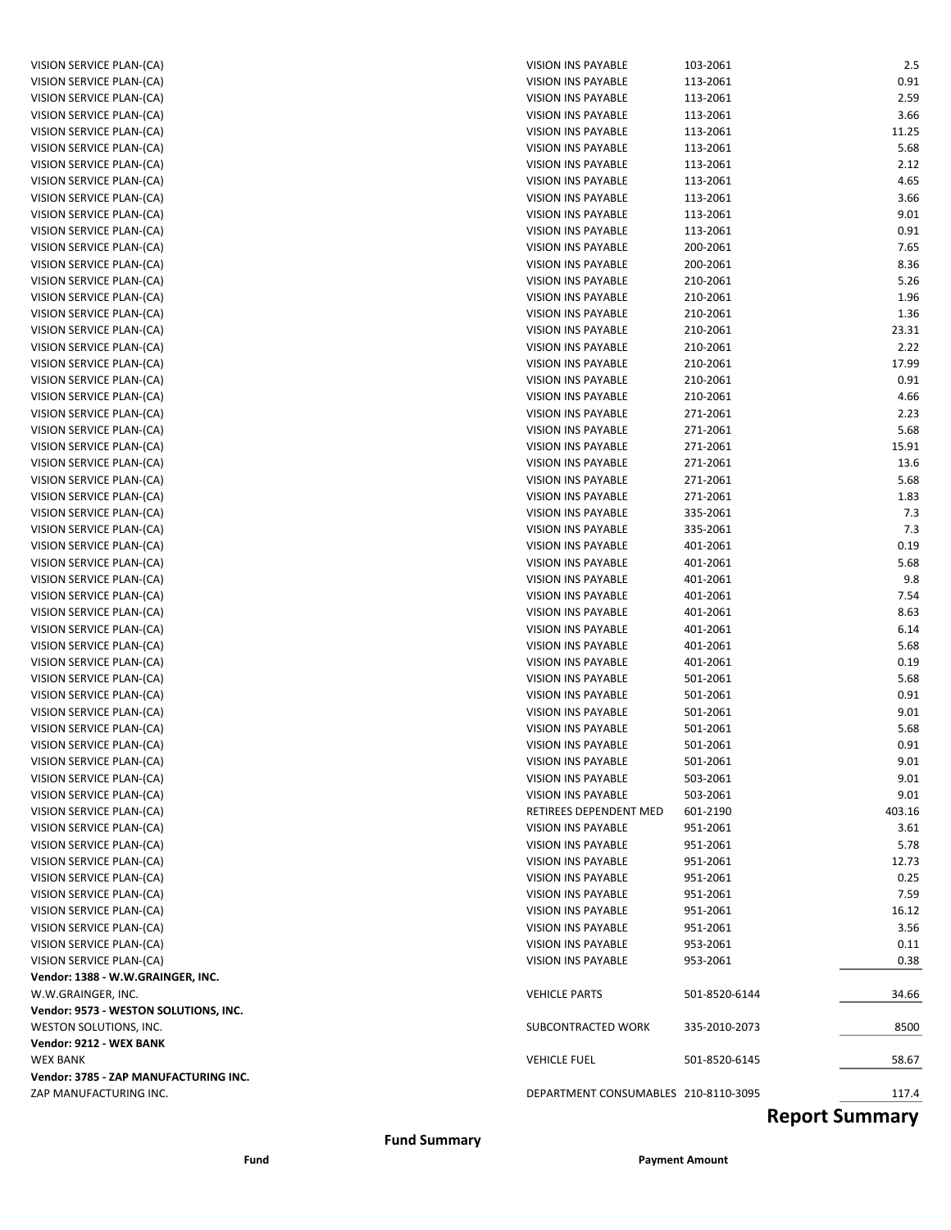| VISION SERVICE PLAN-(CA)                             | VISION INS PAYABLE                       | 103-2061             | 2.5          |
|------------------------------------------------------|------------------------------------------|----------------------|--------------|
| VISION SERVICE PLAN-(CA)                             | VISION INS PAYABLE                       | 113-2061             | 0.91         |
| VISION SERVICE PLAN-(CA)                             | VISION INS PAYABLE                       | 113-2061             | 2.59         |
| VISION SERVICE PLAN-(CA)                             | VISION INS PAYABLE                       | 113-2061             | 3.66         |
| VISION SERVICE PLAN-(CA)                             | VISION INS PAYABLE                       | 113-2061             | 11.25        |
| VISION SERVICE PLAN-(CA)                             | VISION INS PAYABLE                       | 113-2061             | 5.68         |
| VISION SERVICE PLAN-(CA)                             | <b>VISION INS PAYABLE</b>                | 113-2061             | 2.12         |
| VISION SERVICE PLAN-(CA)                             | VISION INS PAYABLE                       | 113-2061             | 4.65         |
| VISION SERVICE PLAN-(CA)                             | VISION INS PAYABLE                       | 113-2061             | 3.66         |
| VISION SERVICE PLAN-(CA)                             | VISION INS PAYABLE                       | 113-2061             | 9.01         |
| VISION SERVICE PLAN-(CA)                             | <b>VISION INS PAYABLE</b>                | 113-2061             | 0.91         |
| VISION SERVICE PLAN-(CA)                             | VISION INS PAYABLE                       | 200-2061             | 7.65         |
| VISION SERVICE PLAN-(CA)                             | VISION INS PAYABLE                       | 200-2061             | 8.36         |
| VISION SERVICE PLAN-(CA)                             | <b>VISION INS PAYABLE</b>                | 210-2061             | 5.26         |
| VISION SERVICE PLAN-(CA)                             | VISION INS PAYABLE                       | 210-2061             | 1.96         |
| VISION SERVICE PLAN-(CA)                             | VISION INS PAYABLE                       | 210-2061             | 1.36         |
| VISION SERVICE PLAN-(CA)                             | VISION INS PAYABLE                       | 210-2061             | 23.31        |
| VISION SERVICE PLAN-(CA)                             | VISION INS PAYABLE                       | 210-2061             | 2.22         |
| VISION SERVICE PLAN-(CA)                             | VISION INS PAYABLE                       | 210-2061             | 17.99        |
| VISION SERVICE PLAN-(CA)                             | VISION INS PAYABLE                       | 210-2061             | 0.91         |
| VISION SERVICE PLAN-(CA)                             | VISION INS PAYABLE                       | 210-2061             | 4.66         |
| VISION SERVICE PLAN-(CA)                             | VISION INS PAYABLE                       | 271-2061             | 2.23         |
| VISION SERVICE PLAN-(CA)                             | VISION INS PAYABLE                       | 271-2061             | 5.68         |
| VISION SERVICE PLAN-(CA)                             | VISION INS PAYABLE                       | 271-2061             | 15.91        |
|                                                      | <b>VISION INS PAYABLE</b>                | 271-2061             | 13.6         |
| VISION SERVICE PLAN-(CA)                             | VISION INS PAYABLE                       |                      |              |
| VISION SERVICE PLAN-(CA)                             |                                          | 271-2061             | 5.68         |
| VISION SERVICE PLAN-(CA)                             | VISION INS PAYABLE                       | 271-2061             | 1.83         |
| VISION SERVICE PLAN-(CA)                             | VISION INS PAYABLE<br>VISION INS PAYABLE | 335-2061<br>335-2061 | 7.3<br>7.3   |
| VISION SERVICE PLAN-(CA)<br>VISION SERVICE PLAN-(CA) | VISION INS PAYABLE                       |                      |              |
| VISION SERVICE PLAN-(CA)                             | VISION INS PAYABLE                       | 401-2061<br>401-2061 | 0.19<br>5.68 |
|                                                      | VISION INS PAYABLE                       | 401-2061             | 9.8          |
| VISION SERVICE PLAN-(CA)<br>VISION SERVICE PLAN-(CA) | VISION INS PAYABLE                       | 401-2061             | 7.54         |
|                                                      | VISION INS PAYABLE                       | 401-2061             | 8.63         |
| VISION SERVICE PLAN-(CA)                             | VISION INS PAYABLE                       | 401-2061             | 6.14         |
| VISION SERVICE PLAN-(CA)                             |                                          |                      |              |
| VISION SERVICE PLAN-(CA)<br>VISION SERVICE PLAN-(CA) | VISION INS PAYABLE<br>VISION INS PAYABLE | 401-2061<br>401-2061 | 5.68<br>0.19 |
| VISION SERVICE PLAN-(CA)                             | VISION INS PAYABLE                       | 501-2061             | 5.68         |
| VISION SERVICE PLAN-(CA)                             | VISION INS PAYABLE                       | 501-2061             | 0.91         |
| VISION SERVICE PLAN-(CA)                             | VISION INS PAYABLE                       | 501-2061             | 9.01         |
| VISION SERVICE PLAN-(CA)                             | <b>VISION INS PAYABLE</b>                | 501-2061             | 5.68         |
| VISION SERVICE PLAN-(CA)                             | <b>VISION INS PAYABLE</b>                | 501-2061             | 0.91         |
|                                                      |                                          |                      | 9.01         |
| VISION SERVICE PLAN-(CA)                             | VISION INS PAYABLE                       | 501-2061             |              |
| VISION SERVICE PLAN-(CA)                             | VISION INS PAYABLE                       | 503-2061             | 9.01         |
| VISION SERVICE PLAN-(CA)                             | VISION INS PAYABLE                       | 503-2061             | 9.01         |
| VISION SERVICE PLAN-(CA)                             | RETIREES DEPENDENT MED                   | 601-2190             | 403.16       |
| VISION SERVICE PLAN-(CA)                             | VISION INS PAYABLE                       | 951-2061             | 3.61         |
| VISION SERVICE PLAN-(CA)                             | VISION INS PAYABLE                       | 951-2061             | 5.78         |
| VISION SERVICE PLAN-(CA)                             | VISION INS PAYABLE                       | 951-2061             | 12.73        |
| VISION SERVICE PLAN-(CA)                             | VISION INS PAYABLE                       | 951-2061             | 0.25         |
| VISION SERVICE PLAN-(CA)                             | VISION INS PAYABLE                       | 951-2061             | 7.59         |
| VISION SERVICE PLAN-(CA)                             | VISION INS PAYABLE                       | 951-2061             | 16.12        |
| VISION SERVICE PLAN-(CA)                             | VISION INS PAYABLE                       | 951-2061             | 3.56         |
| VISION SERVICE PLAN-(CA)                             | VISION INS PAYABLE                       | 953-2061             | 0.11         |
| VISION SERVICE PLAN-(CA)                             | VISION INS PAYABLE                       | 953-2061             | 0.38         |
| Vendor: 1388 - W.W.GRAINGER, INC.                    |                                          |                      |              |
| W.W.GRAINGER, INC.                                   | <b>VEHICLE PARTS</b>                     | 501-8520-6144        | 34.66        |
| Vendor: 9573 - WESTON SOLUTIONS, INC.                |                                          |                      |              |
| WESTON SOLUTIONS, INC.                               | SUBCONTRACTED WORK                       | 335-2010-2073        | 8500         |
| Vendor: 9212 - WEX BANK                              |                                          |                      |              |
| <b>WEX BANK</b>                                      | <b>VEHICLE FUEL</b>                      | 501-8520-6145        | 58.67        |
| Vendor: 3785 - ZAP MANUFACTURING INC.                |                                          |                      |              |
| ZAP MANUFACTURING INC.                               | DEPARTMENT CONSUMABLES 210-8110-3095     |                      | 117.4        |

### **Report Summary**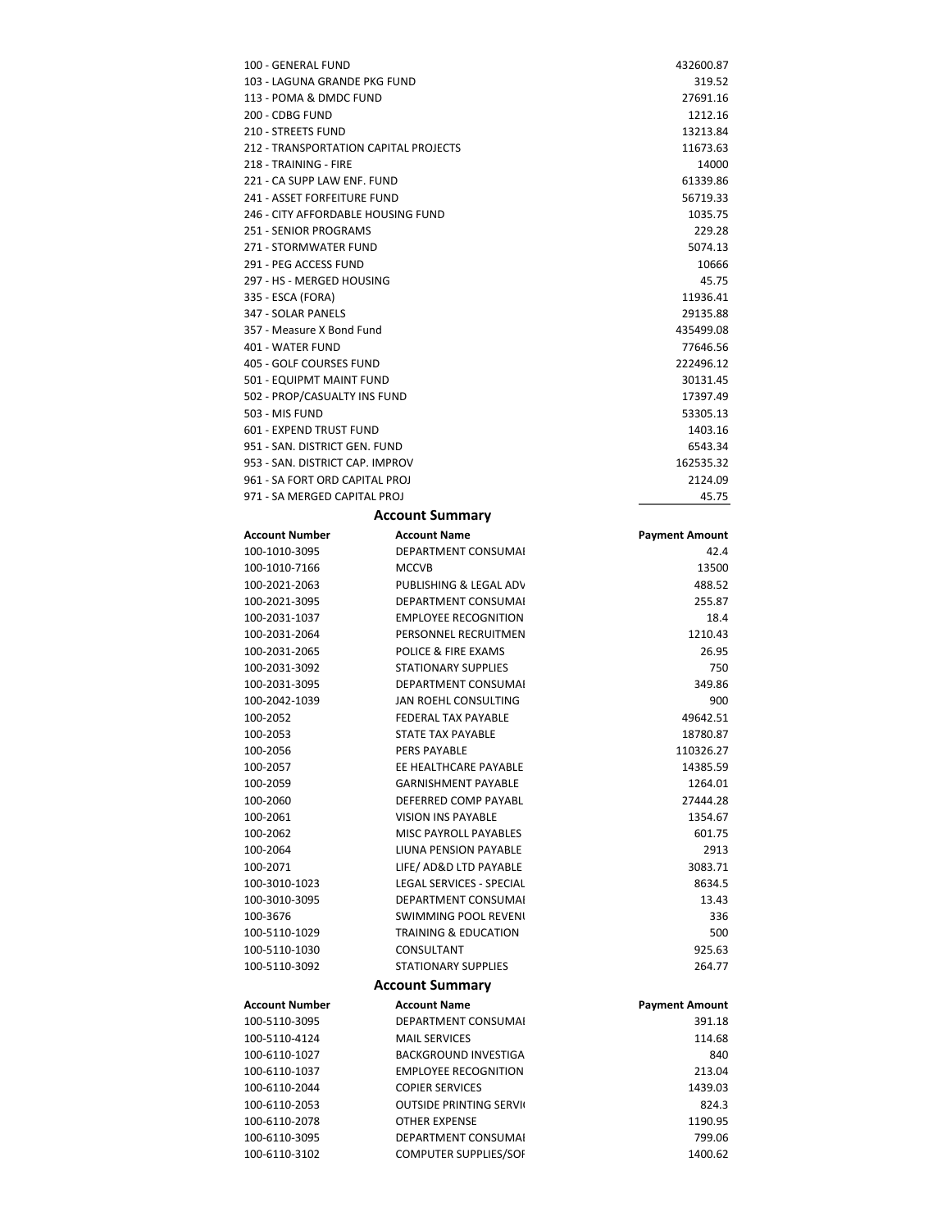| 100 - GENERAL FUND                    | 432600.87 |
|---------------------------------------|-----------|
| 103 - LAGUNA GRANDE PKG FUND          | 319.52    |
| 113 - POMA & DMDC FUND                | 27691.16  |
| 200 - CDBG FUND                       | 1212.16   |
| 210 - STREETS FUND                    | 13213.84  |
|                                       |           |
| 212 - TRANSPORTATION CAPITAL PROJECTS | 11673.63  |
| 218 - TRAINING - FIRE                 | 14000     |
| 221 - CA SUPP LAW ENF. FUND           | 61339.86  |
| 241 - ASSET FORFEITURE FUND           | 56719.33  |
| 246 - CITY AFFORDABLE HOUSING FUND    | 1035.75   |
| 251 - SENIOR PROGRAMS                 | 229.28    |
| 271 - STORMWATER FUND                 | 5074.13   |
| 291 - PEG ACCESS FUND                 | 10666     |
| 297 - HS - MERGED HOUSING             | 45.75     |
| 335 - ESCA (FORA)                     | 11936.41  |
| 347 - SOLAR PANELS                    | 29135.88  |
| 357 - Measure X Bond Fund             | 435499.08 |
| 401 - WATER FUND                      | 77646.56  |
| 405 - GOLF COURSES FUND               | 222496.12 |
| 501 - EQUIPMT MAINT FUND              | 30131.45  |
| 502 - PROP/CASUALTY INS FUND          | 17397.49  |
| 503 - MIS FUND                        | 53305.13  |
| 601 - EXPEND TRUST FUND               | 1403.16   |
| 951 - SAN, DISTRICT GEN, FUND         | 6543.34   |
| 953 - SAN, DISTRICT CAP, IMPROV       | 162535.32 |
| 961 - SA FORT ORD CAPITAL PROL        | 2124.09   |
| 971 - SA MERGED CAPITAL PROJ          | 45.75     |
|                                       |           |

### **Account Summary**

| <b>Account Number</b> | <b>Account Name</b>             | <b>Payment Amount</b> |
|-----------------------|---------------------------------|-----------------------|
| 100-1010-3095         | DEPARTMENT CONSUMAL             | 42.4                  |
| 100-1010-7166         | <b>MCCVB</b>                    | 13500                 |
| 100-2021-2063         | PUBLISHING & LEGAL ADV          | 488.52                |
| 100-2021-3095         | DEPARTMENT CONSUMAL             | 255.87                |
| 100-2031-1037         | <b>EMPLOYEE RECOGNITION</b>     | 18.4                  |
| 100-2031-2064         | PERSONNEL RECRUITMEN            | 1210.43               |
| 100-2031-2065         | POLICE & FIRE EXAMS             | 26.95                 |
| 100-2031-3092         | <b>STATIONARY SUPPLIES</b>      | 750                   |
| 100-2031-3095         | DEPARTMENT CONSUMAL             | 349.86                |
| 100-2042-1039         | JAN ROEHL CONSULTING            | 900                   |
| 100-2052              | FEDERAL TAX PAYABLE             | 49642.51              |
| 100-2053              | <b>STATE TAX PAYABLE</b>        | 18780.87              |
| 100-2056              | PERS PAYABLE                    | 110326.27             |
| 100-2057              | EE HEALTHCARE PAYABLE           | 14385.59              |
| 100-2059              | <b>GARNISHMENT PAYABLE</b>      | 1264.01               |
| 100-2060              | DEFERRED COMP PAYABL            | 27444.28              |
| 100-2061              | <b>VISION INS PAYABLE</b>       | 1354.67               |
| 100-2062              | <b>MISC PAYROLL PAYABLES</b>    | 601.75                |
| 100-2064              | LIUNA PENSION PAYABLE           | 2913                  |
| 100-2071              | LIFE/ AD&D LTD PAYABLE          | 3083.71               |
| 100-3010-1023         | <b>LEGAL SERVICES - SPECIAL</b> | 8634.5                |
| 100-3010-3095         | <b>DEPARTMENT CONSUMAL</b>      | 13.43                 |
| 100-3676              | <b>SWIMMING POOL REVENI</b>     | 336                   |
| 100-5110-1029         | <b>TRAINING &amp; EDUCATION</b> | 500                   |
| 100-5110-1030         | CONSULTANT                      | 925.63                |
| 100-5110-3092         | <b>STATIONARY SUPPLIES</b>      | 264.77                |
|                       | <b>Account Summary</b>          |                       |
| <b>Account Number</b> | <b>Account Name</b>             | <b>Payment Amount</b> |
| 100-5110-3095         | <b>DEPARTMENT CONSUMAL</b>      | 391.18                |
| 100-5110-4124         | <b>MAIL SERVICES</b>            | 114.68                |
| 100-6110-1027         | <b>BACKGROUND INVESTIGA</b>     | 840                   |
| 100-6110-1037         | <b>EMPLOYEE RECOGNITION</b>     | 213.04                |
| 100-6110-2044         | <b>COPIER SERVICES</b>          | 1439.03               |
| 100-6110-2053         | <b>OUTSIDE PRINTING SERVI</b>   | 824.3                 |
| 100-6110-2078         | <b>OTHER EXPENSE</b>            | 1190.95               |
| 100-6110-3095         | <b>DEPARTMENT CONSUMAL</b>      | 799.06                |
| 100-6110-3102         | <b>COMPUTER SUPPLIES/SOF</b>    | 1400.62               |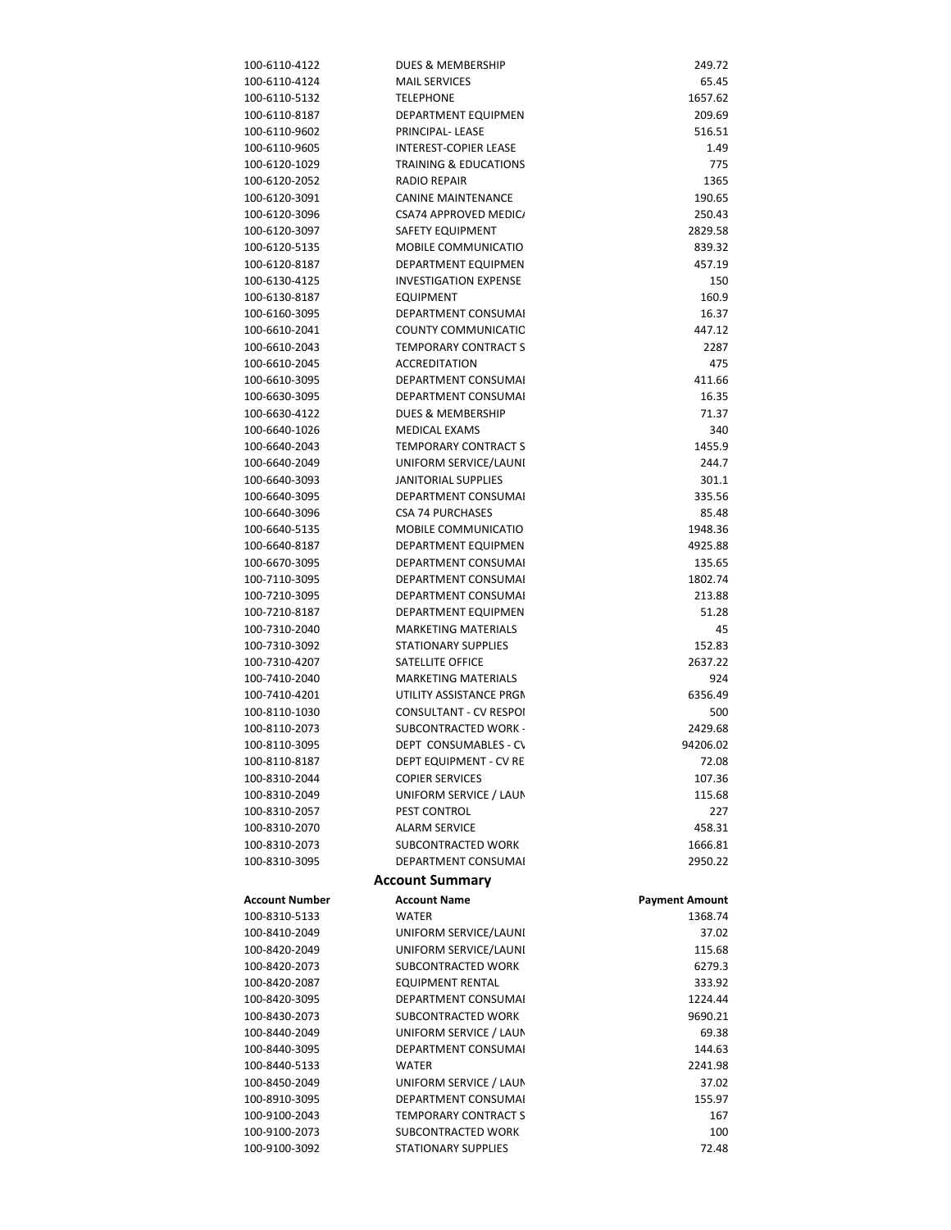| 100-6110-4122                  | DUES & MEMBERSHIP                                 | 249.72                |
|--------------------------------|---------------------------------------------------|-----------------------|
| 100-6110-4124                  | <b>MAIL SERVICES</b>                              | 65.45                 |
| 100-6110-5132                  | <b>TELEPHONE</b>                                  | 1657.62               |
| 100-6110-8187                  | DEPARTMENT EQUIPMEN                               | 209.69                |
| 100-6110-9602                  | PRINCIPAL-LEASE                                   | 516.51                |
| 100-6110-9605                  | <b>INTEREST-COPIER LEASE</b>                      | 1.49                  |
| 100-6120-1029                  | <b>TRAINING &amp; EDUCATIONS</b>                  | 775                   |
| 100-6120-2052                  | <b>RADIO REPAIR</b>                               | 1365                  |
| 100-6120-3091                  | <b>CANINE MAINTENANCE</b>                         | 190.65                |
| 100-6120-3096                  | <b>CSA74 APPROVED MEDIC/</b>                      | 250.43                |
| 100-6120-3097                  | <b>SAFETY EQUIPMENT</b>                           | 2829.58               |
| 100-6120-5135<br>100-6120-8187 | MOBILE COMMUNICATIO<br><b>DEPARTMENT EQUIPMEN</b> | 839.32<br>457.19      |
| 100-6130-4125                  | <b>INVESTIGATION EXPENSE</b>                      | 150                   |
| 100-6130-8187                  | <b>EQUIPMENT</b>                                  | 160.9                 |
| 100-6160-3095                  | DEPARTMENT CONSUMAL                               | 16.37                 |
| 100-6610-2041                  | COUNTY COMMUNICATIC                               | 447.12                |
| 100-6610-2043                  | TEMPORARY CONTRACT S                              | 2287                  |
| 100-6610-2045                  | <b>ACCREDITATION</b>                              | 475                   |
| 100-6610-3095                  | DEPARTMENT CONSUMAL                               | 411.66                |
| 100-6630-3095                  | DEPARTMENT CONSUMAL                               | 16.35                 |
| 100-6630-4122                  | <b>DUES &amp; MEMBERSHIP</b>                      | 71.37                 |
| 100-6640-1026                  | MEDICAL EXAMS                                     | 340                   |
| 100-6640-2043                  | <b>TEMPORARY CONTRACT S</b>                       | 1455.9                |
| 100-6640-2049                  | UNIFORM SERVICE/LAUNI                             | 244.7                 |
| 100-6640-3093                  | JANITORIAL SUPPLIES                               | 301.1                 |
| 100-6640-3095                  | DEPARTMENT CONSUMAL                               | 335.56                |
| 100-6640-3096                  | <b>CSA 74 PURCHASES</b>                           | 85.48                 |
| 100-6640-5135                  | MOBILE COMMUNICATIO                               | 1948.36               |
| 100-6640-8187                  | DEPARTMENT EQUIPMEN                               | 4925.88               |
| 100-6670-3095                  | DEPARTMENT CONSUMAL                               | 135.65                |
| 100-7110-3095                  | DEPARTMENT CONSUMAL                               | 1802.74               |
| 100-7210-3095<br>100-7210-8187 | DEPARTMENT CONSUMAL<br>DEPARTMENT EQUIPMEN        | 213.88<br>51.28       |
| 100-7310-2040                  | <b>MARKETING MATERIALS</b>                        | 45                    |
| 100-7310-3092                  | <b>STATIONARY SUPPLIES</b>                        | 152.83                |
| 100-7310-4207                  | SATELLITE OFFICE                                  | 2637.22               |
| 100-7410-2040                  | <b>MARKETING MATERIALS</b>                        | 924                   |
| 100-7410-4201                  | UTILITY ASSISTANCE PRGN                           | 6356.49               |
| 100-8110-1030                  | <b>CONSULTANT - CV RESPOL</b>                     | 500                   |
| 100-8110-2073                  | <b>SUBCONTRACTED WORK -</b>                       | 2429.68               |
| 100-8110-3095                  | DEPT CONSUMABLES - C\                             | 94206.02              |
| 100-8110-8187                  | <b>DEPT EQUIPMENT - CV RE</b>                     | 72.08                 |
| 100-8310-2044                  | <b>COPIER SERVICES</b>                            | 107.36                |
| 100-8310-2049                  | UNIFORM SERVICE / LAUN                            | 115.68                |
| 100-8310-2057                  | PEST CONTROL                                      | 227                   |
| 100-8310-2070                  | <b>ALARM SERVICE</b>                              | 458.31                |
| 100-8310-2073                  | SUBCONTRACTED WORK                                | 1666.81               |
| 100-8310-3095                  | <b>DEPARTMENT CONSUMAL</b>                        | 2950.22               |
|                                | <b>Account Summary</b>                            |                       |
| <b>Account Number</b>          | <b>Account Name</b>                               | <b>Payment Amount</b> |
| 100-8310-5133                  | <b>WATER</b>                                      | 1368.74               |
| 100-8410-2049                  | UNIFORM SERVICE/LAUNI                             | 37.02                 |
| 100-8420-2049                  | UNIFORM SERVICE/LAUNI                             | 115.68                |
| 100-8420-2073                  | SUBCONTRACTED WORK                                | 6279.3                |
| 100-8420-2087                  | EQUIPMENT RENTAL                                  | 333.92                |
| 100-8420-3095                  | DEPARTMENT CONSUMAL                               | 1224.44               |
| 100-8430-2073                  | SUBCONTRACTED WORK                                | 9690.21               |
| 100-8440-2049                  | UNIFORM SERVICE / LAUN                            | 69.38                 |
| 100-8440-3095                  | DEPARTMENT CONSUMAL                               | 144.63                |
| 100-8440-5133                  | <b>WATER</b>                                      | 2241.98               |
| 100-8450-2049<br>100-8910-3095 | UNIFORM SERVICE / LAUN<br>DEPARTMENT CONSUMAL     | 37.02<br>155.97       |
| 100-9100-2043                  | TEMPORARY CONTRACT S                              | 167                   |
| 100-9100-2073                  | SUBCONTRACTED WORK                                | 100                   |
| 100-9100-3092                  | STATIONARY SUPPLIES                               | 72.48                 |
|                                |                                                   |                       |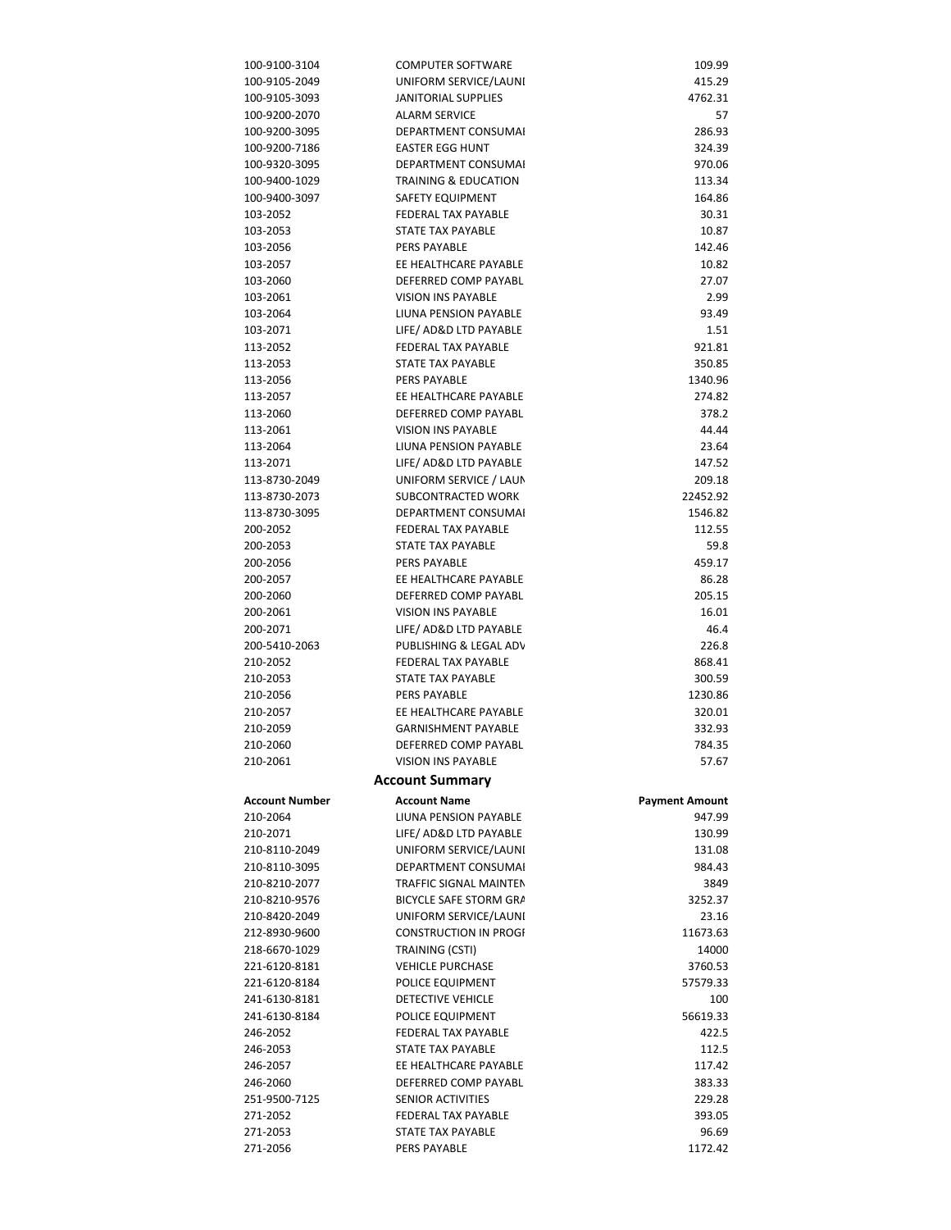| UNIFORM SERVICE/LAUNI        | 415.29                                                                                                                                                                                                                                                                                                                                                                                                                                                                           |
|------------------------------|----------------------------------------------------------------------------------------------------------------------------------------------------------------------------------------------------------------------------------------------------------------------------------------------------------------------------------------------------------------------------------------------------------------------------------------------------------------------------------|
| <b>JANITORIAL SUPPLIES</b>   | 4762.31                                                                                                                                                                                                                                                                                                                                                                                                                                                                          |
| <b>ALARM SERVICE</b>         | 57                                                                                                                                                                                                                                                                                                                                                                                                                                                                               |
|                              | 286.93                                                                                                                                                                                                                                                                                                                                                                                                                                                                           |
|                              | 324.39                                                                                                                                                                                                                                                                                                                                                                                                                                                                           |
|                              | 970.06                                                                                                                                                                                                                                                                                                                                                                                                                                                                           |
|                              | 113.34                                                                                                                                                                                                                                                                                                                                                                                                                                                                           |
|                              | 164.86                                                                                                                                                                                                                                                                                                                                                                                                                                                                           |
|                              |                                                                                                                                                                                                                                                                                                                                                                                                                                                                                  |
|                              | 30.31                                                                                                                                                                                                                                                                                                                                                                                                                                                                            |
|                              | 10.87                                                                                                                                                                                                                                                                                                                                                                                                                                                                            |
|                              | 142.46                                                                                                                                                                                                                                                                                                                                                                                                                                                                           |
|                              | 10.82                                                                                                                                                                                                                                                                                                                                                                                                                                                                            |
| DEFERRED COMP PAYABL         | 27.07                                                                                                                                                                                                                                                                                                                                                                                                                                                                            |
| <b>VISION INS PAYABLE</b>    | 2.99                                                                                                                                                                                                                                                                                                                                                                                                                                                                             |
| LIUNA PENSION PAYABLE        | 93.49                                                                                                                                                                                                                                                                                                                                                                                                                                                                            |
| LIFE/ AD&D LTD PAYABLE       | 1.51                                                                                                                                                                                                                                                                                                                                                                                                                                                                             |
| FEDERAL TAX PAYABLE          | 921.81                                                                                                                                                                                                                                                                                                                                                                                                                                                                           |
| STATE TAX PAYABLE            | 350.85                                                                                                                                                                                                                                                                                                                                                                                                                                                                           |
| PERS PAYABLE                 | 1340.96                                                                                                                                                                                                                                                                                                                                                                                                                                                                          |
| EE HEALTHCARE PAYABLE        | 274.82                                                                                                                                                                                                                                                                                                                                                                                                                                                                           |
|                              | 378.2                                                                                                                                                                                                                                                                                                                                                                                                                                                                            |
|                              | 44.44                                                                                                                                                                                                                                                                                                                                                                                                                                                                            |
|                              | 23.64                                                                                                                                                                                                                                                                                                                                                                                                                                                                            |
|                              | 147.52                                                                                                                                                                                                                                                                                                                                                                                                                                                                           |
|                              |                                                                                                                                                                                                                                                                                                                                                                                                                                                                                  |
|                              | 209.18                                                                                                                                                                                                                                                                                                                                                                                                                                                                           |
|                              | 22452.92                                                                                                                                                                                                                                                                                                                                                                                                                                                                         |
|                              | 1546.82                                                                                                                                                                                                                                                                                                                                                                                                                                                                          |
|                              | 112.55                                                                                                                                                                                                                                                                                                                                                                                                                                                                           |
|                              | 59.8                                                                                                                                                                                                                                                                                                                                                                                                                                                                             |
|                              | 459.17                                                                                                                                                                                                                                                                                                                                                                                                                                                                           |
| EE HEALTHCARE PAYABLE        | 86.28                                                                                                                                                                                                                                                                                                                                                                                                                                                                            |
| DEFERRED COMP PAYABL         | 205.15                                                                                                                                                                                                                                                                                                                                                                                                                                                                           |
|                              |                                                                                                                                                                                                                                                                                                                                                                                                                                                                                  |
| <b>VISION INS PAYABLE</b>    | 16.01                                                                                                                                                                                                                                                                                                                                                                                                                                                                            |
| LIFE/ AD&D LTD PAYABLE       | 46.4                                                                                                                                                                                                                                                                                                                                                                                                                                                                             |
| PUBLISHING & LEGAL ADV       | 226.8                                                                                                                                                                                                                                                                                                                                                                                                                                                                            |
| <b>FEDERAL TAX PAYABLE</b>   | 868.41                                                                                                                                                                                                                                                                                                                                                                                                                                                                           |
| STATE TAX PAYABLE            | 300.59                                                                                                                                                                                                                                                                                                                                                                                                                                                                           |
| <b>PERS PAYABLE</b>          |                                                                                                                                                                                                                                                                                                                                                                                                                                                                                  |
|                              | 1230.86                                                                                                                                                                                                                                                                                                                                                                                                                                                                          |
| EE HEALTHCARE PAYABLE        | 320.01                                                                                                                                                                                                                                                                                                                                                                                                                                                                           |
| GARNISHMENT PAYABLE          | 332.93                                                                                                                                                                                                                                                                                                                                                                                                                                                                           |
| DEFERRED COMP PAYABL         | 784.35                                                                                                                                                                                                                                                                                                                                                                                                                                                                           |
| VISION INS PAYABLE           | 57.67                                                                                                                                                                                                                                                                                                                                                                                                                                                                            |
| <b>Account Summary</b>       |                                                                                                                                                                                                                                                                                                                                                                                                                                                                                  |
| <b>Account Name</b>          | <b>Payment Amount</b>                                                                                                                                                                                                                                                                                                                                                                                                                                                            |
| LIUNA PENSION PAYABLE        | 947.99                                                                                                                                                                                                                                                                                                                                                                                                                                                                           |
| LIFE/ AD&D LTD PAYABLE       | 130.99                                                                                                                                                                                                                                                                                                                                                                                                                                                                           |
| UNIFORM SERVICE/LAUNI        | 131.08                                                                                                                                                                                                                                                                                                                                                                                                                                                                           |
| DEPARTMENT CONSUMAL          | 984.43                                                                                                                                                                                                                                                                                                                                                                                                                                                                           |
| TRAFFIC SIGNAL MAINTEN       | 3849                                                                                                                                                                                                                                                                                                                                                                                                                                                                             |
| BICYCLE SAFE STORM GRA       | 3252.37                                                                                                                                                                                                                                                                                                                                                                                                                                                                          |
|                              |                                                                                                                                                                                                                                                                                                                                                                                                                                                                                  |
| UNIFORM SERVICE/LAUNI        | 23.16                                                                                                                                                                                                                                                                                                                                                                                                                                                                            |
| <b>CONSTRUCTION IN PROGI</b> | 11673.63                                                                                                                                                                                                                                                                                                                                                                                                                                                                         |
| TRAINING (CSTI)              | 14000                                                                                                                                                                                                                                                                                                                                                                                                                                                                            |
| <b>VEHICLE PURCHASE</b>      | 3760.53                                                                                                                                                                                                                                                                                                                                                                                                                                                                          |
| POLICE EQUIPMENT             | 57579.33                                                                                                                                                                                                                                                                                                                                                                                                                                                                         |
| DETECTIVE VEHICLE            | 100                                                                                                                                                                                                                                                                                                                                                                                                                                                                              |
| POLICE EQUIPMENT             | 56619.33                                                                                                                                                                                                                                                                                                                                                                                                                                                                         |
| FEDERAL TAX PAYABLE          | 422.5                                                                                                                                                                                                                                                                                                                                                                                                                                                                            |
| <b>STATE TAX PAYABLE</b>     | 112.5                                                                                                                                                                                                                                                                                                                                                                                                                                                                            |
| EE HEALTHCARE PAYABLE        | 117.42                                                                                                                                                                                                                                                                                                                                                                                                                                                                           |
| DEFERRED COMP PAYABL         | 383.33                                                                                                                                                                                                                                                                                                                                                                                                                                                                           |
| <b>SENIOR ACTIVITIES</b>     | 229.28                                                                                                                                                                                                                                                                                                                                                                                                                                                                           |
| FEDERAL TAX PAYABLE          | 393.05                                                                                                                                                                                                                                                                                                                                                                                                                                                                           |
| STATE TAX PAYABLE            | 96.69                                                                                                                                                                                                                                                                                                                                                                                                                                                                            |
|                              | DEPARTMENT CONSUMAL<br><b>EASTER EGG HUNT</b><br><b>DEPARTMENT CONSUMAL</b><br><b>TRAINING &amp; EDUCATION</b><br>SAFETY EQUIPMENT<br>FEDERAL TAX PAYABLE<br><b>STATE TAX PAYABLE</b><br>PERS PAYABLE<br>EE HEALTHCARE PAYABLE<br>DEFERRED COMP PAYABL<br><b>VISION INS PAYABLE</b><br>LIUNA PENSION PAYABLE<br>LIFE/ AD&D LTD PAYABLE<br>UNIFORM SERVICE / LAUN<br>SUBCONTRACTED WORK<br>DEPARTMENT CONSUMAL<br>FEDERAL TAX PAYABLE<br>STATE TAX PAYABLE<br><b>PERS PAYABLE</b> |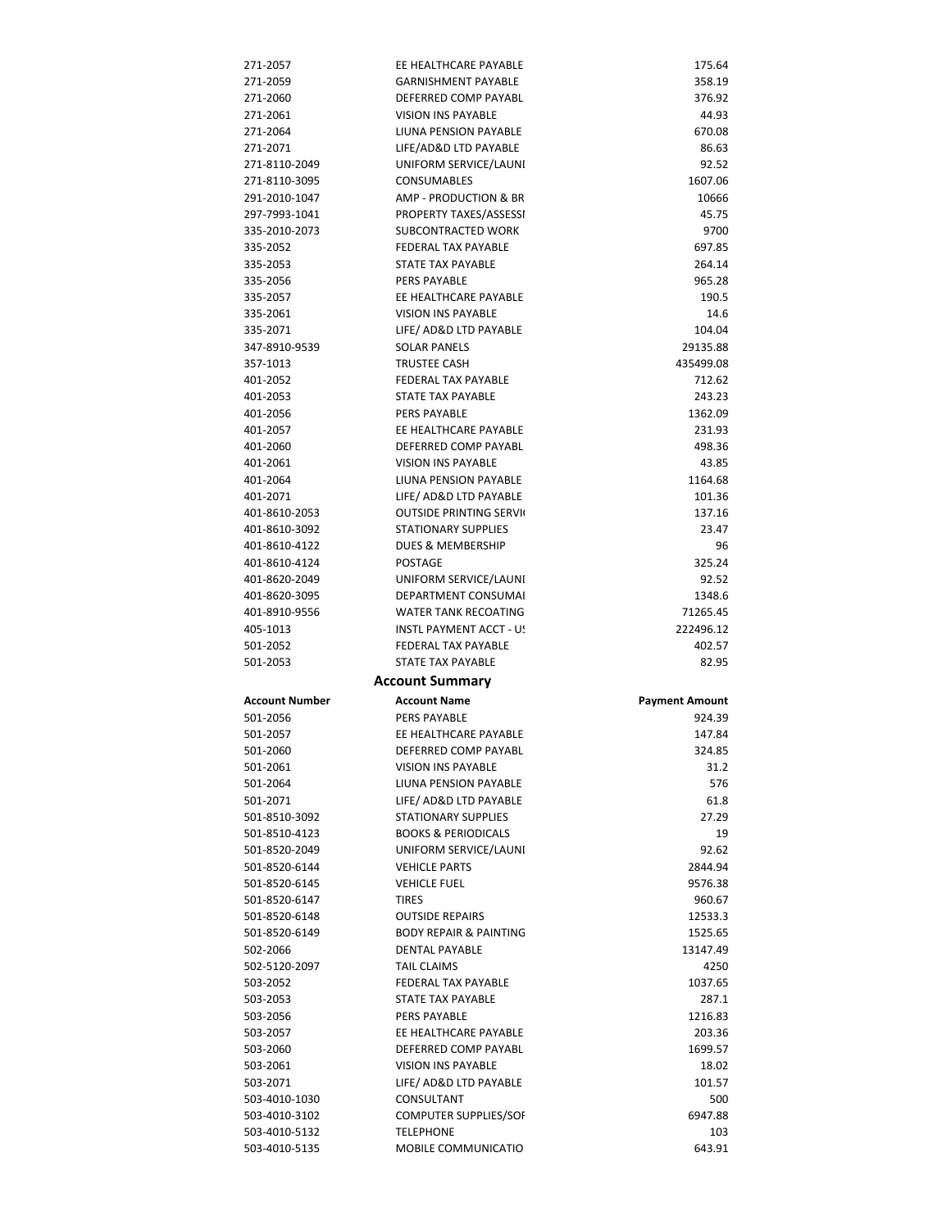| 271-2057                       | EE HEALTHCARE PAYABLE                   | 175.64                |
|--------------------------------|-----------------------------------------|-----------------------|
| 271-2059                       | <b>GARNISHMENT PAYABLE</b>              | 358.19                |
| 271-2060                       | DEFERRED COMP PAYABL                    | 376.92                |
| 271-2061                       | <b>VISION INS PAYABLE</b>               | 44.93                 |
| 271-2064                       | LIUNA PENSION PAYABLE                   | 670.08                |
| 271-2071                       |                                         | 86.63                 |
|                                | LIFE/AD&D LTD PAYABLE                   |                       |
| 271-8110-2049                  | UNIFORM SERVICE/LAUNI                   | 92.52                 |
| 271-8110-3095                  | <b>CONSUMABLES</b>                      | 1607.06               |
| 291-2010-1047                  | AMP - PRODUCTION & BR                   | 10666                 |
| 297-7993-1041                  | PROPERTY TAXES/ASSESSI                  | 45.75                 |
| 335-2010-2073                  | SUBCONTRACTED WORK                      | 9700                  |
|                                |                                         |                       |
| 335-2052                       | <b>FEDERAL TAX PAYABLE</b>              | 697.85                |
| 335-2053                       | STATE TAX PAYABLE                       | 264.14                |
| 335-2056                       | <b>PERS PAYABLE</b>                     | 965.28                |
| 335-2057                       | EE HEALTHCARE PAYABLE                   | 190.5                 |
| 335-2061                       | <b>VISION INS PAYABLE</b>               | 14.6                  |
| 335-2071                       | LIFE/ AD&D LTD PAYABLE                  | 104.04                |
|                                |                                         |                       |
| 347-8910-9539                  | <b>SOLAR PANELS</b>                     | 29135.88              |
| 357-1013                       | TRUSTEE CASH                            | 435499.08             |
| 401-2052                       | <b>FEDERAL TAX PAYABLE</b>              | 712.62                |
| 401-2053                       | <b>STATE TAX PAYABLE</b>                | 243.23                |
| 401-2056                       | <b>PERS PAYABLE</b>                     | 1362.09               |
| 401-2057                       | EE HEALTHCARE PAYABLE                   | 231.93                |
|                                | DEFERRED COMP PAYABL                    |                       |
| 401-2060                       |                                         | 498.36                |
| 401-2061                       | <b>VISION INS PAYABLE</b>               | 43.85                 |
| 401-2064                       | LIUNA PENSION PAYABLE                   | 1164.68               |
| 401-2071                       | LIFE/ AD&D LTD PAYABLE                  | 101.36                |
| 401-8610-2053                  | <b>OUTSIDE PRINTING SERVI</b>           | 137.16                |
| 401-8610-3092                  | <b>STATIONARY SUPPLIES</b>              | 23.47                 |
| 401-8610-4122                  | <b>DUES &amp; MEMBERSHIP</b>            | 96                    |
|                                |                                         |                       |
| 401-8610-4124                  | <b>POSTAGE</b>                          | 325.24                |
| 401-8620-2049                  | UNIFORM SERVICE/LAUNI                   | 92.52                 |
| 401-8620-3095                  | DEPARTMENT CONSUMAL                     | 1348.6                |
|                                |                                         |                       |
| 401-8910-9556                  | <b>WATER TANK RECOATING</b>             | 71265.45              |
| 405-1013                       | INSTL PAYMENT ACCT - U!                 | 222496.12             |
|                                |                                         |                       |
| 501-2052                       | <b>FEDERAL TAX PAYABLE</b>              | 402.57                |
| 501-2053                       | <b>STATE TAX PAYABLE</b>                | 82.95                 |
|                                | <b>Account Summary</b>                  |                       |
| <b>Account Number</b>          | <b>Account Name</b>                     | <b>Payment Amount</b> |
| 501-2056                       | <b>PERS PAYABLE</b>                     | 924.39                |
|                                |                                         |                       |
| 501-2057                       | EE HEALTHCARE PAYABLE                   | 147.84                |
| 501-2060                       | DEFERRED COMP PAYABL                    | 324.85                |
| 501-2061                       | <b>VISION INS PAYABLE</b>               | 31.2                  |
| 501-2064                       | LIUNA PENSION PAYABLE                   | 576                   |
| 501-2071                       | LIFE/ AD&D LTD PAYABLE                  | 61.8                  |
| 501-8510-3092                  | <b>STATIONARY SUPPLIES</b>              | 27.29                 |
| 501-8510-4123                  |                                         |                       |
|                                | <b>BOOKS &amp; PERIODICALS</b>          | 19                    |
| 501-8520-2049                  | UNIFORM SERVICE/LAUNI                   | 92.62                 |
| 501-8520-6144                  | <b>VEHICLE PARTS</b>                    | 2844.94               |
| 501-8520-6145                  | <b>VEHICLE FUEL</b>                     | 9576.38               |
| 501-8520-6147                  | <b>TIRES</b>                            | 960.67                |
| 501-8520-6148                  | <b>OUTSIDE REPAIRS</b>                  | 12533.3               |
| 501-8520-6149                  | <b>BODY REPAIR &amp; PAINTING</b>       | 1525.65               |
|                                |                                         |                       |
| 502-2066                       | <b>DENTAL PAYABLE</b>                   | 13147.49              |
| 502-5120-2097                  | <b>TAIL CLAIMS</b>                      | 4250                  |
| 503-2052                       | FEDERAL TAX PAYABLE                     | 1037.65               |
| 503-2053                       | STATE TAX PAYABLE                       | 287.1                 |
| 503-2056                       | <b>PERS PAYABLE</b>                     | 1216.83               |
| 503-2057                       | EE HEALTHCARE PAYABLE                   | 203.36                |
| 503-2060                       | DEFERRED COMP PAYABL                    | 1699.57               |
| 503-2061                       | VISION INS PAYABLE                      | 18.02                 |
|                                |                                         |                       |
| 503-2071                       | LIFE/ AD&D LTD PAYABLE                  | 101.57                |
| 503-4010-1030                  | CONSULTANT                              | 500                   |
| 503-4010-3102                  | COMPUTER SUPPLIES/SOF                   | 6947.88               |
| 503-4010-5132<br>503-4010-5135 | <b>TELEPHONE</b><br>MOBILE COMMUNICATIO | 103<br>643.91         |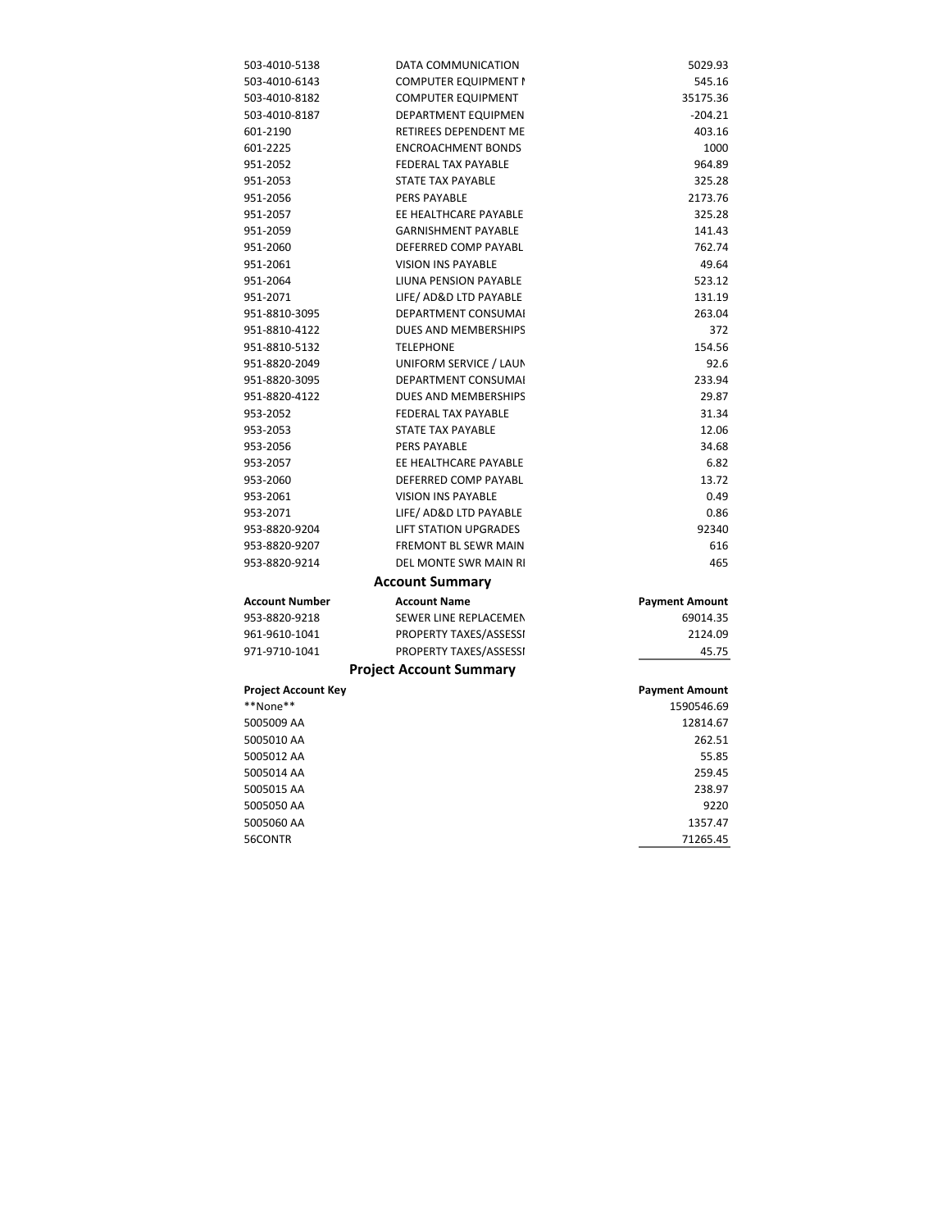| 503-4010-5138         | DATA COMMUNICATION             | 5029.93               |
|-----------------------|--------------------------------|-----------------------|
| 503-4010-6143         | <b>COMPUTER EQUIPMENT I</b>    | 545.16                |
| 503-4010-8182         | <b>COMPUTER EQUIPMENT</b>      | 35175.36              |
| 503-4010-8187         | DEPARTMENT EQUIPMEN            | $-204.21$             |
| 601-2190              | RETIREES DEPENDENT ME          | 403.16                |
| 601-2225              | <b>ENCROACHMENT BONDS</b>      | 1000                  |
| 951-2052              | <b>FEDERAL TAX PAYABLE</b>     | 964.89                |
| 951-2053              | <b>STATE TAX PAYABLE</b>       | 325.28                |
| 951-2056              | PERS PAYABLE                   | 2173.76               |
| 951-2057              | EE HEALTHCARE PAYABLE          | 325.28                |
| 951-2059              | <b>GARNISHMENT PAYABLE</b>     | 141.43                |
| 951-2060              | DEFERRED COMP PAYABL           | 762.74                |
| 951-2061              | <b>VISION INS PAYABLE</b>      | 49.64                 |
| 951-2064              | LIUNA PENSION PAYABLE          | 523.12                |
| 951-2071              | LIFE/ AD&D LTD PAYABLE         | 131.19                |
| 951-8810-3095         | <b>DEPARTMENT CONSUMAL</b>     | 263.04                |
| 951-8810-4122         | DUES AND MEMBERSHIPS           | 372                   |
| 951-8810-5132         | <b>TELEPHONE</b>               | 154.56                |
| 951-8820-2049         | UNIFORM SERVICE / LAUN         | 92.6                  |
| 951-8820-3095         | DEPARTMENT CONSUMAI            | 233.94                |
| 951-8820-4122         | DUES AND MEMBERSHIPS           | 29.87                 |
| 953-2052              | <b>FEDERAL TAX PAYABLE</b>     | 31.34                 |
| 953-2053              | <b>STATE TAX PAYABLE</b>       | 12.06                 |
| 953-2056              | PERS PAYABLE                   | 34.68                 |
| 953-2057              | EE HEALTHCARE PAYABLE          | 6.82                  |
| 953-2060              | DEFERRED COMP PAYABL           | 13.72                 |
| 953-2061              | <b>VISION INS PAYABLE</b>      | 0.49                  |
| 953-2071              | LIFE/ AD&D LTD PAYABLE         | 0.86                  |
| 953-8820-9204         | <b>LIFT STATION UPGRADES</b>   | 92340                 |
| 953-8820-9207         | FREMONT BL SEWR MAIN           | 616                   |
| 953-8820-9214         | DEL MONTE SWR MAIN RI          | 465                   |
|                       | <b>Account Summary</b>         |                       |
| <b>Account Number</b> | <b>Account Name</b>            | <b>Payment Amount</b> |
| 953-8820-9218         | SEWER LINE REPLACEMEN          | 69014.35              |
| 961-9610-1041         | PROPERTY TAXES/ASSESSI         | 2124.09               |
| 971-9710-1041         | PROPERTY TAXES/ASSESSI         | 45.75                 |
|                       | <b>Project Account Summary</b> |                       |
| Project Account Key   |                                | <b>Payment Amount</b> |
| **None**              |                                | 1590546.69            |
| 5005009 AA            |                                | 12814.67              |
| 5005010 AA            |                                | 262.51                |
| 5005012 AA            |                                | 55.85                 |
| 5005014 AA            |                                | 259.45                |
| 5005015 AA            |                                | 238.97                |
| 5005050 AA            |                                | 9220                  |
| 5005060 AA            |                                | 1357.47               |
| 56CONTR               |                                | 71265.45              |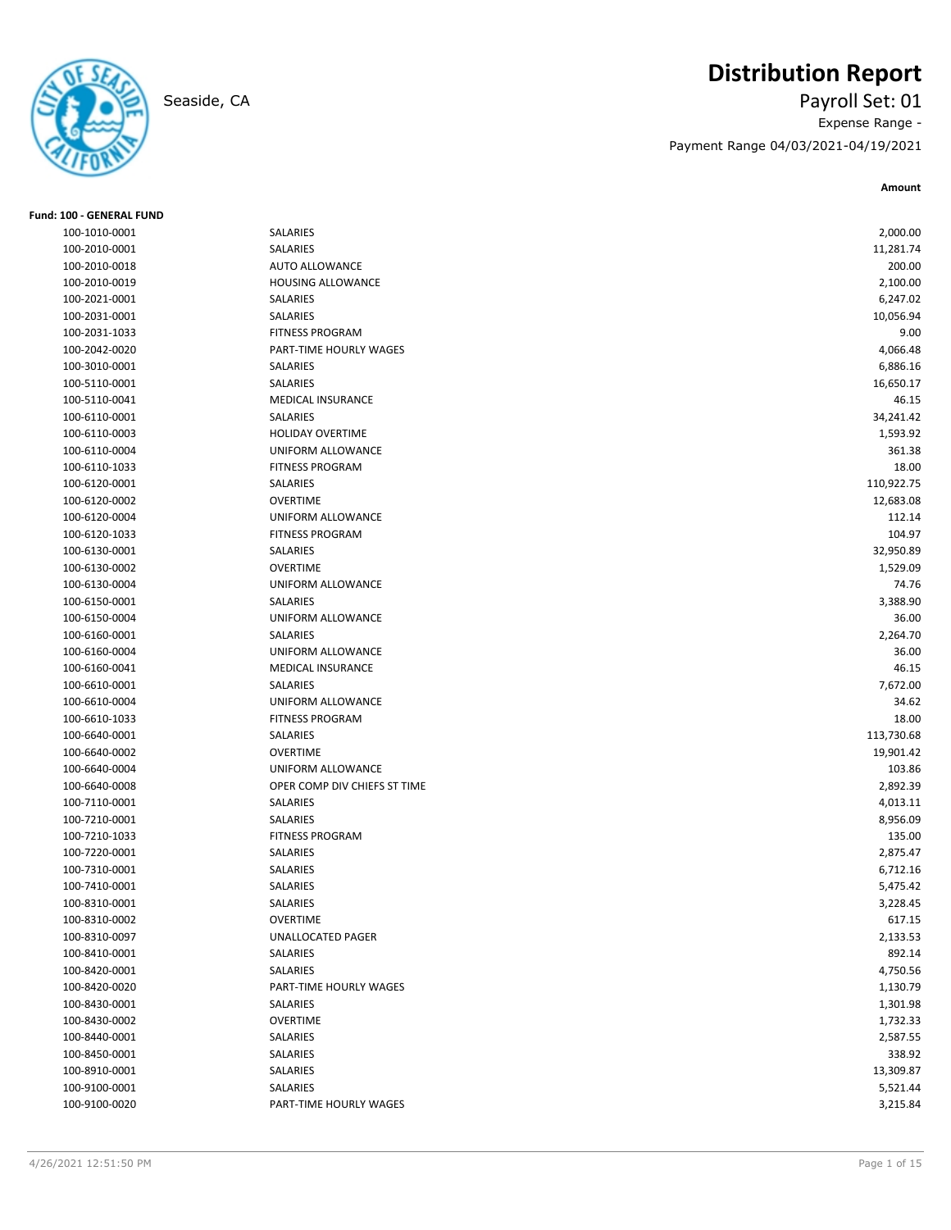

# **Distribution Report**

Seaside, CA Payroll Set: 01 Expense Range - Payment Range 04/03/2021-04/19/2021

| Fund: 100 - GENERAL FUND |                              |            |
|--------------------------|------------------------------|------------|
| 100-1010-0001            | SALARIES                     | 2,000.00   |
| 100-2010-0001            | SALARIES                     | 11,281.74  |
| 100-2010-0018            | <b>AUTO ALLOWANCE</b>        | 200.00     |
| 100-2010-0019            | <b>HOUSING ALLOWANCE</b>     | 2,100.00   |
| 100-2021-0001            | SALARIES                     | 6,247.02   |
| 100-2031-0001            | SALARIES                     | 10,056.94  |
| 100-2031-1033            | <b>FITNESS PROGRAM</b>       | 9.00       |
| 100-2042-0020            | PART-TIME HOURLY WAGES       | 4,066.48   |
| 100-3010-0001            | SALARIES                     | 6,886.16   |
| 100-5110-0001            | SALARIES                     | 16,650.17  |
| 100-5110-0041            | <b>MEDICAL INSURANCE</b>     | 46.15      |
| 100-6110-0001            | SALARIES                     | 34,241.42  |
| 100-6110-0003            | HOLIDAY OVERTIME             | 1,593.92   |
| 100-6110-0004            | UNIFORM ALLOWANCE            | 361.38     |
| 100-6110-1033            | <b>FITNESS PROGRAM</b>       | 18.00      |
| 100-6120-0001            | SALARIES                     | 110,922.75 |
| 100-6120-0002            | <b>OVERTIME</b>              | 12,683.08  |
| 100-6120-0004            | UNIFORM ALLOWANCE            | 112.14     |
| 100-6120-1033            | <b>FITNESS PROGRAM</b>       | 104.97     |
| 100-6130-0001            | SALARIES                     | 32,950.89  |
| 100-6130-0002            | <b>OVERTIME</b>              | 1,529.09   |
| 100-6130-0004            | UNIFORM ALLOWANCE            | 74.76      |
| 100-6150-0001            | SALARIES                     | 3,388.90   |
| 100-6150-0004            | UNIFORM ALLOWANCE            | 36.00      |
| 100-6160-0001            | SALARIES                     | 2,264.70   |
| 100-6160-0004            | <b>UNIFORM ALLOWANCE</b>     | 36.00      |
| 100-6160-0041            | <b>MEDICAL INSURANCE</b>     | 46.15      |
| 100-6610-0001            | SALARIES                     | 7,672.00   |
| 100-6610-0004            | UNIFORM ALLOWANCE            | 34.62      |
| 100-6610-1033            | <b>FITNESS PROGRAM</b>       | 18.00      |
| 100-6640-0001            | SALARIES                     | 113,730.68 |
| 100-6640-0002            | <b>OVERTIME</b>              | 19,901.42  |
| 100-6640-0004            | UNIFORM ALLOWANCE            | 103.86     |
| 100-6640-0008            | OPER COMP DIV CHIEFS ST TIME | 2,892.39   |
| 100-7110-0001            | SALARIES                     | 4,013.11   |
| 100-7210-0001            | SALARIES                     | 8,956.09   |
| 100-7210-1033            | <b>FITNESS PROGRAM</b>       | 135.00     |
| 100-7220-0001            | SALARIES                     | 2,875.47   |
| 100-7310-0001            | SALARIES                     | 6,712.16   |
| 100-7410-0001            | <b>SALARIES</b>              | 5,475.42   |
| 100-8310-0001            | SALARIES                     | 3,228.45   |
| 100-8310-0002            | <b>OVERTIME</b>              | 617.15     |
| 100-8310-0097            | UNALLOCATED PAGER            | 2,133.53   |
| 100-8410-0001            | SALARIES                     | 892.14     |
| 100-8420-0001            | SALARIES                     | 4,750.56   |
| 100-8420-0020            | PART-TIME HOURLY WAGES       | 1,130.79   |
| 100-8430-0001            | SALARIES                     | 1,301.98   |
| 100-8430-0002            | OVERTIME                     | 1,732.33   |
| 100-8440-0001            | SALARIES                     | 2,587.55   |
| 100-8450-0001            | SALARIES                     | 338.92     |
| 100-8910-0001            | SALARIES                     | 13,309.87  |
| 100-9100-0001            | SALARIES                     | 5,521.44   |
| 100-9100-0020            | PART-TIME HOURLY WAGES       | 3,215.84   |
|                          |                              |            |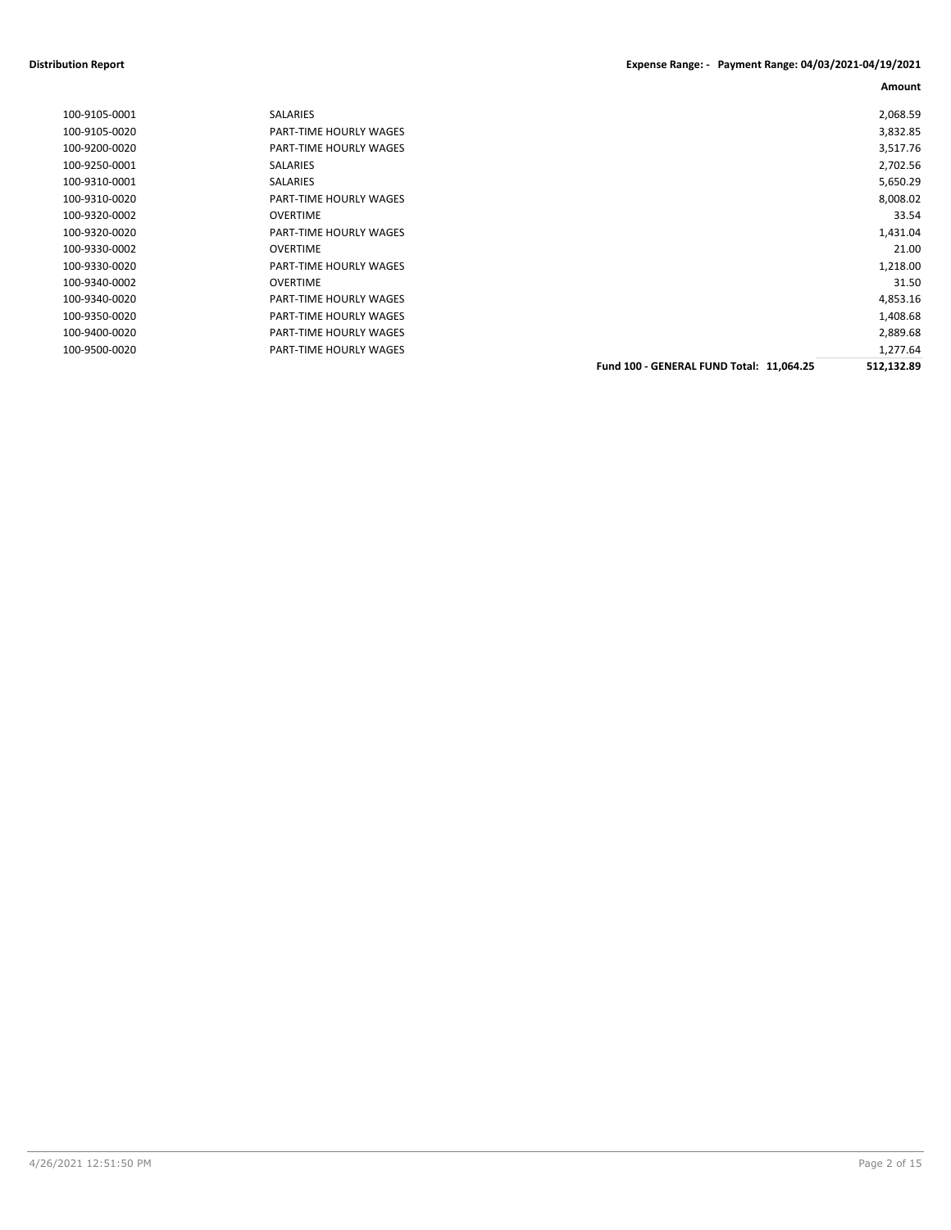#### **Distribution Report Expense Range: - Payment Range: 04/03/2021-04/19/2021**

| 100-9105-0001 | <b>SALARIES</b>        |                                          | 2,068.59   |
|---------------|------------------------|------------------------------------------|------------|
| 100-9105-0020 | PART-TIME HOURLY WAGES |                                          | 3,832.85   |
| 100-9200-0020 | PART-TIME HOURLY WAGES |                                          | 3,517.76   |
| 100-9250-0001 | SALARIES               |                                          | 2,702.56   |
| 100-9310-0001 | <b>SALARIES</b>        |                                          | 5,650.29   |
| 100-9310-0020 | PART-TIME HOURLY WAGES |                                          | 8,008.02   |
| 100-9320-0002 | <b>OVERTIME</b>        |                                          | 33.54      |
| 100-9320-0020 | PART-TIME HOURLY WAGES |                                          | 1,431.04   |
| 100-9330-0002 | <b>OVERTIME</b>        |                                          | 21.00      |
| 100-9330-0020 | PART-TIME HOURLY WAGES |                                          | 1,218.00   |
| 100-9340-0002 | <b>OVERTIME</b>        |                                          | 31.50      |
| 100-9340-0020 | PART-TIME HOURLY WAGES |                                          | 4,853.16   |
| 100-9350-0020 | PART-TIME HOURLY WAGES |                                          | 1,408.68   |
| 100-9400-0020 | PART-TIME HOURLY WAGES |                                          | 2,889.68   |
| 100-9500-0020 | PART-TIME HOURLY WAGES |                                          | 1,277.64   |
|               |                        | Fund 100 - GENERAL FUND Total: 11,064.25 | 512,132.89 |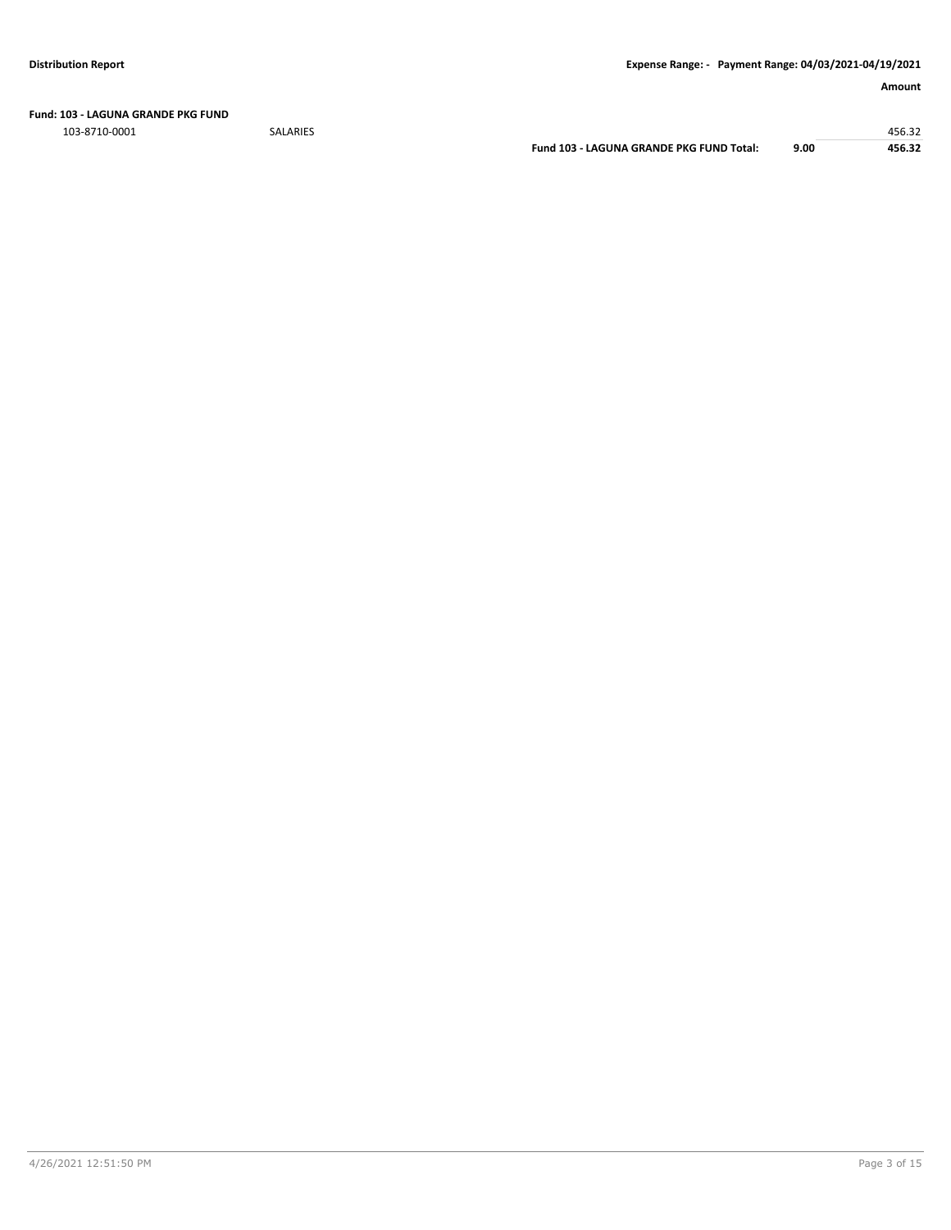**Fund: 103 - LAGUNA GRANDE PKG FUND**

103-8710-0001 SALARIES 456.32

**Fund 103 - LAGUNA GRANDE PKG FUND Total: 9.00 456.32**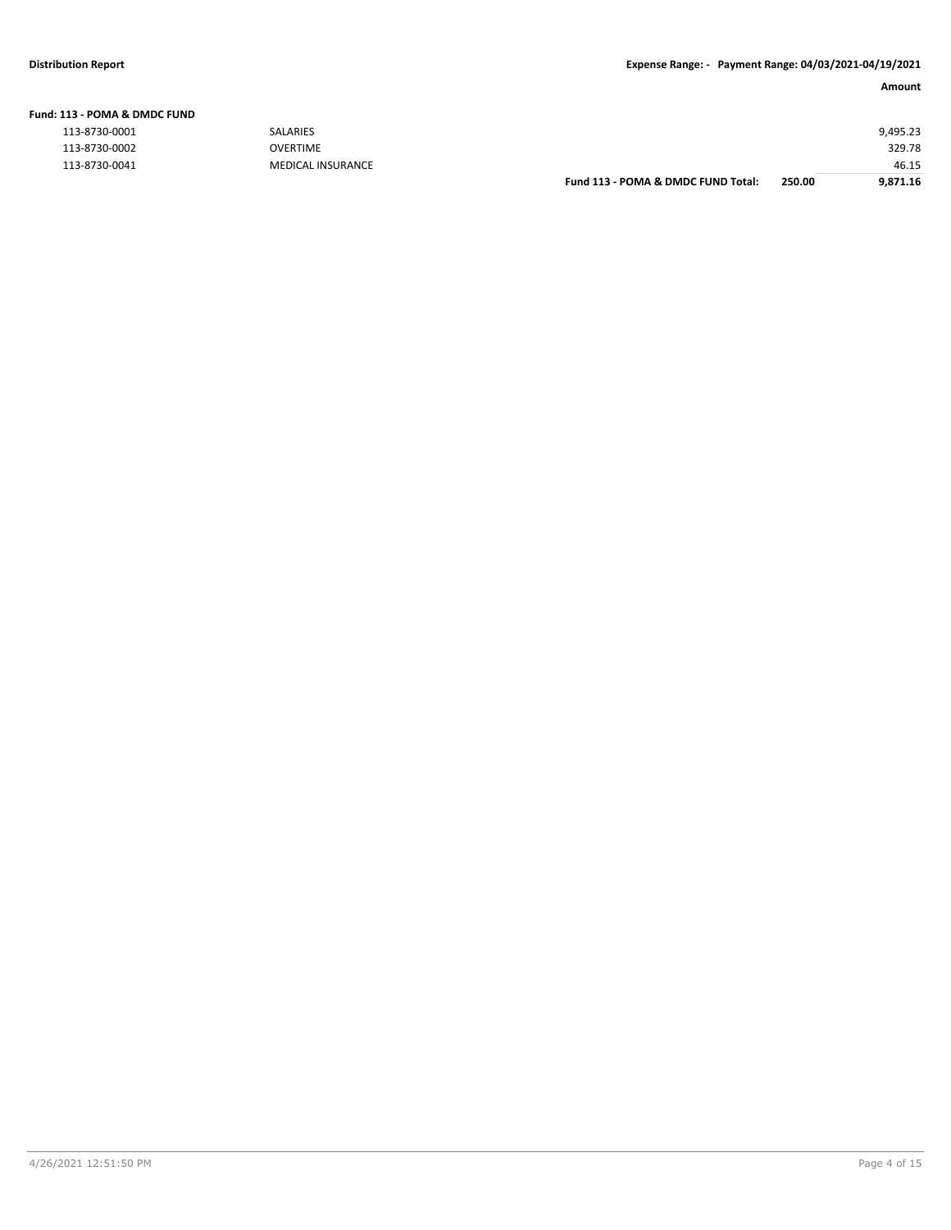| L13 - POMA & DMDC FUND |                   |                                    |        |          |
|------------------------|-------------------|------------------------------------|--------|----------|
| 113-8730-0001          | <b>SALARIES</b>   |                                    |        | 9,495.23 |
| 113-8730-0002          | <b>OVERTIME</b>   |                                    |        | 329.78   |
| 113-8730-0041          | MEDICAL INSURANCE |                                    |        | 46.15    |
|                        |                   | Fund 113 - POMA & DMDC FUND Total: | 250.00 | 9.871.16 |

#### **Fund: 113 - POMA & DMDC FUND**

| 113-8730-0001 |  |
|---------------|--|
| 113-8730-0002 |  |
| 113-8730-0041 |  |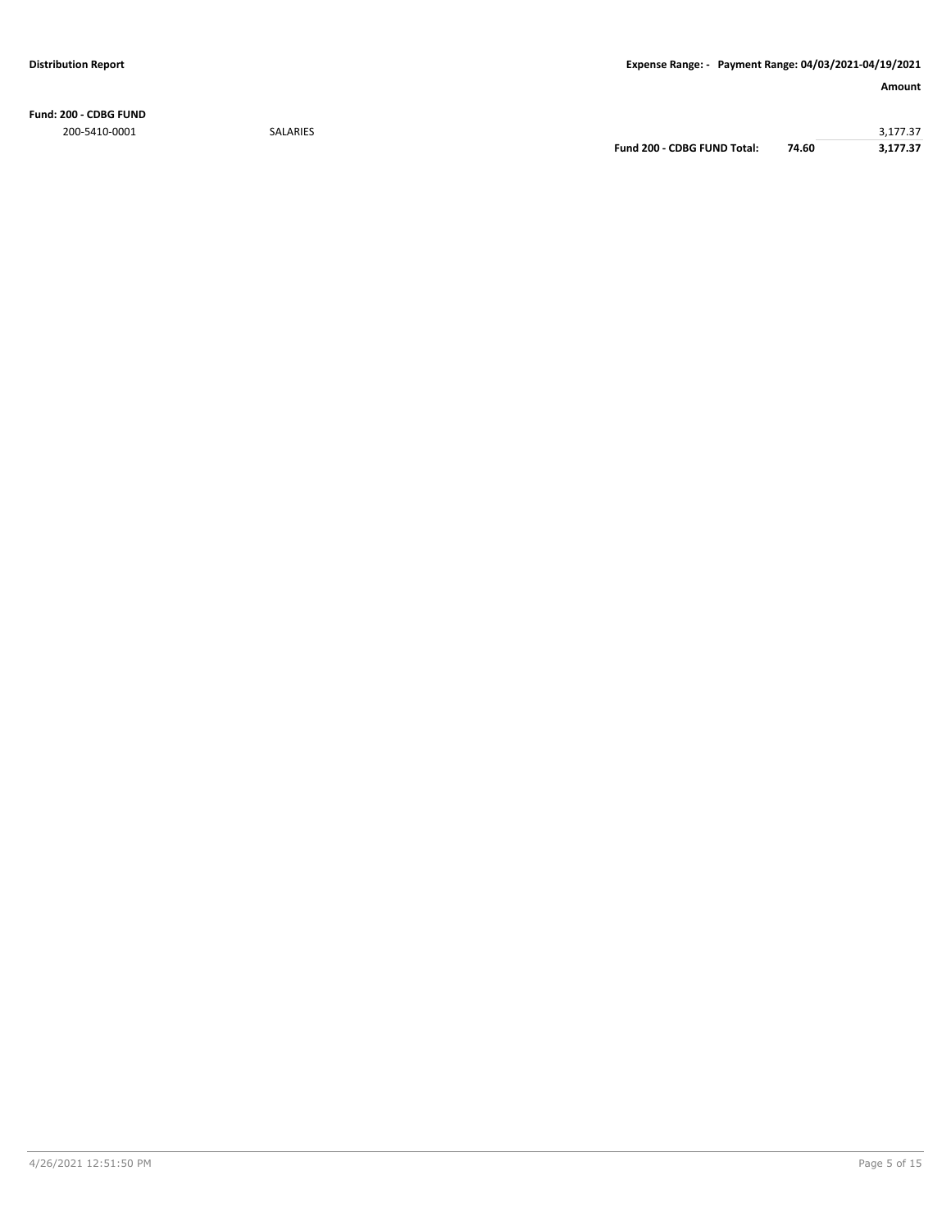**Fund: 200 - CDBG FUND**

200-5410-0001 SALARIES 3,177.37 **Fund 200 - CDBG FUND Total: 74.60 3,177.37**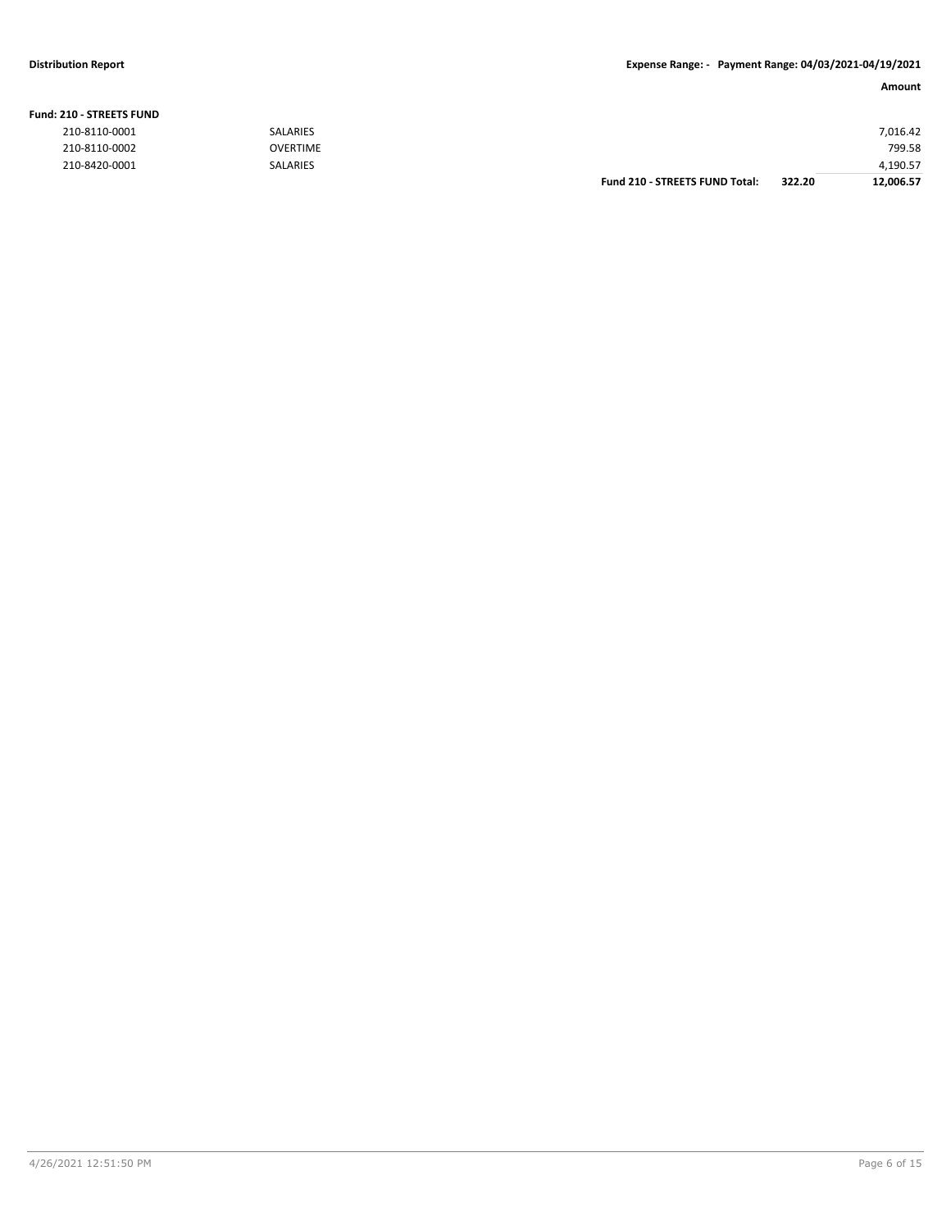#### **Fund: 210 - STREETS FUND**

| 210-8110-0001 | SALARIES        |                                       |        | 7.016.42  |
|---------------|-----------------|---------------------------------------|--------|-----------|
| 210-8110-0002 | OVERTIME        |                                       |        | 799.58    |
| 210-8420-0001 | <b>SALARIES</b> |                                       |        | 4,190.57  |
|               |                 | <b>Fund 210 - STREETS FUND Total:</b> | 322.20 | 12,006.57 |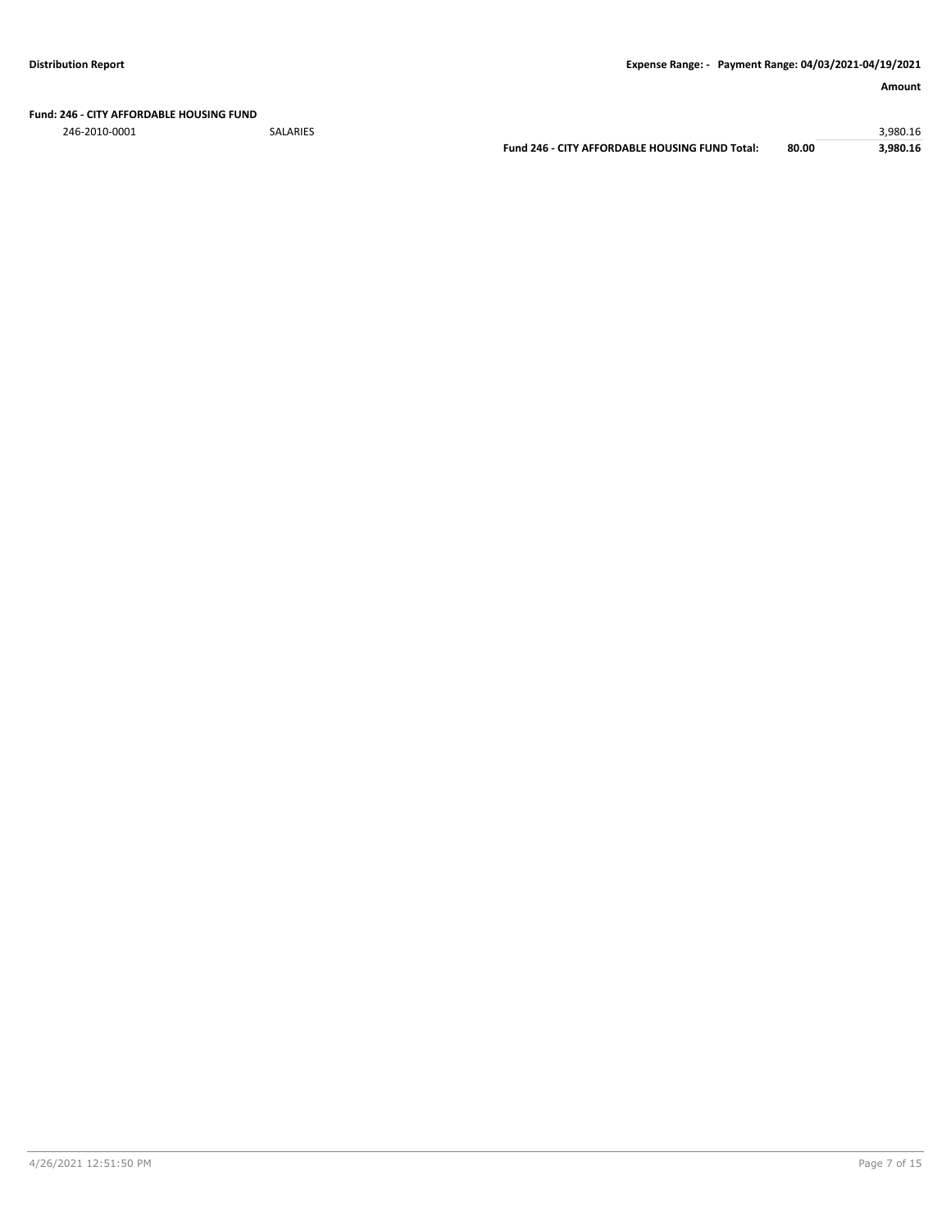**Fund: 246 - CITY AFFORDABLE HOUSING FUND**

246-2010-0001 SALARIES 3,980.16

**Fund 246 - CITY AFFORDABLE HOUSING FUND Total: 80.00 3,980.16**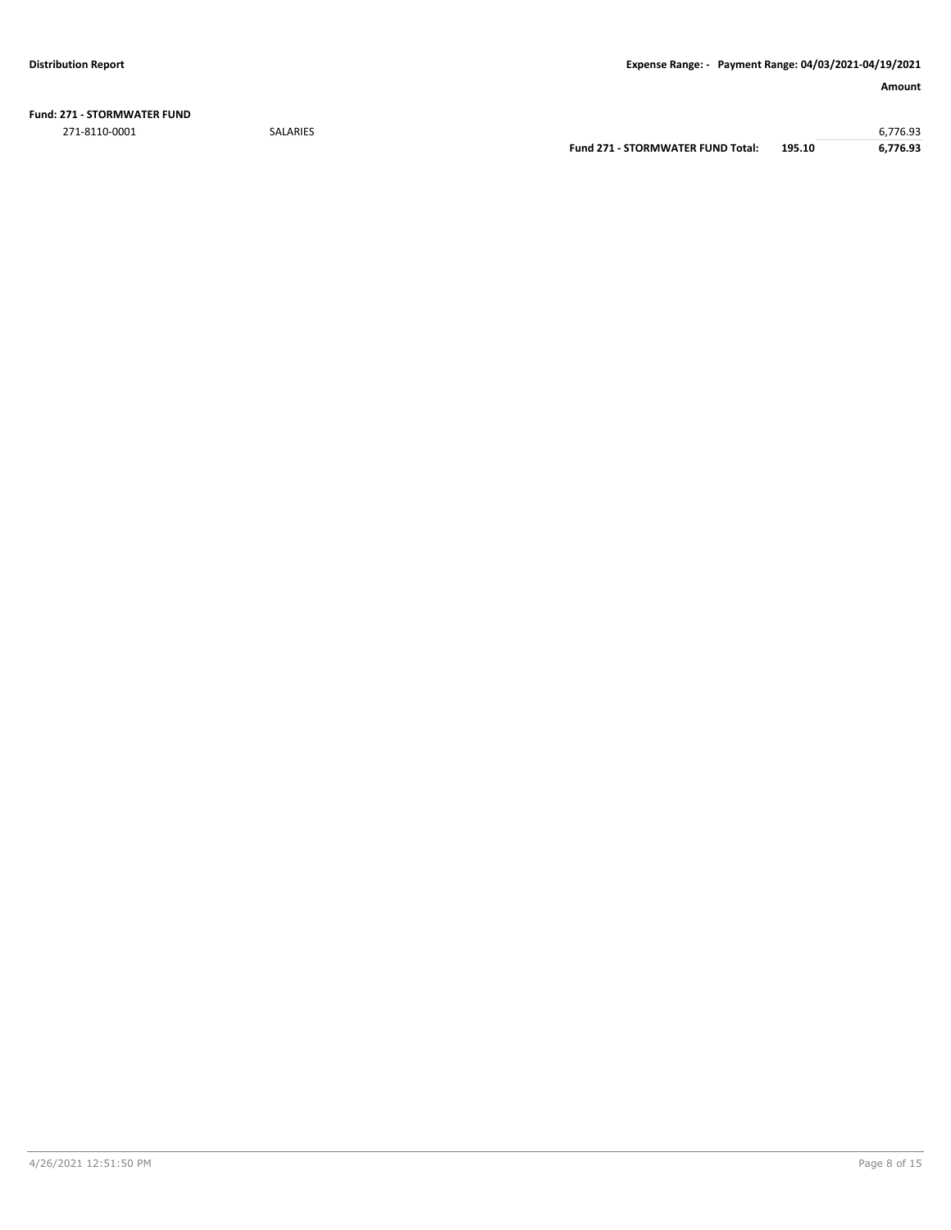**Fund: 271 - STORMWATER FUND** 271-8110-0001 SALARIES 6,776.93

**Fund 271 - STORMWATER FUND Total: 195.10 6,776.93**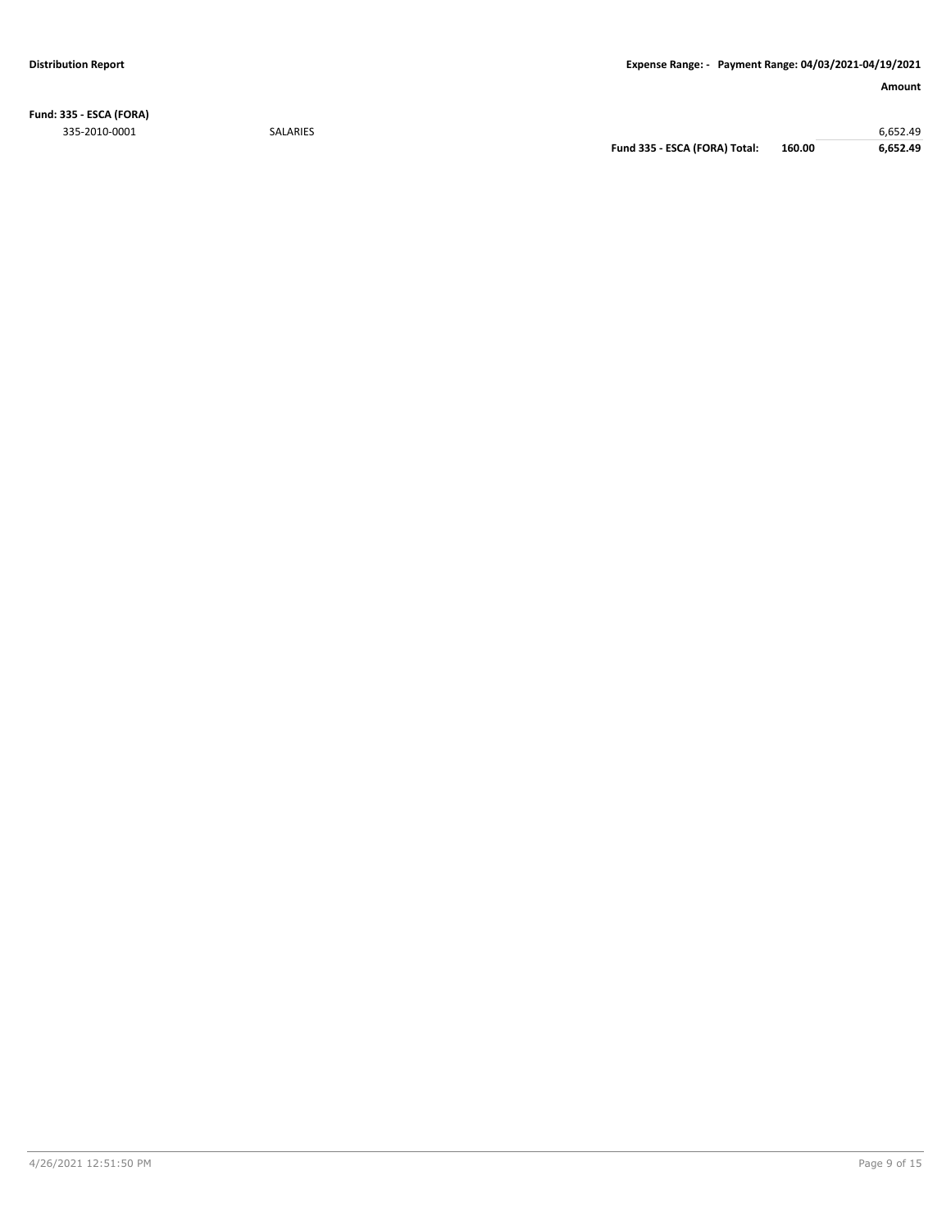**Fund: 335 - ESCA (FORA)** 335-2010-0001 SALARIES 6,652.49

**Fund 335 - ESCA (FORA) Total: 160.00 6,652.49**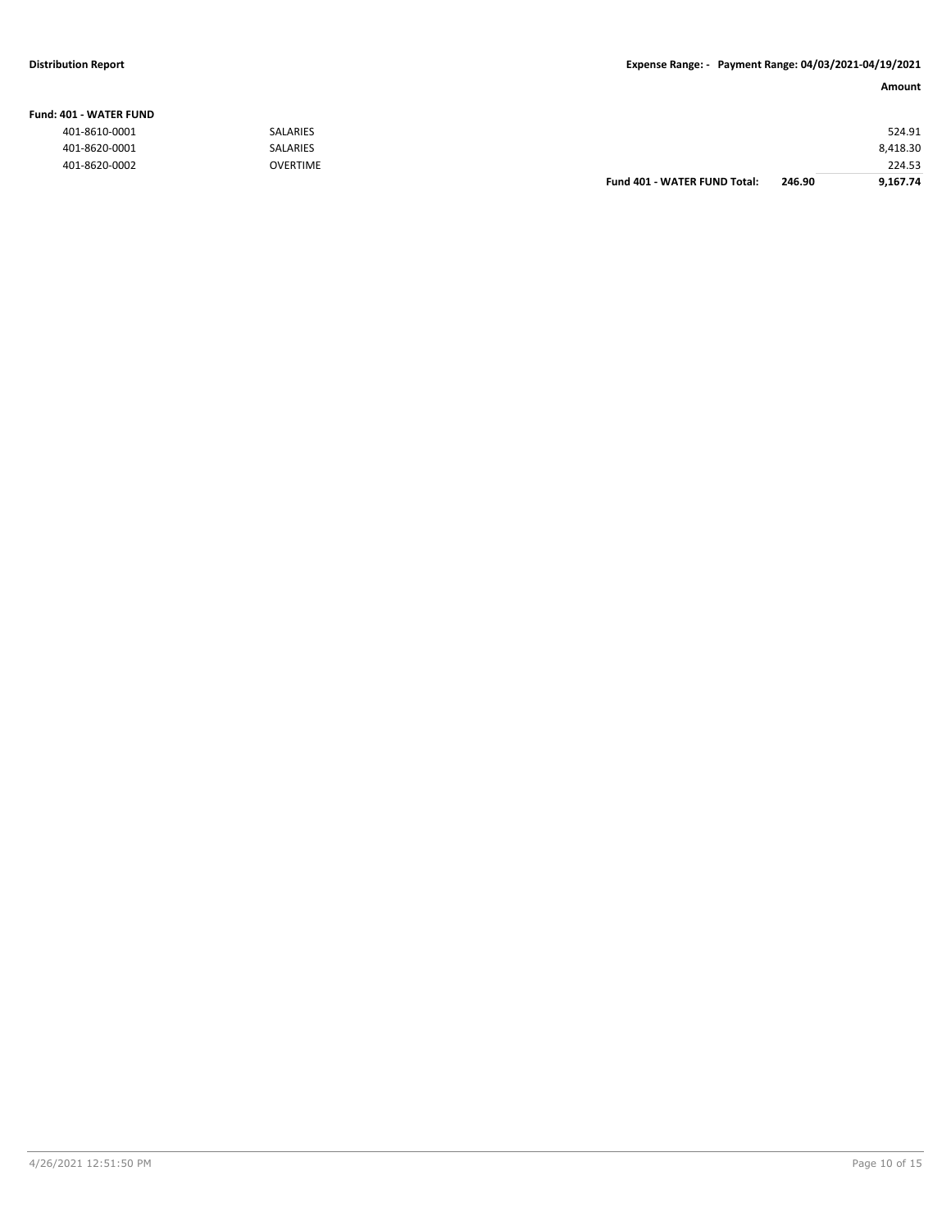#### **Fund: 401 - WATER FUND**

| 401-8610-0001 | <b>SALARIES</b> |                              |        | 524.91   |
|---------------|-----------------|------------------------------|--------|----------|
| 401-8620-0001 | SALARIES        |                              |        | 8,418.30 |
| 401-8620-0002 | OVERTIME        |                              |        | 224.53   |
|               |                 | Fund 401 - WATER FUND Total: | 246.90 | 9,167.74 |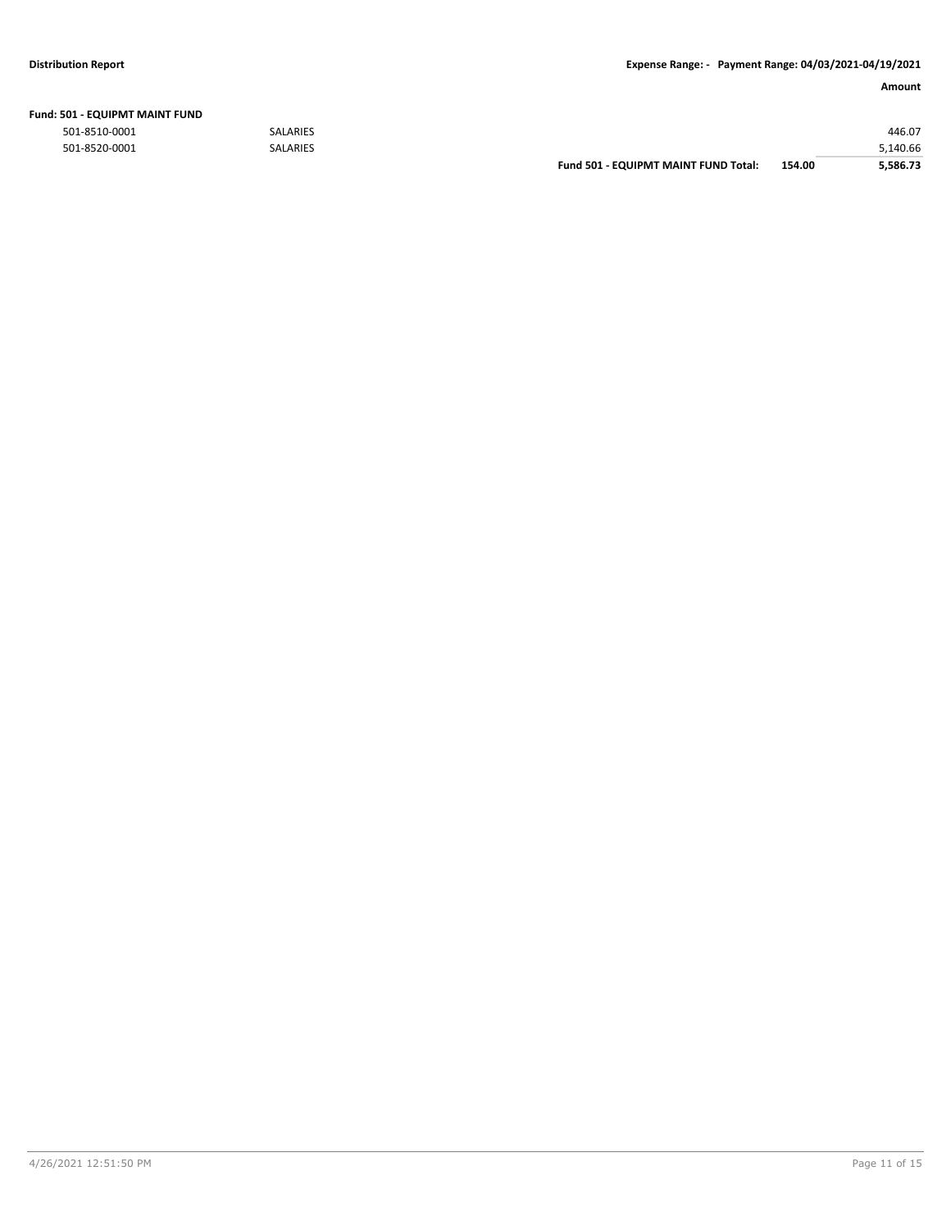| Fund: 501 - EQUIPMT MAINT FUND |  |
|--------------------------------|--|
|--------------------------------|--|

|               |                 | <b>Fund 501 - EQUIPMT MAINT FUND Total:</b> | 154.00 | 5.586.73 |
|---------------|-----------------|---------------------------------------------|--------|----------|
| 501-8520-0001 | <b>SALARIES</b> |                                             |        | 5,140.66 |
| 501-8510-0001 | <b>SALARIES</b> |                                             |        | 446.07   |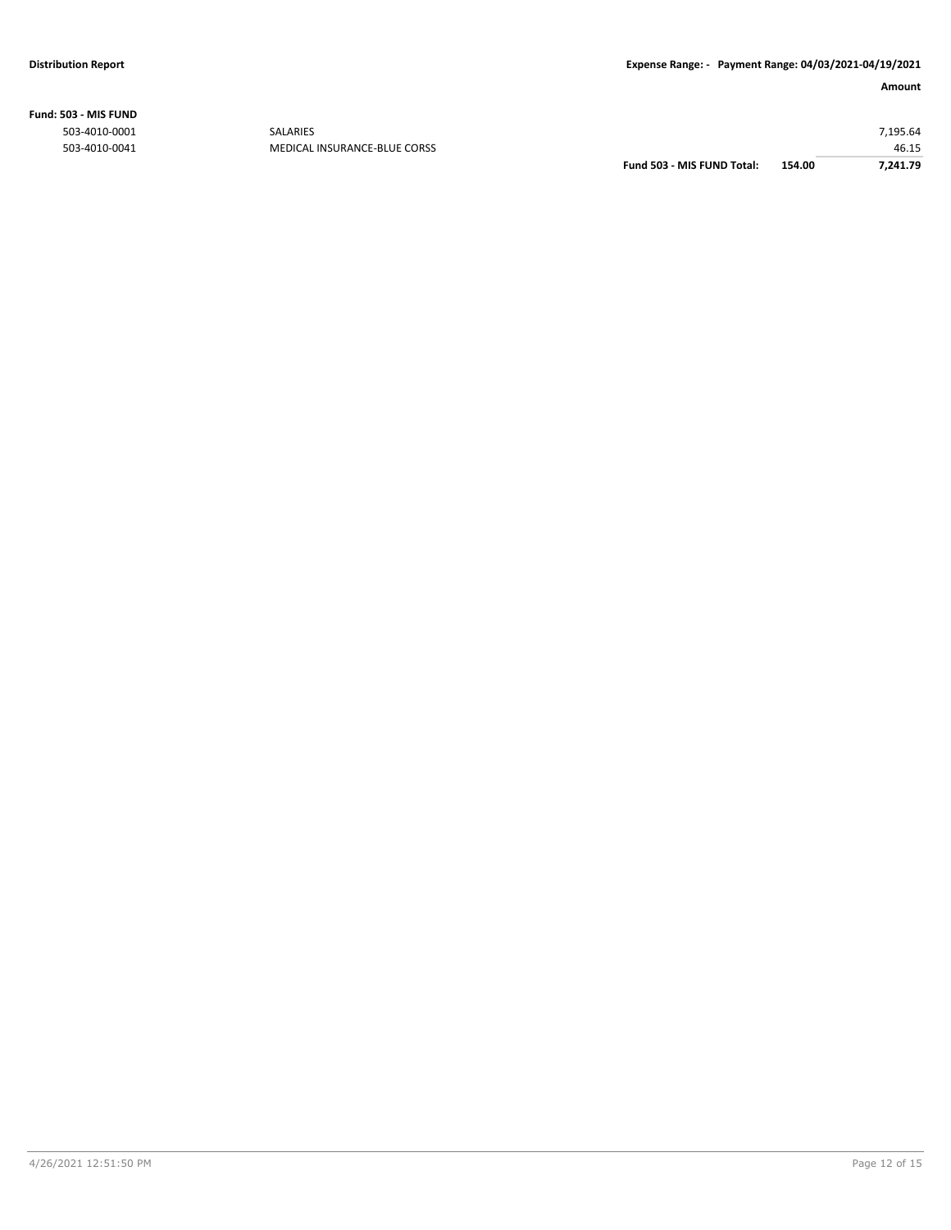**Fund: 503 - MIS FUND**

| 7.241.79 |
|----------|
| 46.15    |
| 7,195.64 |
|          |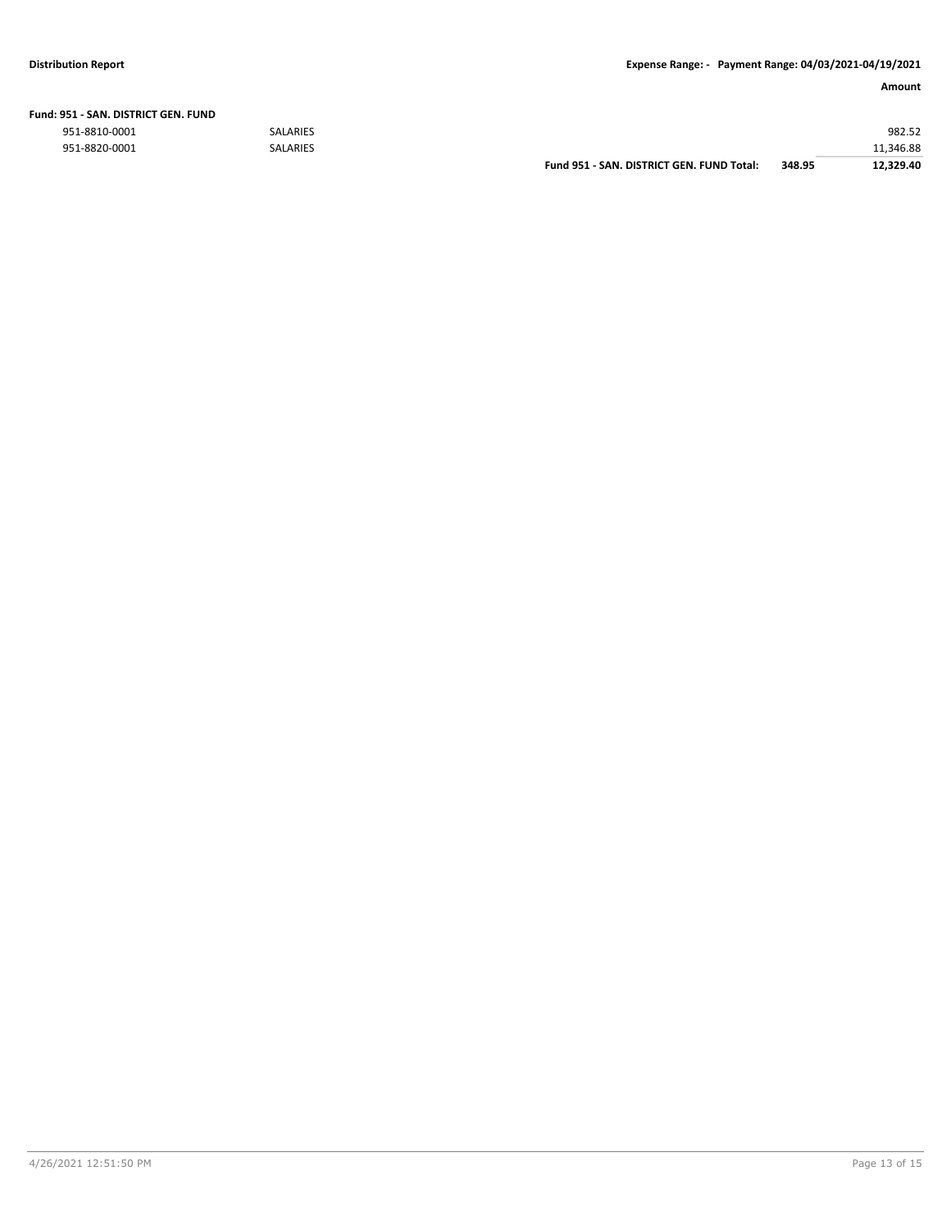| Fund: 951 - SAN. DISTRICT GEN. FUND |  |
|-------------------------------------|--|
|-------------------------------------|--|

|               |                 | Fund 951 - SAN. DISTRICT GEN. FUND Total: | 348.95 | 12.329.40 |
|---------------|-----------------|-------------------------------------------|--------|-----------|
| 951-8820-0001 | <b>SALARIES</b> |                                           |        | 11.346.88 |
| 951-8810-0001 | <b>SALARIES</b> |                                           |        | 982.52    |
|               |                 |                                           |        |           |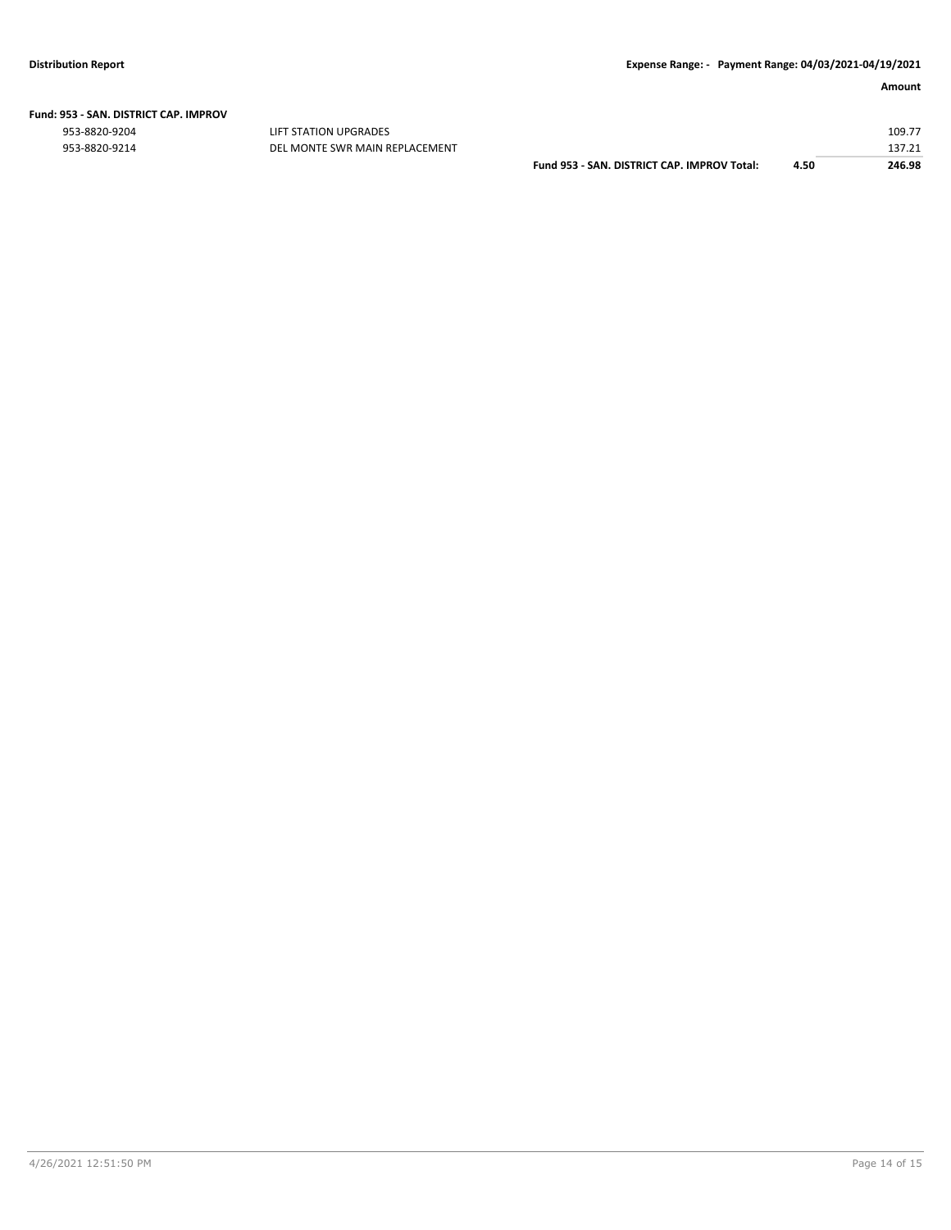|  | Fund: 953 - SAN. DISTRICT CAP. IMPROV |  |
|--|---------------------------------------|--|
|  |                                       |  |

ers and the state of the state of the state of the state of the state of the state of the state of the state of the state of the state of the state of the state of the state of the state of the state of the state of the st

| 953-8820-9214 | DEL MONTE SWR MAIN REPLACEMENT |                                             |      | 137.21 |
|---------------|--------------------------------|---------------------------------------------|------|--------|
|               |                                | Fund 953 - SAN, DISTRICT CAP, IMPROV Total: | 4.50 | 246.98 |